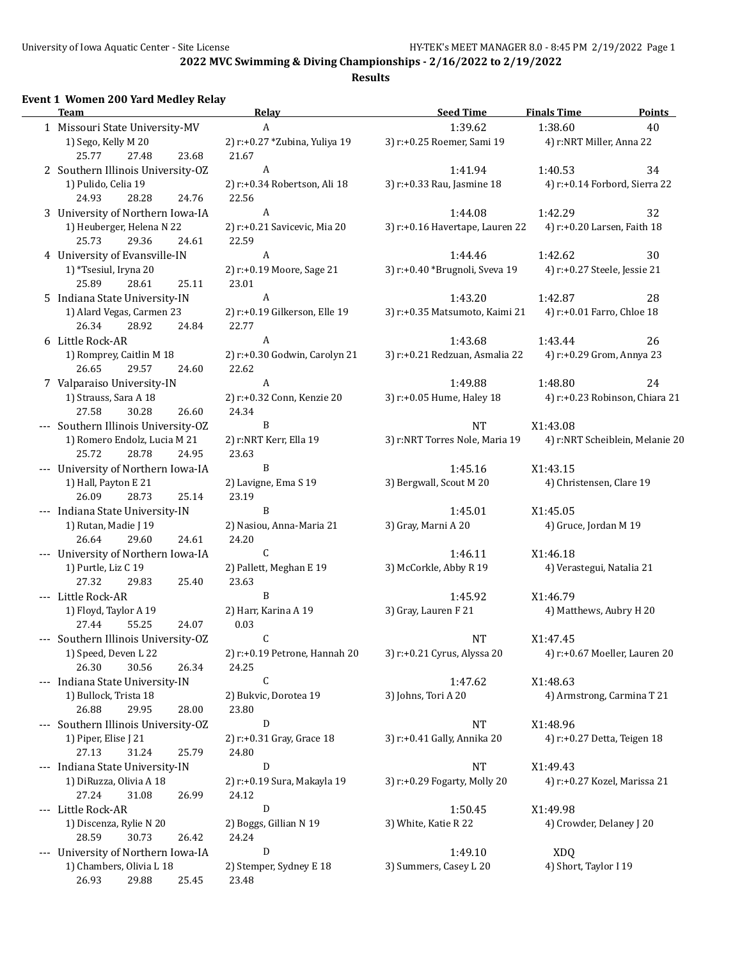## **Results**

## **Event 1 Women 200 Yard Medley Relay**

| ent 1 women 200 Taru mealey Relay<br>Team               | <b>Relay</b>                           | <b>Seed Time</b>                | <b>Finals Time</b><br><b>Points</b> |
|---------------------------------------------------------|----------------------------------------|---------------------------------|-------------------------------------|
| 1 Missouri State University-MV                          | A                                      | 1:39.62                         | 1:38.60<br>40                       |
| 1) Sego, Kelly M 20<br>25.77<br>27.48<br>23.68          | 2) r:+0.27 *Zubina, Yuliya 19<br>21.67 | 3) r:+0.25 Roemer, Sami 19      | 4) r:NRT Miller, Anna 22            |
| 2 Southern Illinois University-OZ                       | A                                      | 1:41.94                         | 1:40.53<br>34                       |
| 1) Pulido, Celia 19                                     | 2) r:+0.34 Robertson, Ali 18           | 3) r:+0.33 Rau, Jasmine 18      | 4) r:+0.14 Forbord, Sierra 22       |
| 24.93<br>28.28<br>24.76                                 | 22.56                                  |                                 |                                     |
| 3 University of Northern Iowa-IA                        | A                                      | 1:44.08                         | 1:42.29<br>32                       |
| 1) Heuberger, Helena N 22<br>25.73<br>29.36<br>24.61    | 2) r:+0.21 Savicevic, Mia 20<br>22.59  | 3) r:+0.16 Havertape, Lauren 22 | 4) r:+0.20 Larsen, Faith 18         |
| 4 University of Evansville-IN                           | A                                      | 1:44.46                         | 1:42.62<br>30                       |
| 1) *Tsesiul, Iryna 20<br>28.61<br>25.89<br>25.11        | 2) r:+0.19 Moore, Sage 21<br>23.01     | 3) r:+0.40 *Brugnoli, Sveva 19  | 4) r:+0.27 Steele, Jessie 21        |
| 5 Indiana State University-IN                           | $\boldsymbol{A}$                       | 1:43.20                         | 1:42.87<br>28                       |
| 1) Alard Vegas, Carmen 23<br>26.34<br>28.92<br>24.84    | 2) r:+0.19 Gilkerson, Elle 19<br>22.77 | 3) r:+0.35 Matsumoto, Kaimi 21  | 4) r:+0.01 Farro, Chloe 18          |
| 6 Little Rock-AR                                        | A                                      | 1:43.68                         | 1:43.44<br>26                       |
| 1) Romprey, Caitlin M 18<br>26.65<br>29.57<br>24.60     | 2) r:+0.30 Godwin, Carolyn 21<br>22.62 | 3) r:+0.21 Redzuan, Asmalia 22  | 4) r:+0.29 Grom, Annya 23           |
| 7 Valparaiso University-IN                              | $\boldsymbol{A}$                       | 1:49.88                         | 1:48.80<br>24                       |
| 1) Strauss, Sara A 18                                   | 2) r:+0.32 Conn, Kenzie 20             | 3) r:+0.05 Hume, Haley 18       | 4) r:+0.23 Robinson, Chiara 21      |
| 27.58<br>30.28<br>26.60                                 | 24.34                                  |                                 |                                     |
| --- Southern Illinois University-OZ                     | B                                      | <b>NT</b>                       | X1:43.08                            |
| 1) Romero Endolz, Lucia M 21<br>25.72<br>28.78<br>24.95 | 2) r:NRT Kerr, Ella 19<br>23.63        | 3) r:NRT Torres Nole, Maria 19  | 4) r:NRT Scheiblein, Melanie 20     |
| --- University of Northern Iowa-IA                      | B                                      | 1:45.16                         | X1:43.15                            |
| 1) Hall, Payton E 21<br>25.14<br>26.09<br>28.73         | 2) Lavigne, Ema S 19<br>23.19          | 3) Bergwall, Scout M 20         | 4) Christensen, Clare 19            |
| --- Indiana State University-IN                         | B                                      | 1:45.01                         | X1:45.05                            |
| 1) Rutan, Madie J 19<br>29.60<br>24.61<br>26.64         | 2) Nasiou, Anna-Maria 21<br>24.20      | 3) Gray, Marni A 20             | 4) Gruce, Jordan M 19               |
| --- University of Northern Iowa-IA                      | C                                      | 1:46.11                         | X1:46.18                            |
| 1) Purtle, Liz C 19<br>27.32<br>25.40<br>29.83          | 2) Pallett, Meghan E 19<br>23.63       | 3) McCorkle, Abby R 19          | 4) Verastegui, Natalia 21           |
| --- Little Rock-AR                                      | B                                      | 1:45.92                         | X1:46.79                            |
| 1) Floyd, Taylor A 19<br>55.25<br>24.07<br>27.44        | 2) Harr, Karina A 19<br>0.03           | 3) Gray, Lauren F 21            | 4) Matthews, Aubry H 20             |
| --- Southern Illinois University-OZ                     | C                                      | <b>NT</b>                       | X1:47.45                            |
| 1) Speed, Deven L 22<br>26.30<br>30.56<br>26.34         | 2) r:+0.19 Petrone, Hannah 20<br>24.25 | 3) r:+0.21 Cyrus, Alyssa 20     | 4) r:+0.67 Moeller, Lauren 20       |
| --- Indiana State University-IN                         | $\mathsf C$                            | 1:47.62                         | X1:48.63                            |
| 1) Bullock, Trista 18<br>26.88<br>29.95<br>28.00        | 2) Bukvic, Dorotea 19<br>23.80         | 3) Johns, Tori A 20             | 4) Armstrong, Carmina T 21          |
| --- Southern Illinois University-OZ                     | ${\rm D}$                              | $\rm{NT}$                       | X1:48.96                            |
| 1) Piper, Elise J 21<br>31.24<br>25.79<br>27.13         | 2) r:+0.31 Gray, Grace 18<br>24.80     | 3) r:+0.41 Gally, Annika 20     | 4) r:+0.27 Detta, Teigen 18         |
| --- Indiana State University-IN                         | D                                      | NT                              | X1:49.43                            |
| 1) DiRuzza, Olivia A 18<br>26.99<br>27.24<br>31.08      | 2) r:+0.19 Sura, Makayla 19<br>24.12   | 3) r:+0.29 Fogarty, Molly 20    | 4) r:+0.27 Kozel, Marissa 21        |
| --- Little Rock-AR                                      | D                                      | 1:50.45                         | X1:49.98                            |
| 1) Discenza, Rylie N 20<br>30.73<br>28.59<br>26.42      | 2) Boggs, Gillian N 19<br>24.24        | 3) White, Katie R 22            | 4) Crowder, Delaney J 20            |
| --- University of Northern Iowa-IA                      | D                                      | 1:49.10                         | <b>XDQ</b>                          |
| 1) Chambers, Olivia L 18                                | 2) Stemper, Sydney E 18                | 3) Summers, Casey L 20          | 4) Short, Taylor I 19               |
| 25.45<br>26.93<br>29.88                                 | 23.48                                  |                                 |                                     |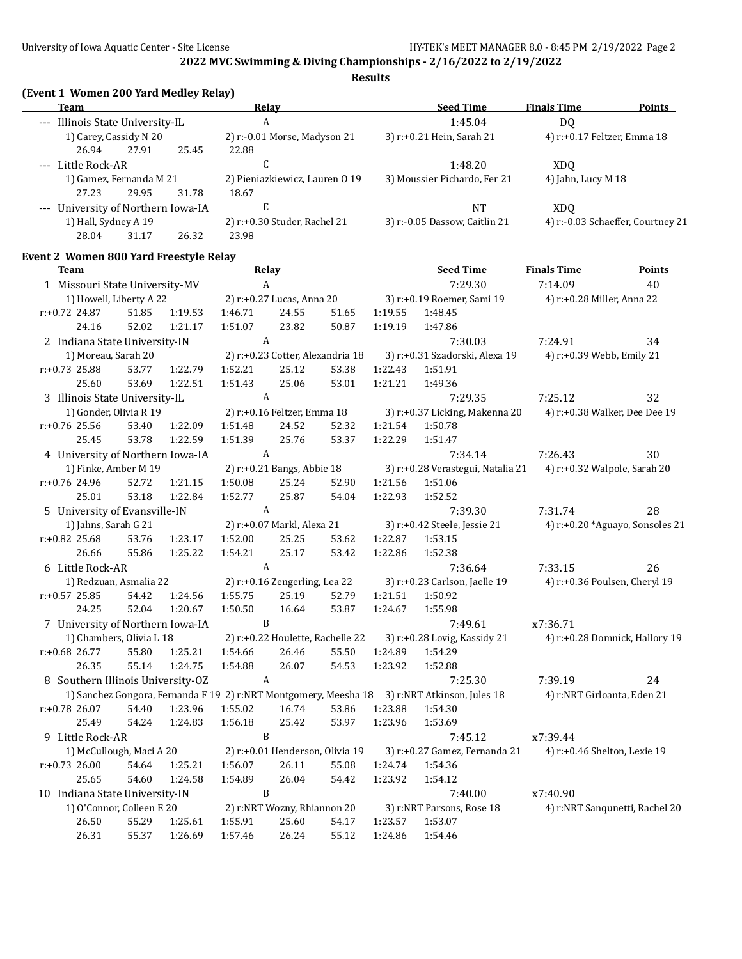## **Results**

# **(Event 1 Women 200 Yard Medley Relay)**

| Team                             |                                    |       | Relay                          | <b>Seed Time</b>              | <b>Finals Time</b>                | <b>Points</b> |
|----------------------------------|------------------------------------|-------|--------------------------------|-------------------------------|-----------------------------------|---------------|
| --- Illinois State University-IL |                                    |       | A                              | 1:45.04                       | DO.                               |               |
|                                  | 1) Carey, Cassidy N 20             |       | 2) r:-0.01 Morse, Madyson 21   | 3) r:+0.21 Hein, Sarah 21     | 4) r:+0.17 Feltzer, Emma 18       |               |
| 26.94                            | 27.91                              | 25.45 | 22.88                          |                               |                                   |               |
| --- Little Rock-AR               |                                    |       | u                              | 1:48.20                       | XDO                               |               |
|                                  | 1) Gamez, Fernanda M 21            |       | 2) Pieniazkiewicz, Lauren 0 19 | 3) Moussier Pichardo, Fer 21  | 4) Jahn, Lucy M $18$              |               |
| 27.23                            | 29.95                              | 31.78 | 18.67                          |                               |                                   |               |
|                                  | --- University of Northern Iowa-IA |       | E                              | NT                            | XDO                               |               |
| 1) Hall, Sydney A 19             |                                    |       | 2) r:+0.30 Studer, Rachel 21   | 3) r:-0.05 Dassow, Caitlin 21 | 4) r:-0.03 Schaeffer, Courtney 21 |               |
| 28.04                            | 31.17                              | 26.32 | 23.98                          |                               |                                   |               |

## **Event 2 Women 800 Yard Freestyle Relay**

 $\overline{\phantom{a}}$ 

| Team                              |       |         |                | <b>Relay</b>                  |                                 |         | <b>Seed Time</b>                                                                             | <b>Finals Time</b>              | <b>Points</b>                  |
|-----------------------------------|-------|---------|----------------|-------------------------------|---------------------------------|---------|----------------------------------------------------------------------------------------------|---------------------------------|--------------------------------|
| 1 Missouri State University-MV    |       |         | $\mathbf{A}$   |                               |                                 |         | 7:29.30                                                                                      | 7:14.09                         | 40                             |
| 1) Howell, Liberty A 22           |       |         |                |                               |                                 |         | 2) r:+0.27 Lucas, Anna 20 3) r:+0.19 Roemer, Sami 19 4) r:+0.28 Miller, Anna 22              |                                 |                                |
| $r: +0.72$ 24.87                  | 51.85 | 1:19.53 | 1:46.71        | 24.55                         | 51.65                           | 1:19.55 | 1:48.45                                                                                      |                                 |                                |
| 24.16                             | 52.02 | 1:21.17 | 1:51.07        | 23.82                         | 50.87                           | 1:19.19 | 1:47.86                                                                                      |                                 |                                |
| 2 Indiana State University-IN     |       |         |                | $\mathbf{A}$                  |                                 |         | 7:30.03                                                                                      | 7:24.91                         | 34                             |
| 1) Moreau, Sarah 20               |       |         |                |                               |                                 |         | 2) r:+0.23 Cotter, Alexandria 18 3) r:+0.31 Szadorski, Alexa 19 4) r:+0.39 Webb, Emily 21    |                                 |                                |
| $r: +0.73$ 25.88                  | 53.77 | 1:22.79 | 1:52.21        | 25.12                         | 53.38                           | 1:22.43 | 1:51.91                                                                                      |                                 |                                |
| 25.60                             | 53.69 | 1:22.51 | 1:51.43        | 25.06                         | 53.01                           | 1:21.21 | 1:49.36                                                                                      |                                 |                                |
| 3 Illinois State University-IL    |       |         | A              |                               |                                 |         | 7:29.35                                                                                      | 7:25.12                         | 32                             |
| 1) Gonder, Olivia R 19            |       |         |                |                               | 2) r:+0.16 Feltzer, Emma 18     |         | 3) r:+0.37 Licking, Makenna 20 4) r:+0.38 Walker, Dee Dee 19                                 |                                 |                                |
| $r: +0.76$ 25.56                  | 53.40 | 1:22.09 | 1:51.48        | 24.52                         | 52.32                           | 1:21.54 | 1:50.78                                                                                      |                                 |                                |
| 25.45                             | 53.78 | 1:22.59 | 1:51.39        | 25.76                         | 53.37                           | 1:22.29 | 1:51.47                                                                                      |                                 |                                |
| 4 University of Northern Iowa-IA  |       |         |                | A                             |                                 |         | 7:34.14                                                                                      | 7:26.43                         | 30                             |
| 1) Finke, Amber M 19              |       |         |                |                               |                                 |         | 2) r:+0.21 Bangs, Abbie 18 3) r:+0.28 Verastegui, Natalia 21 4) r:+0.32 Walpole, Sarah 20    |                                 |                                |
| $r: +0.76$ 24.96                  | 52.72 | 1:21.15 | 1:50.08        | 25.24                         | 52.90                           | 1:21.56 | 1:51.06                                                                                      |                                 |                                |
| 25.01                             | 53.18 | 1:22.84 | 1:52.77        | 25.87                         | 54.04                           | 1:22.93 | 1:52.52                                                                                      |                                 |                                |
| 5 University of Evansville-IN     |       |         | A              |                               |                                 |         | 7:39.30                                                                                      | 7:31.74                         | 28                             |
| 1) Jahns, Sarah G 21              |       |         |                |                               |                                 |         | 2) r:+0.07 Markl, Alexa 21 3) r:+0.42 Steele, Jessie 21                                      | 4) r:+0.20 *Aguayo, Sonsoles 21 |                                |
| $r: +0.82$ 25.68                  | 53.76 | 1:23.17 | 1:52.00        | 25.25                         | 53.62                           | 1:22.87 | 1:53.15                                                                                      |                                 |                                |
| 26.66                             | 55.86 | 1:25.22 | 1:54.21        | 25.17                         | 53.42                           | 1:22.86 | 1:52.38                                                                                      |                                 |                                |
| 6 Little Rock-AR                  |       |         | A              |                               |                                 |         | 7:36.64                                                                                      | 7:33.15                         | 26                             |
| 1) Redzuan, Asmalia 22            |       |         |                | 2) r:+0.16 Zengerling, Lea 22 |                                 |         | 3) r:+0.23 Carlson, Jaelle 19                                                                | 4) r:+0.36 Poulsen, Cheryl 19   |                                |
| $r: +0.57$ 25.85                  | 54.42 | 1:24.56 | 1:55.75        | 25.19                         | 52.79                           | 1:21.51 | 1:50.92                                                                                      |                                 |                                |
| 24.25                             | 52.04 | 1:20.67 | 1:50.50        | 16.64                         | 53.87                           | 1:24.67 | 1:55.98                                                                                      |                                 |                                |
| 7 University of Northern Iowa-IA  |       |         | $\, {\bf B}$   |                               |                                 |         | 7:49.61                                                                                      | x7:36.71                        |                                |
| 1) Chambers, Olivia L 18          |       |         |                |                               |                                 |         | 2) r:+0.22 Houlette, Rachelle 22 3) r:+0.28 Lovig, Kassidy 21                                |                                 | 4) r:+0.28 Domnick, Hallory 19 |
| r:+0.68 26.77                     | 55.80 | 1:25.21 | 1:54.66        | 26.46                         | 55.50                           | 1:24.89 | 1:54.29                                                                                      |                                 |                                |
| 26.35                             | 55.14 | 1:24.75 | 1:54.88        | 26.07                         | 54.53                           | 1:23.92 | 1:52.88                                                                                      |                                 |                                |
| 8 Southern Illinois University-OZ |       |         | $\overline{A}$ |                               |                                 |         | 7:25.30                                                                                      | 7:39.19                         | 24                             |
|                                   |       |         |                |                               |                                 |         | 1) Sanchez Gongora, Fernanda F 19 2) r:NRT Montgomery, Meesha 18 3) r:NRT Atkinson, Jules 18 | 4) r:NRT Girloanta, Eden 21     |                                |
| $r: +0.78$ 26.07                  | 54.40 | 1:23.96 | 1:55.02        | 16.74                         | 53.86                           | 1:23.88 | 1:54.30                                                                                      |                                 |                                |
| 25.49                             | 54.24 | 1:24.83 | 1:56.18        | 25.42                         | 53.97                           | 1:23.96 | 1:53.69                                                                                      |                                 |                                |
| 9 Little Rock-AR                  |       |         | B              |                               |                                 |         | 7:45.12                                                                                      | x7:39.44                        |                                |
| 1) McCullough, Maci A 20          |       |         |                |                               | 2) r:+0.01 Henderson, Olivia 19 |         | 3) r:+0.27 Gamez, Fernanda 21 4) r:+0.46 Shelton, Lexie 19                                   |                                 |                                |
| $r: +0.73$ 26.00                  | 54.64 | 1:25.21 | 1:56.07        | 26.11                         | 55.08                           | 1:24.74 | 1:54.36                                                                                      |                                 |                                |
| 25.65                             | 54.60 | 1:24.58 | 1:54.89        | 26.04                         | 54.42                           | 1:23.92 | 1:54.12                                                                                      |                                 |                                |
| 10 Indiana State University-IN    |       |         | $\, {\bf B}$   |                               |                                 |         | 7:40.00                                                                                      | x7:40.90                        |                                |
| 1) O'Connor, Colleen E 20         |       |         |                | 2) r:NRT Wozny, Rhiannon 20   |                                 |         | 3) r:NRT Parsons, Rose 18                                                                    |                                 | 4) r:NRT Sanqunetti, Rachel 20 |
| 26.50                             | 55.29 | 1:25.61 | 1:55.91        | 25.60                         | 54.17                           | 1:23.57 | 1:53.07                                                                                      |                                 |                                |
| 26.31                             | 55.37 | 1:26.69 | 1:57.46        | 26.24                         | 55.12                           | 1:24.86 | 1:54.46                                                                                      |                                 |                                |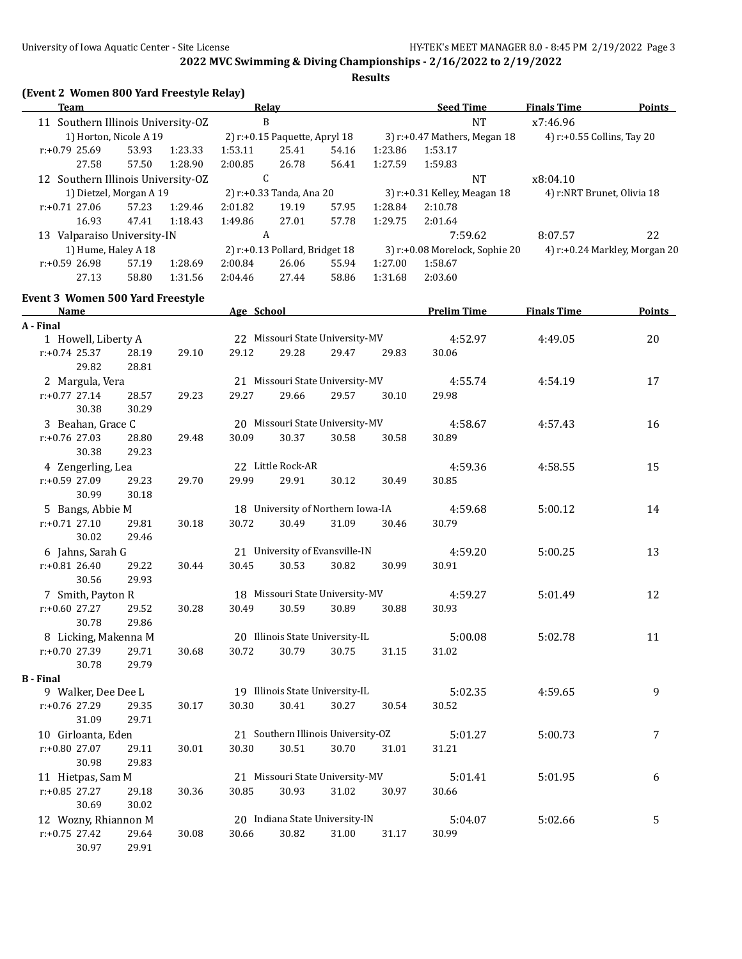| (Event 2 Women 800 Yard Freestyle Relay)<br><b>Team</b> |                |         |         | Relay                                   |       |         | <b>Seed Time</b>               | <b>Finals Time</b>         | <b>Points</b>                 |
|---------------------------------------------------------|----------------|---------|---------|-----------------------------------------|-------|---------|--------------------------------|----------------------------|-------------------------------|
| 11 Southern Illinois University-OZ                      |                |         |         | $\mathbf B$                             |       |         | $\rm{NT}$                      | x7:46.96                   |                               |
| 1) Horton, Nicole A 19                                  |                |         |         | 2) r:+0.15 Paquette, Apryl 18           |       |         | 3) r:+0.47 Mathers, Megan 18   | 4) r:+0.55 Collins, Tay 20 |                               |
| r:+0.79 25.69                                           | 53.93          | 1:23.33 | 1:53.11 | 25.41                                   | 54.16 | 1:23.86 | 1:53.17                        |                            |                               |
| 27.58                                                   | 57.50          | 1:28.90 | 2:00.85 | 26.78                                   | 56.41 | 1:27.59 | 1:59.83                        |                            |                               |
| 12 Southern Illinois University-OZ                      |                |         |         | $\mathsf{C}$                            |       |         | NT                             | x8:04.10                   |                               |
| 1) Dietzel, Morgan A 19                                 |                |         |         | 2) r:+0.33 Tanda, Ana 20                |       |         | 3) r:+0.31 Kelley, Meagan 18   | 4) r:NRT Brunet, Olivia 18 |                               |
| $r: +0.71$ 27.06                                        | 57.23          | 1:29.46 | 2:01.82 | 19.19                                   | 57.95 | 1:28.84 | 2:10.78                        |                            |                               |
| 16.93                                                   | 47.41          | 1:18.43 | 1:49.86 | 27.01                                   | 57.78 | 1:29.75 | 2:01.64                        |                            |                               |
| 13 Valparaiso University-IN                             |                |         |         | A                                       |       |         | 7:59.62                        | 8:07.57                    | 22                            |
| 1) Hume, Haley A 18                                     |                |         |         | 2) r:+0.13 Pollard, Bridget 18          |       |         | 3) r:+0.08 Morelock, Sophie 20 |                            | 4) r:+0.24 Markley, Morgan 20 |
| r:+0.59 26.98                                           | 57.19          | 1:28.69 | 2:00.84 | 26.06                                   | 55.94 | 1:27.00 | 1:58.67                        |                            |                               |
| 27.13                                                   | 58.80          | 1:31.56 | 2:04.46 | 27.44                                   | 58.86 | 1:31.68 | 2:03.60                        |                            |                               |
| <b>Event 3 Women 500 Yard Freestyle</b>                 |                |         |         |                                         |       |         |                                |                            |                               |
| <b>Name</b>                                             |                |         |         | Age School Manual Age School            |       |         | <b>Prelim Time</b>             | <b>Finals Time</b>         | <b>Points</b>                 |
| A - Final                                               |                |         |         |                                         |       |         |                                |                            |                               |
| 1 Howell, Liberty A                                     |                |         |         | 22 Missouri State University-MV         |       |         | 4:52.97                        | 4:49.05                    | 20                            |
| $r: +0.74$ 25.37                                        | 28.19          | 29.10   | 29.12   | 29.28                                   | 29.47 | 29.83   | 30.06                          |                            |                               |
| 29.82                                                   | 28.81          |         |         |                                         |       |         |                                |                            |                               |
| 2 Margula, Vera                                         |                |         |         | 21 Missouri State University-MV         |       |         | 4:55.74                        | 4:54.19                    | 17                            |
| $r: +0.77$ 27.14                                        | 28.57          | 29.23   | 29.27   | 29.66                                   | 29.57 | 30.10   | 29.98                          |                            |                               |
| 30.38                                                   | 30.29          |         |         |                                         |       |         |                                |                            |                               |
| 3 Beahan, Grace C                                       |                |         |         | 20 Missouri State University-MV         |       |         | 4:58.67                        | 4:57.43                    | 16                            |
| $r: +0.76$ 27.03                                        | 28.80          | 29.48   | 30.09   | 30.37                                   | 30.58 | 30.58   | 30.89                          |                            |                               |
| 30.38                                                   | 29.23          |         |         |                                         |       |         |                                |                            |                               |
| 4 Zengerling, Lea                                       |                |         |         | 22 Little Rock-AR                       |       |         | 4:59.36                        | 4:58.55                    | 15                            |
| r:+0.59 27.09                                           | 29.23          | 29.70   | 29.99   | 29.91                                   | 30.12 | 30.49   | 30.85                          |                            |                               |
| 30.99                                                   | 30.18          |         |         |                                         |       |         |                                |                            |                               |
| 5 Bangs, Abbie M                                        |                | 30.18   | 30.72   | 18 University of Northern Iowa-IA       | 31.09 |         | 4:59.68<br>30.79               | 5:00.12                    | 14                            |
| $r: +0.71$ 27.10<br>30.02                               | 29.81<br>29.46 |         |         | 30.49                                   |       | 30.46   |                                |                            |                               |
| 6 Jahns, Sarah G                                        |                |         |         | 21 University of Evansville-IN          |       |         | 4:59.20                        | 5:00.25                    | 13                            |
| $r: +0.81$ 26.40                                        | 29.22          | 30.44   | 30.45   | 30.53                                   | 30.82 | 30.99   | 30.91                          |                            |                               |
| 30.56                                                   | 29.93          |         |         |                                         |       |         |                                |                            |                               |
| 7 Smith, Payton R                                       |                |         |         | 18 Missouri State University-MV         |       |         | 4:59.27                        | 5:01.49                    | 12                            |
| $r: +0.60$ 27.27                                        | 29.52          | 30.28   | 30.49   | 30.59                                   | 30.89 | 30.88   | 30.93                          |                            |                               |
| 30.78                                                   | 29.86          |         |         |                                         |       |         |                                |                            |                               |
| 8 Licking, Makenna M                                    |                |         |         | 20 Illinois State University-IL         |       |         | 5:00.08                        | 5:02.78                    | 11                            |
| r:+0.70 27.39                                           | 29.71          | 30.68   | 30.72   | 30.79                                   | 30.75 | 31.15   | 31.02                          |                            |                               |
| 30.78                                                   | 29.79          |         |         |                                         |       |         |                                |                            |                               |
| <b>B</b> - Final                                        |                |         |         |                                         |       |         |                                |                            |                               |
| 9 Walker, Dee Dee L                                     |                |         |         | 19 Illinois State University-IL         |       |         | 5:02.35                        | 4:59.65                    | 9                             |
| r:+0.76 27.29                                           | 29.35          | 30.17   | 30.30   | 30.41                                   | 30.27 | 30.54   | 30.52                          |                            |                               |
| 31.09                                                   | 29.71          |         |         |                                         |       |         |                                |                            |                               |
| 10 Girloanta, Eden                                      |                |         |         | 21 Southern Illinois University-OZ      |       |         | 5:01.27                        | 5:00.73                    | 7                             |
| r:+0.80 27.07                                           | 29.11          | 30.01   | 30.30   | 30.51                                   | 30.70 | 31.01   | 31.21                          |                            |                               |
| 30.98                                                   | 29.83          |         |         |                                         |       |         |                                |                            |                               |
| 11 Hietpas, Sam M                                       |                |         |         | 21 Missouri State University-MV         |       |         | 5:01.41                        | 5:01.95                    | 6                             |
| $r: +0.85$ 27.27                                        | 29.18          | 30.36   | 30.85   | 30.93                                   | 31.02 | 30.97   | 30.66                          |                            |                               |
| 30.69                                                   | 30.02          |         |         |                                         |       |         |                                |                            |                               |
| 12 Wozny, Rhiannon M<br>$r: +0.75$ 27.42                | 29.64          | 30.08   | 30.66   | 20 Indiana State University-IN<br>30.82 | 31.00 | 31.17   | 5:04.07<br>30.99               | 5:02.66                    | 5                             |
| 30.97                                                   | 29.91          |         |         |                                         |       |         |                                |                            |                               |
|                                                         |                |         |         |                                         |       |         |                                |                            |                               |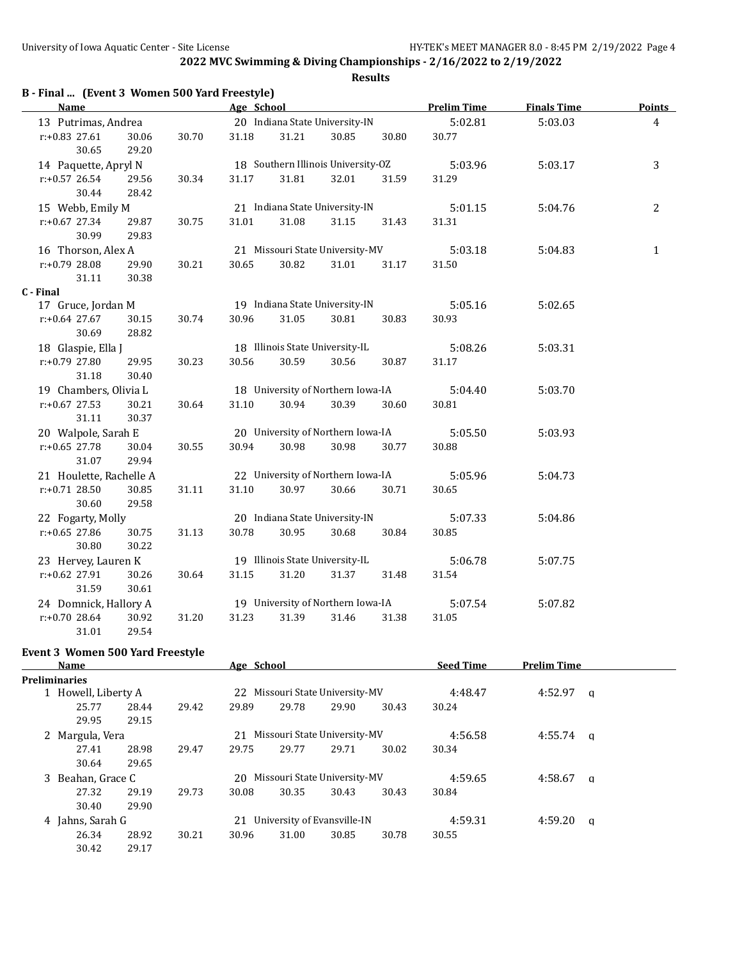| B - Final  (Event 3 Women 500 Yard Freestyle) |                |       |            |       |                                    |       |                    |                    |                |
|-----------------------------------------------|----------------|-------|------------|-------|------------------------------------|-------|--------------------|--------------------|----------------|
| <b>Name</b>                                   |                |       | Age School |       |                                    |       | <b>Prelim Time</b> | <b>Finals Time</b> | <b>Points</b>  |
| 13 Putrimas, Andrea                           |                |       |            |       | 20 Indiana State University-IN     |       | 5:02.81            | 5:03.03            | $\overline{4}$ |
| $r: +0.83$ 27.61<br>30.65                     | 30.06<br>29.20 | 30.70 | 31.18      | 31.21 | 30.85                              | 30.80 | 30.77              |                    |                |
| 14 Paquette, Apryl N                          |                |       |            |       | 18 Southern Illinois University-OZ |       | 5:03.96            | 5:03.17            | 3              |
| $r: +0.57$ 26.54<br>30.44                     | 29.56<br>28.42 | 30.34 | 31.17      | 31.81 | 32.01                              | 31.59 | 31.29              |                    |                |
| 15 Webb, Emily M                              |                |       |            |       | 21 Indiana State University-IN     |       | 5:01.15            | 5:04.76            | 2              |
| $r: +0.67$ 27.34<br>30.99                     | 29.87<br>29.83 | 30.75 | 31.01      | 31.08 | 31.15                              | 31.43 | 31.31              |                    |                |
| 16 Thorson, Alex A                            |                |       |            |       | 21 Missouri State University-MV    |       | 5:03.18            | 5:04.83            | $\mathbf{1}$   |
| r:+0.79 28.08<br>31.11                        | 29.90<br>30.38 | 30.21 | 30.65      | 30.82 | 31.01                              | 31.17 | 31.50              |                    |                |
| C - Final                                     |                |       |            |       |                                    |       |                    |                    |                |
| 17 Gruce, Jordan M                            |                |       |            |       | 19 Indiana State University-IN     |       | 5:05.16            | 5:02.65            |                |
| $r: +0.64$ 27.67<br>30.69                     | 30.15<br>28.82 | 30.74 | 30.96      | 31.05 | 30.81                              | 30.83 | 30.93              |                    |                |
| 18 Glaspie, Ella J                            |                |       |            |       | 18 Illinois State University-IL    |       | 5:08.26            | 5:03.31            |                |
| r:+0.79 27.80<br>31.18                        | 29.95<br>30.40 | 30.23 | 30.56      | 30.59 | 30.56                              | 30.87 | 31.17              |                    |                |
| 19 Chambers, Olivia L                         |                |       |            |       | 18 University of Northern Iowa-IA  |       | 5:04.40            | 5:03.70            |                |
| $r: +0.67$ 27.53<br>31.11                     | 30.21<br>30.37 | 30.64 | 31.10      | 30.94 | 30.39                              | 30.60 | 30.81              |                    |                |
| 20 Walpole, Sarah E                           |                |       |            |       | 20 University of Northern Iowa-IA  |       | 5:05.50            | 5:03.93            |                |
| $r: +0.65$ 27.78<br>31.07                     | 30.04<br>29.94 | 30.55 | 30.94      | 30.98 | 30.98                              | 30.77 | 30.88              |                    |                |
| 21 Houlette, Rachelle A                       |                |       |            |       | 22 University of Northern Iowa-IA  |       | 5:05.96            | 5:04.73            |                |
| $r: +0.71$ 28.50<br>30.60                     | 30.85<br>29.58 | 31.11 | 31.10      | 30.97 | 30.66                              | 30.71 | 30.65              |                    |                |
| 22 Fogarty, Molly                             |                |       |            |       | 20 Indiana State University-IN     |       | 5:07.33            | 5:04.86            |                |
| r:+0.65 27.86<br>30.80                        | 30.75<br>30.22 | 31.13 | 30.78      | 30.95 | 30.68                              | 30.84 | 30.85              |                    |                |
| 23 Hervey, Lauren K                           |                |       |            |       | 19 Illinois State University-IL    |       | 5:06.78            | 5:07.75            |                |
| r:+0.62 27.91<br>31.59                        | 30.26<br>30.61 | 30.64 | 31.15      | 31.20 | 31.37                              | 31.48 | 31.54              |                    |                |
| 24 Domnick, Hallory A                         |                |       |            |       | 19 University of Northern Iowa-IA  |       | 5:07.54            | 5:07.82            |                |
| r:+0.70 28.64                                 | 30.92          | 31.20 | 31.23      | 31.39 | 31.46                              | 31.38 | 31.05              |                    |                |

#### **Event 3 Women 500 Yard Freestyle**

31.01 29.54

| Name                |       |       | Age School |       |                                 |       | <b>Seed Time</b> | <b>Prelim Time</b> |          |
|---------------------|-------|-------|------------|-------|---------------------------------|-------|------------------|--------------------|----------|
| Preliminaries       |       |       |            |       |                                 |       |                  |                    |          |
| 1 Howell, Liberty A |       |       |            |       | 22 Missouri State University-MV |       | 4:48.47          | 4:52.97            | a        |
| 25.77               | 28.44 | 29.42 | 29.89      | 29.78 | 29.90                           | 30.43 | 30.24            |                    |          |
| 29.95               | 29.15 |       |            |       |                                 |       |                  |                    |          |
| 2 Margula, Vera     |       |       | 21         |       | Missouri State University-MV    |       | 4:56.58          | 4:55.74            | <b>a</b> |
| 27.41               | 28.98 | 29.47 | 29.75      | 29.77 | 29.71                           | 30.02 | 30.34            |                    |          |
| 30.64               | 29.65 |       |            |       |                                 |       |                  |                    |          |
| 3 Beahan, Grace C   |       |       |            |       | 20 Missouri State University-MV |       | 4:59.65          | 4:58.67            | a        |
| 27.32               | 29.19 | 29.73 | 30.08      | 30.35 | 30.43                           | 30.43 | 30.84            |                    |          |
| 30.40               | 29.90 |       |            |       |                                 |       |                  |                    |          |
| 4 Jahns, Sarah G    |       |       | 21         |       | University of Evansville-IN     |       | 4:59.31          | 4:59.20            | a        |
| 26.34               | 28.92 | 30.21 | 30.96      | 31.00 | 30.85                           | 30.78 | 30.55            |                    |          |
| 30.42               | 29.17 |       |            |       |                                 |       |                  |                    |          |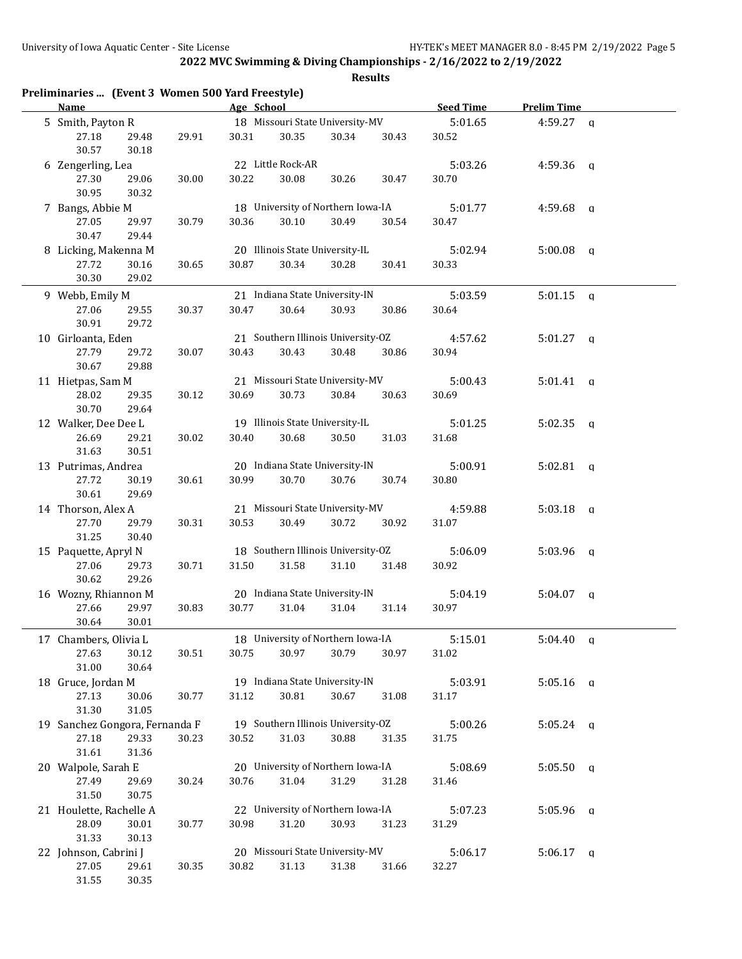| Preliminaries  (Event 3 Women 500 Yard Freestyle)<br><b>Name</b> |       | Age School |                   |                                    |       | <b>Seed Time</b> | <b>Prelim Time</b> |              |
|------------------------------------------------------------------|-------|------------|-------------------|------------------------------------|-------|------------------|--------------------|--------------|
| 5 Smith, Payton R                                                |       |            |                   | 18 Missouri State University-MV    |       | 5:01.65          | $4:59.27$ q        |              |
| 27.18<br>29.48<br>30.57<br>30.18                                 | 29.91 | 30.31      | 30.35             | 30.34                              | 30.43 | 30.52            |                    |              |
| 6 Zengerling, Lea                                                |       |            | 22 Little Rock-AR |                                    |       | 5:03.26          | 4:59.36 $q$        |              |
| 27.30<br>29.06<br>30.95<br>30.32                                 | 30.00 | 30.22      | 30.08             | 30.26                              | 30.47 | 30.70            |                    |              |
| 7 Bangs, Abbie M                                                 |       |            |                   | 18 University of Northern Iowa-IA  |       | 5:01.77          | 4:59.68            | $\mathsf{q}$ |
| 27.05<br>29.97                                                   | 30.79 | 30.36      | 30.10             | 30.49                              | 30.54 | 30.47            |                    |              |
| 30.47<br>29.44                                                   |       |            |                   |                                    |       |                  |                    |              |
| 8 Licking, Makenna M                                             |       |            |                   | 20 Illinois State University-IL    |       | 5:02.94          | 5:00.08            | q            |
| 27.72<br>30.16                                                   | 30.65 | 30.87      | 30.34             | 30.28                              | 30.41 | 30.33            |                    |              |
| 30.30<br>29.02                                                   |       |            |                   |                                    |       |                  |                    |              |
| 9 Webb, Emily M                                                  |       |            |                   | 21 Indiana State University-IN     |       | 5:03.59          | 5:01.15            | $\mathbf{q}$ |
| 27.06<br>29.55<br>30.91<br>29.72                                 | 30.37 | 30.47      | 30.64             | 30.93                              | 30.86 | 30.64            |                    |              |
| 10 Girloanta, Eden                                               |       |            |                   | 21 Southern Illinois University-OZ |       | 4:57.62          | $5:01.27$ q        |              |
| 27.79<br>29.72<br>30.67<br>29.88                                 | 30.07 | 30.43      | 30.43             | 30.48                              | 30.86 | 30.94            |                    |              |
| 11 Hietpas, Sam M                                                |       |            |                   | 21 Missouri State University-MV    |       | 5:00.43          | 5:01.41            | $\alpha$     |
| 28.02<br>29.35<br>30.70<br>29.64                                 | 30.12 | 30.69      | 30.73             | 30.84                              | 30.63 | 30.69            |                    |              |
| 12 Walker, Dee Dee L                                             |       |            |                   | 19 Illinois State University-IL    |       | 5:01.25          | 5:02.35            | a            |
| 26.69<br>29.21<br>31.63<br>30.51                                 | 30.02 | 30.40      | 30.68             | 30.50                              | 31.03 | 31.68            |                    |              |
| 13 Putrimas, Andrea                                              |       |            |                   | 20 Indiana State University-IN     |       | 5:00.91          | $5:02.81$ q        |              |
| 27.72<br>30.19<br>30.61<br>29.69                                 | 30.61 | 30.99      | 30.70             | 30.76                              | 30.74 | 30.80            |                    |              |
| 14 Thorson, Alex A                                               |       |            |                   | 21 Missouri State University-MV    |       | 4:59.88          | $5:03.18$ q        |              |
| 27.70<br>29.79<br>31.25<br>30.40                                 | 30.31 | 30.53      | 30.49             | 30.72                              | 30.92 | 31.07            |                    |              |
| 15 Paquette, Apryl N                                             |       |            |                   | 18 Southern Illinois University-OZ |       | 5:06.09          | $5:03.96$ q        |              |
| 27.06<br>29.73<br>30.62<br>29.26                                 | 30.71 | 31.50      | 31.58             | 31.10                              | 31.48 | 30.92            |                    |              |
| 16 Wozny, Rhiannon M                                             |       |            |                   | 20 Indiana State University-IN     |       | 5:04.19          | 5:04.07            | q            |
| 27.66<br>29.97<br>30.64<br>30.01                                 | 30.83 | 30.77      | 31.04             | 31.04                              | 31.14 | 30.97            |                    |              |
| 17 Chambers, Olivia L                                            |       |            |                   | 18 University of Northern Iowa-IA  |       | 5:15.01          | $5:04.40$ a        |              |
| 27.63<br>30.12<br>31.00<br>30.64                                 | 30.51 | 30.75      | 30.97             | 30.79                              | 30.97 | 31.02            |                    |              |
| 18 Gruce, Jordan M                                               |       |            |                   | 19 Indiana State University-IN     |       | 5:03.91          | $5:05.16$ a        |              |
| 27.13<br>30.06<br>31.30<br>31.05                                 | 30.77 | 31.12      | 30.81             | 30.67                              | 31.08 | 31.17            |                    |              |
| 19 Sanchez Gongora, Fernanda F                                   |       |            |                   | 19 Southern Illinois University-OZ |       | 5:00.26          | $5:05.24$ q        |              |
| 27.18<br>29.33<br>31.61<br>31.36                                 | 30.23 | 30.52      | 31.03             | 30.88                              | 31.35 | 31.75            |                    |              |
| 20 Walpole, Sarah E                                              |       |            |                   | 20 University of Northern Iowa-IA  |       | 5:08.69          | $5:05.50$ a        |              |
| 27.49<br>29.69<br>31.50<br>30.75                                 | 30.24 | 30.76      | 31.04             | 31.29                              | 31.28 | 31.46            |                    |              |
| 21 Houlette, Rachelle A                                          |       |            |                   | 22 University of Northern Iowa-IA  |       | 5:07.23          | $5:05.96$ q        |              |
| 28.09<br>30.01<br>31.33<br>30.13                                 | 30.77 | 30.98      | 31.20             | 30.93                              | 31.23 | 31.29            |                    |              |
| 22 Johnson, Cabrini J                                            |       |            |                   | 20 Missouri State University-MV    |       | 5:06.17          | $5:06.17$ q        |              |
| 27.05<br>29.61<br>31.55<br>$30.35\,$                             | 30.35 | 30.82      | 31.13             | 31.38                              | 31.66 | 32.27            |                    |              |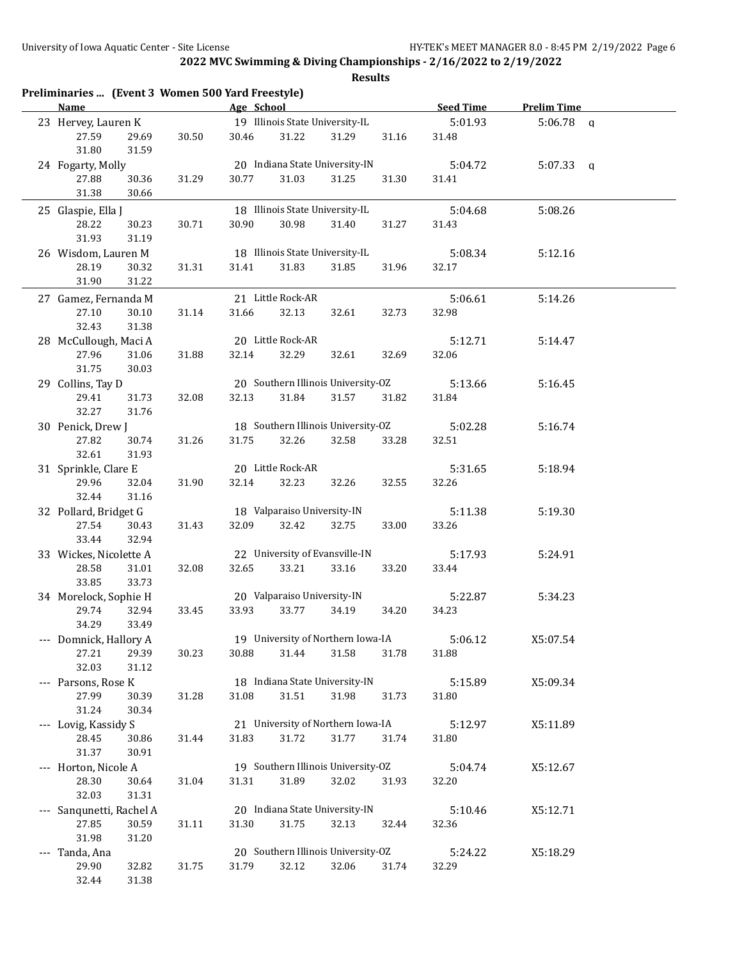| Preliminaries  (Event 3 Women 500 Yard Freestyle)<br><b>Name</b> |       | Age School |                                    |       |       | Seed Time | <b>Prelim Time</b> |  |
|------------------------------------------------------------------|-------|------------|------------------------------------|-------|-------|-----------|--------------------|--|
| 23 Hervey, Lauren K                                              |       |            | 19 Illinois State University-IL    |       |       | 5:01.93   | $5:06.78$ a        |  |
| 27.59<br>29.69<br>31.80<br>31.59                                 | 30.50 | 30.46      | 31.22                              | 31.29 | 31.16 | 31.48     |                    |  |
| 24 Fogarty, Molly                                                |       |            | 20 Indiana State University-IN     |       |       | 5:04.72   | $5:07.33$ q        |  |
| 27.88<br>30.36                                                   | 31.29 | 30.77      | 31.03                              | 31.25 | 31.30 | 31.41     |                    |  |
| 31.38<br>30.66                                                   |       |            |                                    |       |       |           |                    |  |
| 25 Glaspie, Ella J                                               |       |            | 18 Illinois State University-IL    |       |       | 5:04.68   | 5:08.26            |  |
| 28.22<br>30.23                                                   | 30.71 | 30.90      | 30.98                              | 31.40 | 31.27 | 31.43     |                    |  |
| 31.93<br>31.19                                                   |       |            |                                    |       |       |           |                    |  |
| 26 Wisdom, Lauren M                                              |       |            | 18 Illinois State University-IL    |       |       | 5:08.34   | 5:12.16            |  |
| 28.19<br>30.32                                                   | 31.31 | 31.41      | 31.83                              | 31.85 | 31.96 | 32.17     |                    |  |
| 31.90<br>31.22                                                   |       |            |                                    |       |       |           |                    |  |
| 27 Gamez, Fernanda M                                             |       |            | 21 Little Rock-AR                  |       |       | 5:06.61   | 5:14.26            |  |
| 27.10<br>30.10                                                   | 31.14 | 31.66      | 32.13                              | 32.61 | 32.73 | 32.98     |                    |  |
| 32.43<br>31.38                                                   |       |            |                                    |       |       |           |                    |  |
| 28 McCullough, Maci A                                            |       |            | 20 Little Rock-AR                  |       |       | 5:12.71   | 5:14.47            |  |
| 27.96<br>31.06                                                   | 31.88 | 32.14      | 32.29                              | 32.61 | 32.69 | 32.06     |                    |  |
| 31.75<br>30.03                                                   |       |            |                                    |       |       |           |                    |  |
| 29 Collins, Tay D                                                |       |            | 20 Southern Illinois University-OZ |       |       | 5:13.66   | 5:16.45            |  |
| 29.41<br>31.73                                                   | 32.08 | 32.13      | 31.84                              | 31.57 | 31.82 | 31.84     |                    |  |
| 32.27<br>31.76                                                   |       |            | 18 Southern Illinois University-OZ |       |       |           |                    |  |
| 30 Penick, Drew J<br>27.82                                       |       |            |                                    |       |       | 5:02.28   | 5:16.74            |  |
| 30.74<br>32.61<br>31.93                                          | 31.26 | 31.75      | 32.26                              | 32.58 | 33.28 | 32.51     |                    |  |
| 31 Sprinkle, Clare E                                             |       |            | 20 Little Rock-AR                  |       |       | 5:31.65   | 5:18.94            |  |
| 29.96<br>32.04                                                   | 31.90 | 32.14      | 32.23                              | 32.26 | 32.55 | 32.26     |                    |  |
| 32.44<br>31.16                                                   |       |            |                                    |       |       |           |                    |  |
| 32 Pollard, Bridget G                                            |       |            | 18 Valparaiso University-IN        |       |       | 5:11.38   | 5:19.30            |  |
| 27.54<br>30.43                                                   | 31.43 | 32.09      | 32.42                              | 32.75 | 33.00 | 33.26     |                    |  |
| 33.44<br>32.94                                                   |       |            |                                    |       |       |           |                    |  |
| 33 Wickes, Nicolette A                                           |       |            | 22 University of Evansville-IN     |       |       | 5:17.93   | 5:24.91            |  |
| 28.58<br>31.01                                                   | 32.08 | 32.65      | 33.21                              | 33.16 | 33.20 | 33.44     |                    |  |
| 33.85<br>33.73                                                   |       |            |                                    |       |       |           |                    |  |
| 34 Morelock, Sophie H                                            |       |            | 20 Valparaiso University-IN        |       |       | 5:22.87   | 5:34.23            |  |
| 32.94<br>29.74                                                   | 33.45 | 33.93      | 33.77                              | 34.19 | 34.20 | 34.23     |                    |  |
| 33.49<br>34.29                                                   |       |            |                                    |       |       |           |                    |  |
| --- Domnick, Hallory A                                           |       |            | 19 University of Northern Iowa-IA  |       |       | 5:06.12   | X5:07.54           |  |
| 29.39<br>27.21                                                   | 30.23 | 30.88      | 31.44                              | 31.58 | 31.78 | 31.88     |                    |  |
| 32.03<br>31.12                                                   |       |            |                                    |       |       |           |                    |  |
| --- Parsons, Rose K                                              |       |            | 18 Indiana State University-IN     |       |       | 5:15.89   | X5:09.34           |  |
| 27.99<br>30.39                                                   | 31.28 | 31.08      | 31.51                              | 31.98 | 31.73 | 31.80     |                    |  |
| 31.24<br>30.34                                                   |       |            | 21 University of Northern Iowa-IA  |       |       |           |                    |  |
| --- Lovig, Kassidy S<br>28.45                                    |       | 31.83      | 31.72                              | 31.77 | 31.74 | 5:12.97   | X5:11.89           |  |
| 30.86<br>31.37<br>30.91                                          | 31.44 |            |                                    |       |       | 31.80     |                    |  |
| --- Horton, Nicole A                                             |       |            | 19 Southern Illinois University-OZ |       |       | 5:04.74   | X5:12.67           |  |
| 28.30<br>30.64                                                   | 31.04 | 31.31      | 31.89                              | 32.02 | 31.93 | 32.20     |                    |  |
| 32.03<br>31.31                                                   |       |            |                                    |       |       |           |                    |  |
| --- Sanqunetti, Rachel A                                         |       |            | 20 Indiana State University-IN     |       |       | 5:10.46   | X5:12.71           |  |
| 27.85<br>30.59                                                   | 31.11 | 31.30      | 31.75                              | 32.13 | 32.44 | 32.36     |                    |  |
| 31.98<br>31.20                                                   |       |            |                                    |       |       |           |                    |  |
| --- Tanda, Ana                                                   |       |            | 20 Southern Illinois University-OZ |       |       | 5:24.22   | X5:18.29           |  |
| 29.90<br>32.82                                                   | 31.75 | 31.79      | 32.12                              | 32.06 | 31.74 | 32.29     |                    |  |
| 32.44<br>31.38                                                   |       |            |                                    |       |       |           |                    |  |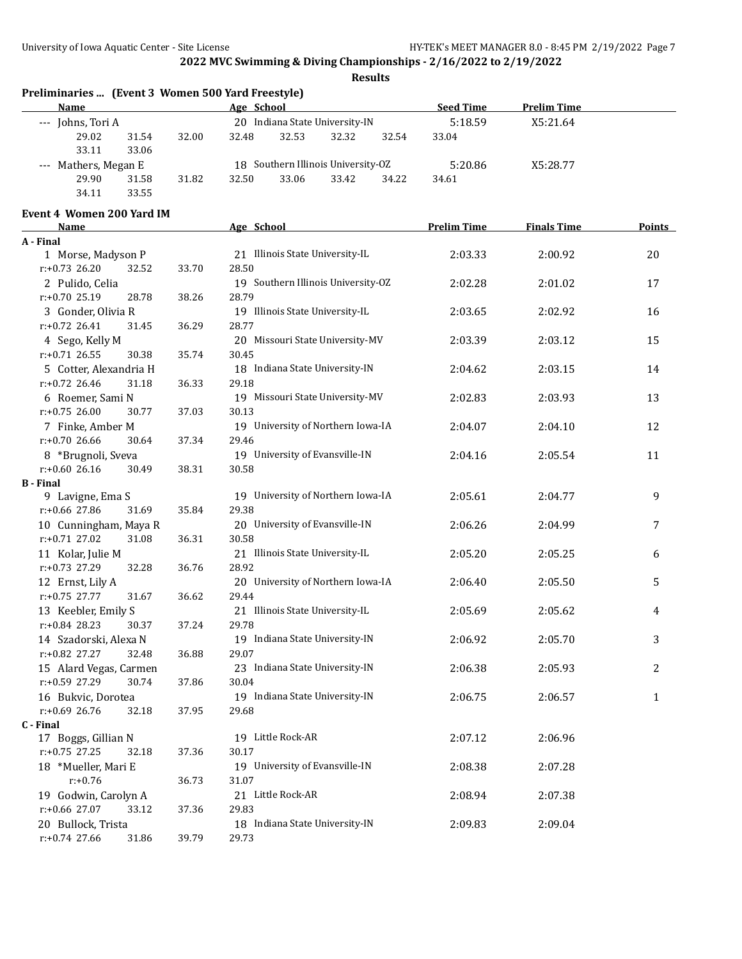| Preliminaries  (Event 3 Women 500 Yard Freestyle)<br><b>Name</b> |       | Age School                         | <b>Seed Time</b>   | <b>Prelim Time</b> |               |
|------------------------------------------------------------------|-------|------------------------------------|--------------------|--------------------|---------------|
| --- Johns, Tori A                                                |       | 20 Indiana State University-IN     | 5:18.59            | X5:21.64           |               |
| 29.02<br>31.54                                                   | 32.00 | 32.53<br>32.48<br>32.32<br>32.54   | 33.04              |                    |               |
| 33.11<br>33.06                                                   |       |                                    |                    |                    |               |
| --- Mathers, Megan E                                             |       | 18 Southern Illinois University-OZ | 5:20.86            | X5:28.77           |               |
| 29.90<br>31.58                                                   | 31.82 | 32.50<br>33.06<br>33.42<br>34.22   | 34.61              |                    |               |
| 34.11<br>33.55                                                   |       |                                    |                    |                    |               |
| Event 4 Women 200 Yard IM                                        |       |                                    |                    |                    |               |
| <b>Name</b>                                                      |       | Age School                         | <b>Prelim Time</b> | <b>Finals Time</b> | <b>Points</b> |
| A - Final                                                        |       |                                    |                    |                    |               |
| 1 Morse, Madyson P                                               |       | 21 Illinois State University-IL    | 2:03.33            | 2:00.92            | 20            |
| $r: +0.73$ 26.20<br>32.52                                        | 33.70 | 28.50                              |                    |                    |               |
| 2 Pulido, Celia                                                  |       | 19 Southern Illinois University-OZ | 2:02.28            | 2:01.02            | 17            |
| r:+0.70 25.19<br>28.78                                           | 38.26 | 28.79                              |                    |                    |               |
| 3 Gonder, Olivia R                                               |       | 19 Illinois State University-IL    | 2:03.65            | 2:02.92            | 16            |
| $r: +0.72$ 26.41<br>31.45                                        | 36.29 | 28.77                              |                    |                    |               |
| 4 Sego, Kelly M                                                  |       | 20 Missouri State University-MV    | 2:03.39            | 2:03.12            | 15            |
| $r: +0.71$ 26.55<br>30.38                                        | 35.74 | 30.45                              |                    |                    |               |
| 5 Cotter, Alexandria H                                           |       | 18 Indiana State University-IN     | 2:04.62            | 2:03.15            | 14            |
| $r: +0.72$ 26.46<br>31.18                                        | 36.33 | 29.18                              |                    |                    |               |
| 6 Roemer, Sami N                                                 |       | 19 Missouri State University-MV    | 2:02.83            | 2:03.93            | 13            |
| $r: +0.75$ 26.00<br>30.77                                        | 37.03 | 30.13                              |                    |                    |               |
| 7 Finke, Amber M                                                 |       | 19 University of Northern Iowa-IA  | 2:04.07            | 2:04.10            | 12            |
| $r: +0.7026.66$<br>30.64                                         | 37.34 | 29.46                              |                    |                    |               |
| 8 *Brugnoli, Sveva                                               |       | 19 University of Evansville-IN     | 2:04.16            | 2:05.54            | 11            |
| $r: +0.6026.16$<br>30.49                                         | 38.31 | 30.58                              |                    |                    |               |
| <b>B</b> - Final                                                 |       |                                    |                    |                    |               |
| 9 Lavigne, Ema S                                                 |       | 19 University of Northern Iowa-IA  | 2:05.61            | 2:04.77            | 9             |
| r:+0.66 27.86<br>31.69                                           | 35.84 | 29.38                              |                    |                    |               |
| 10 Cunningham, Maya R                                            |       | 20 University of Evansville-IN     | 2:06.26            | 2:04.99            | 7             |
| $r: +0.71$ 27.02<br>31.08                                        | 36.31 | 30.58                              |                    |                    |               |
| 11 Kolar, Julie M                                                |       | 21 Illinois State University-IL    | 2:05.20            | 2:05.25            | 6             |
| $r: +0.73$ 27.29<br>32.28                                        | 36.76 | 28.92                              |                    |                    |               |
| 12 Ernst, Lily A                                                 |       | 20 University of Northern Iowa-IA  | 2:06.40            | 2:05.50            | 5             |
| $r: +0.75$ 27.77<br>31.67                                        | 36.62 | 29.44                              |                    |                    |               |
| 13 Keebler, Emily S                                              |       | 21 Illinois State University-IL    | 2:05.69            | 2:05.62            | 4             |
| $r: +0.84$ 28.23<br>30.37                                        | 37.24 | 29.78                              |                    |                    |               |
| 14 Szadorski, Alexa N                                            |       | 19 Indiana State University-IN     | 2:06.92            | 2:05.70            | 3             |
| r:+0.82 27.27<br>32.48                                           | 36.88 | 29.07                              |                    |                    |               |
| 15 Alard Vegas, Carmen                                           |       | 23 Indiana State University-IN     | 2:06.38            | 2:05.93            | 2             |
| r:+0.59 27.29<br>30.74                                           | 37.86 | 30.04                              |                    |                    |               |
| 16 Bukvic, Dorotea                                               |       | 19 Indiana State University-IN     | 2:06.75            | 2:06.57            | 1             |
| $r: +0.69$ 26.76<br>32.18                                        | 37.95 | 29.68                              |                    |                    |               |
| C - Final                                                        |       |                                    |                    |                    |               |
| 17 Boggs, Gillian N                                              |       | 19 Little Rock-AR                  | 2:07.12            | 2:06.96            |               |
| r:+0.75 27.25<br>32.18                                           | 37.36 | 30.17                              |                    |                    |               |
| 18 *Mueller, Mari E                                              |       | 19 University of Evansville-IN     | 2:08.38            | 2:07.28            |               |
| $r: +0.76$                                                       | 36.73 | 31.07                              |                    |                    |               |
| 19 Godwin, Carolyn A                                             |       | 21 Little Rock-AR                  | 2:08.94            | 2:07.38            |               |
| r:+0.66 27.07<br>33.12                                           | 37.36 | 29.83                              |                    |                    |               |
| 20 Bullock, Trista                                               |       | 18 Indiana State University-IN     | 2:09.83            | 2:09.04            |               |
| r:+0.74 27.66<br>31.86                                           | 39.79 | 29.73                              |                    |                    |               |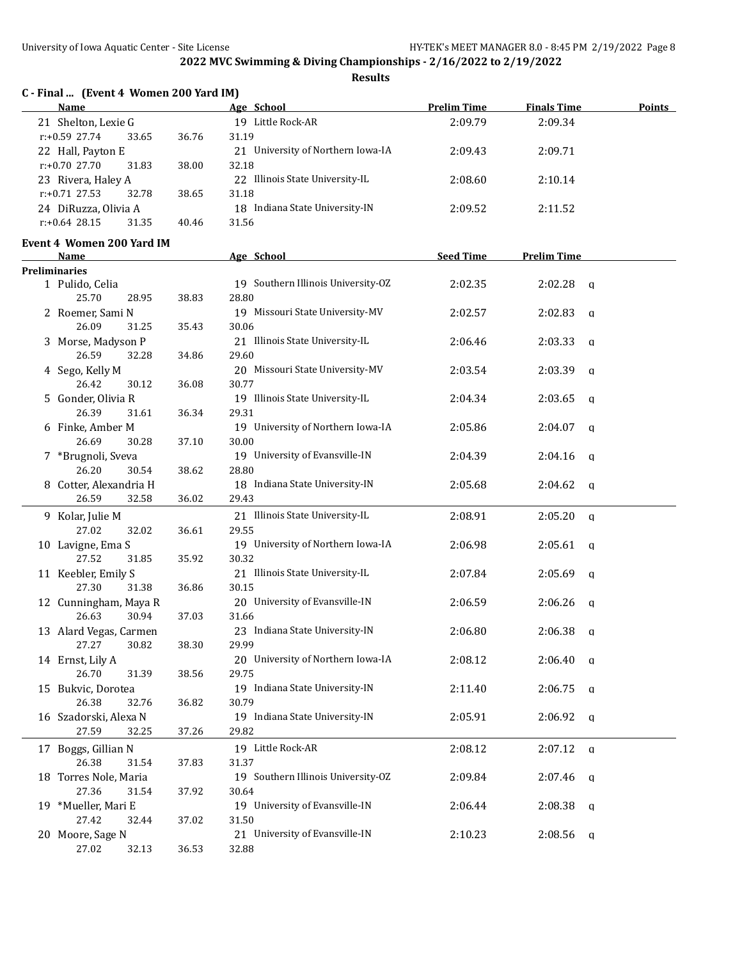| C - Final  (Event 4 Women 200 Yard IM)<br>Name |       | Age School                                 | <b>Prelim Time</b> | <b>Finals Time</b>      | <b>Points</b> |
|------------------------------------------------|-------|--------------------------------------------|--------------------|-------------------------|---------------|
| 21 Shelton, Lexie G                            |       | 19 Little Rock-AR                          | 2:09.79            | 2:09.34                 |               |
| $r: +0.59$ 27.74<br>33.65                      | 36.76 | 31.19                                      |                    |                         |               |
| 22 Hall, Payton E                              |       | 21 University of Northern Iowa-IA          | 2:09.43            | 2:09.71                 |               |
| $r: +0.70$ 27.70<br>31.83                      | 38.00 | 32.18                                      |                    |                         |               |
| 23 Rivera, Haley A                             |       | 22 Illinois State University-IL            | 2:08.60            | 2:10.14                 |               |
| $r: +0.71$ 27.53<br>32.78                      | 38.65 | 31.18                                      |                    |                         |               |
| 24 DiRuzza, Olivia A                           |       | 18 Indiana State University-IN             | 2:09.52            | 2:11.52                 |               |
| $r: +0.64$ 28.15<br>31.35                      | 40.46 | 31.56                                      |                    |                         |               |
|                                                |       |                                            |                    |                         |               |
| <b>Event 4 Women 200 Yard IM</b><br>Name       |       | Age School                                 | <b>Seed Time</b>   | <b>Prelim Time</b>      |               |
| <b>Preliminaries</b>                           |       |                                            |                    |                         |               |
| 1 Pulido, Celia                                |       | 19 Southern Illinois University-OZ         | 2:02.35            | 2:02.28<br>q            |               |
| 25.70<br>28.95                                 | 38.83 | 28.80                                      |                    |                         |               |
| 2 Roemer, Sami N                               |       | 19 Missouri State University-MV            | 2:02.57            | 2:02.83<br>q            |               |
| 26.09<br>31.25                                 | 35.43 | 30.06                                      |                    |                         |               |
| 3 Morse, Madyson P                             |       | 21 Illinois State University-IL            | 2:06.46            | 2:03.33<br>q            |               |
| 26.59<br>32.28                                 | 34.86 | 29.60                                      |                    |                         |               |
| 4 Sego, Kelly M                                |       | 20 Missouri State University-MV            | 2:03.54            | 2:03.39<br>q            |               |
| 26.42<br>30.12                                 | 36.08 | 30.77                                      |                    |                         |               |
| 5 Gonder, Olivia R                             |       | 19 Illinois State University-IL            | 2:04.34            | 2:03.65<br>q            |               |
| 26.39<br>31.61                                 | 36.34 | 29.31                                      |                    |                         |               |
| 6 Finke, Amber M                               |       | 19 University of Northern Iowa-IA          | 2:05.86            | 2:04.07<br>q            |               |
| 26.69<br>30.28                                 | 37.10 | 30.00                                      |                    |                         |               |
| 7 *Brugnoli, Sveva                             |       | 19 University of Evansville-IN             | 2:04.39            | 2:04.16<br>a            |               |
| 26.20<br>30.54                                 | 38.62 | 28.80                                      |                    |                         |               |
| 8 Cotter, Alexandria H                         |       | 18 Indiana State University-IN             | 2:05.68            | 2:04.62<br>a            |               |
| 26.59<br>32.58                                 | 36.02 | 29.43                                      |                    |                         |               |
| 9 Kolar, Julie M                               |       | 21 Illinois State University-IL            | 2:08.91            | 2:05.20                 |               |
| 27.02<br>32.02                                 | 36.61 | 29.55                                      |                    | $\mathbf{q}$            |               |
| 10 Lavigne, Ema S                              |       | 19 University of Northern Iowa-IA          | 2:06.98            |                         |               |
| 27.52<br>31.85                                 | 35.92 | 30.32                                      |                    | 2:05.61<br>a            |               |
| 11 Keebler, Emily S                            |       |                                            | 2:07.84            |                         |               |
| 27.30<br>31.38                                 | 36.86 | 21 Illinois State University-IL<br>30.15   |                    | 2:05.69<br>q            |               |
|                                                |       | 20 University of Evansville-IN             | 2:06.59            | 2:06.26                 |               |
| 12 Cunningham, Maya R<br>30.94<br>26.63        | 37.03 | 31.66                                      |                    | q                       |               |
|                                                |       | 23 Indiana State University-IN             |                    |                         |               |
| 13 Alard Vegas, Carmen                         |       |                                            | 2:06.80            | $2:06.38$ a             |               |
| 27.27<br>30.82                                 | 38.30 | 29.99<br>20 University of Northern Iowa-IA |                    |                         |               |
| 14 Ernst, Lily A                               |       |                                            | 2:08.12            | 2:06.40<br>q            |               |
| 26.70<br>31.39                                 | 38.56 | 29.75<br>19 Indiana State University-IN    |                    |                         |               |
| 15 Bukvic, Dorotea                             |       |                                            | 2:11.40            | 2:06.75<br>q            |               |
| 26.38<br>32.76                                 | 36.82 | 30.79                                      |                    |                         |               |
| 16 Szadorski, Alexa N                          |       | 19 Indiana State University-IN             | 2:05.91            | 2:06.92<br>q            |               |
| 27.59<br>32.25                                 | 37.26 | 29.82                                      |                    |                         |               |
| 17 Boggs, Gillian N                            |       | 19 Little Rock-AR                          | 2:08.12            | 2:07.12<br>$\mathbf{q}$ |               |
| 26.38<br>31.54                                 | 37.83 | 31.37                                      |                    |                         |               |
| 18 Torres Nole, Maria                          |       | 19 Southern Illinois University-OZ         | 2:09.84            | 2:07.46<br>q            |               |
| 27.36<br>31.54                                 | 37.92 | 30.64                                      |                    |                         |               |
| 19 *Mueller, Mari E                            |       | 19 University of Evansville-IN             | 2:06.44            | 2:08.38<br>q            |               |
| 27.42<br>32.44                                 | 37.02 | 31.50                                      |                    |                         |               |
| 20 Moore, Sage N                               |       | 21 University of Evansville-IN             | 2:10.23            | 2:08.56<br>q            |               |
| 32.13<br>27.02                                 | 36.53 | 32.88                                      |                    |                         |               |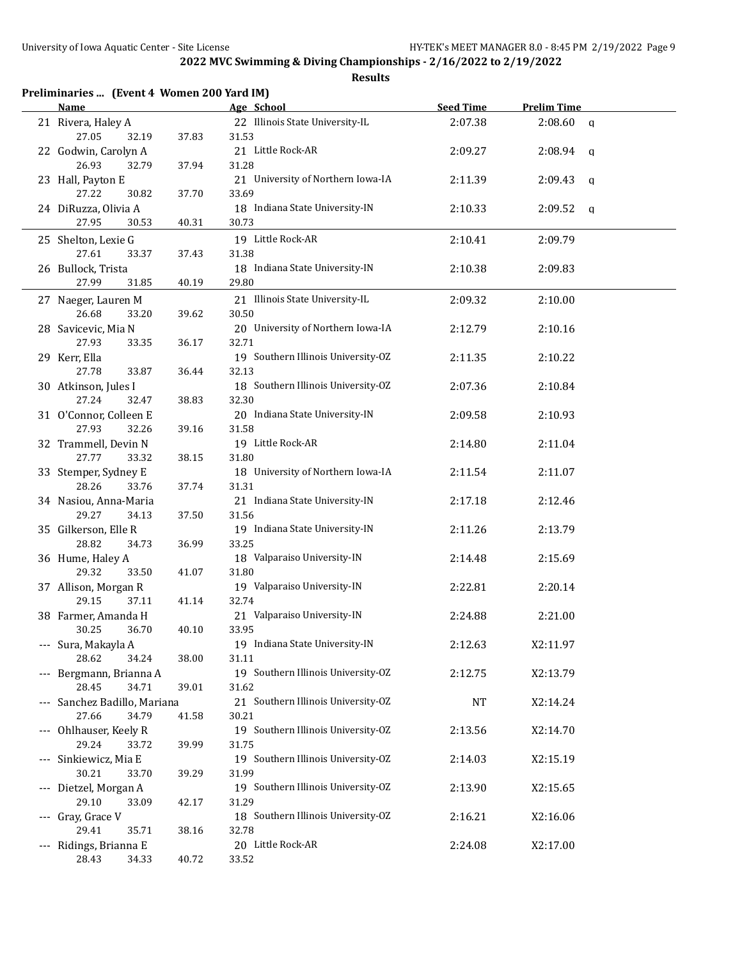| Preliminaries  (Event 4 Women 200 Yard IM)<br>Name |       | Age School                                  | <b>Seed Time</b> | <b>Prelim Time</b>      |  |
|----------------------------------------------------|-------|---------------------------------------------|------------------|-------------------------|--|
| 21 Rivera, Haley A                                 |       | 22 Illinois State University-IL             | 2:07.38          | 2:08.60<br>$\alpha$     |  |
| 27.05<br>32.19                                     | 37.83 | 31.53                                       |                  |                         |  |
| 22 Godwin, Carolyn A                               |       | 21 Little Rock-AR                           | 2:09.27          | 2:08.94<br>q            |  |
| 26.93<br>32.79                                     | 37.94 | 31.28                                       |                  |                         |  |
| 23 Hall, Payton E                                  |       | 21 University of Northern Iowa-IA           | 2:11.39          | 2:09.43<br>q            |  |
| 27.22<br>30.82                                     | 37.70 | 33.69                                       |                  |                         |  |
| 24 DiRuzza, Olivia A                               |       | 18 Indiana State University-IN              | 2:10.33          | 2:09.52<br>$\mathbf{q}$ |  |
| 27.95<br>30.53                                     | 40.31 | 30.73                                       |                  |                         |  |
| 25 Shelton, Lexie G                                |       | 19 Little Rock-AR                           | 2:10.41          | 2:09.79                 |  |
| 27.61<br>33.37                                     | 37.43 | 31.38                                       |                  |                         |  |
| 26 Bullock, Trista                                 |       | 18 Indiana State University-IN              | 2:10.38          | 2:09.83                 |  |
| 27.99<br>31.85                                     | 40.19 | 29.80                                       |                  |                         |  |
| 27 Naeger, Lauren M                                |       | 21 Illinois State University-IL             | 2:09.32          | 2:10.00                 |  |
| 26.68<br>33.20                                     | 39.62 | 30.50                                       |                  |                         |  |
| 28 Savicevic, Mia N                                |       | 20 University of Northern Iowa-IA           | 2:12.79          | 2:10.16                 |  |
| 27.93<br>33.35                                     | 36.17 | 32.71                                       |                  |                         |  |
| 29 Kerr, Ella<br>27.78<br>33.87                    | 36.44 | 19 Southern Illinois University-OZ<br>32.13 | 2:11.35          | 2:10.22                 |  |
| 30 Atkinson, Jules I                               |       | 18 Southern Illinois University-OZ          | 2:07.36          | 2:10.84                 |  |
| 27.24<br>32.47                                     | 38.83 | 32.30                                       |                  |                         |  |
| 31 O'Connor, Colleen E                             |       | 20 Indiana State University-IN              | 2:09.58          | 2:10.93                 |  |
| 27.93<br>32.26                                     | 39.16 | 31.58                                       |                  |                         |  |
| 32 Trammell, Devin N                               |       | 19 Little Rock-AR                           | 2:14.80          | 2:11.04                 |  |
| 27.77<br>33.32                                     | 38.15 | 31.80                                       |                  |                         |  |
| 33 Stemper, Sydney E                               |       | 18 University of Northern Iowa-IA           | 2:11.54          | 2:11.07                 |  |
| 28.26<br>33.76                                     | 37.74 | 31.31                                       |                  |                         |  |
| 34 Nasiou, Anna-Maria                              |       | 21 Indiana State University-IN              | 2:17.18          | 2:12.46                 |  |
| 29.27<br>34.13                                     | 37.50 | 31.56                                       |                  |                         |  |
| 35 Gilkerson, Elle R                               |       | 19 Indiana State University-IN              | 2:11.26          | 2:13.79                 |  |
| 28.82<br>34.73                                     | 36.99 | 33.25                                       |                  |                         |  |
| 36 Hume, Haley A                                   |       | 18 Valparaiso University-IN                 | 2:14.48          | 2:15.69                 |  |
| 29.32<br>33.50                                     | 41.07 | 31.80                                       |                  |                         |  |
| 37 Allison, Morgan R                               |       | 19 Valparaiso University-IN                 | 2:22.81          | 2:20.14                 |  |
| 29.15<br>37.11                                     | 41.14 | 32.74                                       |                  |                         |  |
| 38 Farmer, Amanda H                                |       | 21 Valparaiso University-IN                 | 2:24.88          | 2:21.00                 |  |
| 30.25<br>36.70                                     | 40.10 | 33.95                                       |                  |                         |  |
| --- Sura, Makayla A                                |       | 19 Indiana State University-IN              | 2:12.63          | X2:11.97                |  |
| 28.62<br>34.24                                     | 38.00 | 31.11<br>19 Southern Illinois University-OZ |                  |                         |  |
| --- Bergmann, Brianna A<br>28.45<br>34.71          | 39.01 | 31.62                                       | 2:12.75          | X2:13.79                |  |
| --- Sanchez Badillo, Mariana                       |       | 21 Southern Illinois University-OZ          | <b>NT</b>        | X2:14.24                |  |
| 27.66<br>34.79                                     | 41.58 | 30.21                                       |                  |                         |  |
| --- Ohlhauser, Keely R                             |       | 19 Southern Illinois University-OZ          | 2:13.56          | X2:14.70                |  |
| 29.24<br>33.72                                     | 39.99 | 31.75                                       |                  |                         |  |
| --- Sinkiewicz, Mia E                              |       | 19 Southern Illinois University-OZ          | 2:14.03          | X2:15.19                |  |
| 30.21<br>33.70                                     | 39.29 | 31.99                                       |                  |                         |  |
| --- Dietzel, Morgan A                              |       | 19 Southern Illinois University-OZ          | 2:13.90          | X2:15.65                |  |
| 29.10<br>33.09                                     | 42.17 | 31.29                                       |                  |                         |  |
| --- Gray, Grace V                                  |       | 18 Southern Illinois University-OZ          | 2:16.21          | X2:16.06                |  |
| 29.41<br>35.71                                     | 38.16 | 32.78                                       |                  |                         |  |
| --- Ridings, Brianna E                             |       | 20 Little Rock-AR                           | 2:24.08          | X2:17.00                |  |
| 28.43<br>34.33                                     | 40.72 | 33.52                                       |                  |                         |  |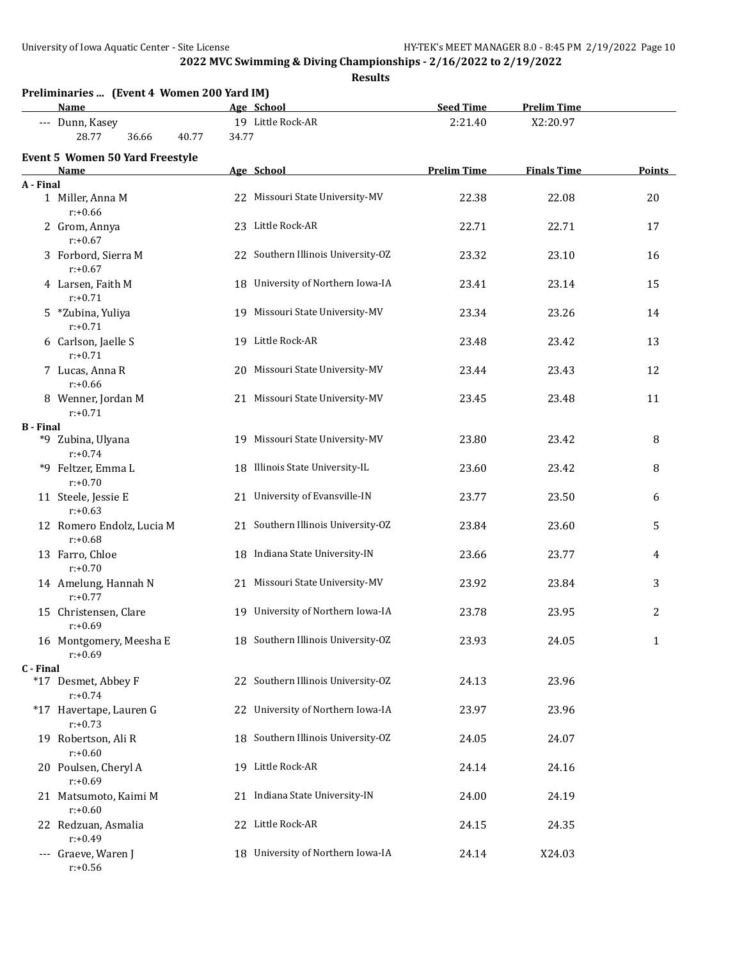|                  |                                                           |       | <b>Results</b>                     |                    |                    |              |
|------------------|-----------------------------------------------------------|-------|------------------------------------|--------------------|--------------------|--------------|
|                  | Preliminaries  (Event 4 Women 200 Yard IM)<br><b>Name</b> |       | Age School                         | <b>Seed Time</b>   | <b>Prelim Time</b> |              |
|                  | --- Dunn, Kasey                                           |       | 19 Little Rock-AR                  | 2:21.40            | X2:20.97           |              |
|                  | 28.77<br>36.66<br>40.77                                   | 34.77 |                                    |                    |                    |              |
|                  | <b>Event 5 Women 50 Yard Freestyle</b><br>Name            |       | Age School                         | <b>Prelim Time</b> | <b>Finals Time</b> | Points       |
| A - Final        |                                                           |       |                                    |                    |                    |              |
|                  | 1 Miller, Anna M<br>$r: +0.66$                            |       | 22 Missouri State University-MV    | 22.38              | 22.08              | 20           |
|                  | 2 Grom, Annya<br>$r: +0.67$                               |       | 23 Little Rock-AR                  | 22.71              | 22.71              | 17           |
|                  | 3 Forbord, Sierra M<br>$r: +0.67$                         |       | 22 Southern Illinois University-OZ | 23.32              | 23.10              | 16           |
|                  | 4 Larsen, Faith M<br>$r: +0.71$                           |       | 18 University of Northern Iowa-IA  | 23.41              | 23.14              | 15           |
|                  | 5 *Zubina, Yuliya<br>$r: +0.71$                           |       | 19 Missouri State University-MV    | 23.34              | 23.26              | 14           |
|                  | 6 Carlson, Jaelle S<br>$r: +0.71$                         |       | 19 Little Rock-AR                  | 23.48              | 23.42              | 13           |
|                  | 7 Lucas, Anna R<br>$r: +0.66$                             |       | 20 Missouri State University-MV    | 23.44              | 23.43              | 12           |
|                  | 8 Wenner, Jordan M<br>$r: +0.71$                          |       | 21 Missouri State University-MV    | 23.45              | 23.48              | 11           |
| <b>B</b> - Final |                                                           |       |                                    |                    |                    |              |
|                  | *9 Zubina, Ulyana<br>$r: +0.74$                           |       | 19 Missouri State University-MV    | 23.80              | 23.42              | 8            |
|                  | *9 Feltzer, Emma L<br>$r: +0.70$                          |       | 18 Illinois State University-IL    | 23.60              | 23.42              | 8            |
|                  | 11 Steele, Jessie E<br>$r: +0.63$                         |       | 21 University of Evansville-IN     | 23.77              | 23.50              | 6            |
|                  | 12 Romero Endolz, Lucia M<br>$r: +0.68$                   |       | 21 Southern Illinois University-OZ | 23.84              | 23.60              | 5            |
|                  | 13 Farro, Chloe<br>$r: +0.70$                             |       | 18 Indiana State University-IN     | 23.66              | 23.77              | 4            |
|                  | 14 Amelung, Hannah N<br>$r: +0.77$                        |       | 21 Missouri State University-MV    | 23.92              | 23.84              | 3            |
|                  | 15 Christensen, Clare<br>$r: +0.69$                       |       | 19 University of Northern Iowa-IA  | 23.78              | 23.95              | 2            |
|                  | 16 Montgomery, Meesha E<br>$r: +0.69$                     |       | 18 Southern Illinois University-OZ | 23.93              | 24.05              | $\mathbf{1}$ |
| C - Final        |                                                           |       |                                    |                    |                    |              |
|                  | *17 Desmet, Abbey F<br>$r: +0.74$                         |       | 22 Southern Illinois University-OZ | 24.13              | 23.96              |              |
|                  | *17 Havertape, Lauren G<br>$r: +0.73$                     |       | 22 University of Northern Iowa-IA  | 23.97              | 23.96              |              |
|                  | 19 Robertson, Ali R<br>$r: +0.60$                         |       | 18 Southern Illinois University-OZ | 24.05              | 24.07              |              |
|                  | 20 Poulsen, Cheryl A<br>$r: +0.69$                        |       | 19 Little Rock-AR                  | 24.14              | 24.16              |              |
|                  | 21 Matsumoto, Kaimi M<br>$r: +0.60$                       |       | 21 Indiana State University-IN     | 24.00              | 24.19              |              |
|                  | 22 Redzuan, Asmalia<br>$r: +0.49$                         |       | 22 Little Rock-AR                  | 24.15              | 24.35              |              |
|                  | --- Graeve, Waren J<br>$r: +0.56$                         |       | 18 University of Northern Iowa-IA  | 24.14              | X24.03             |              |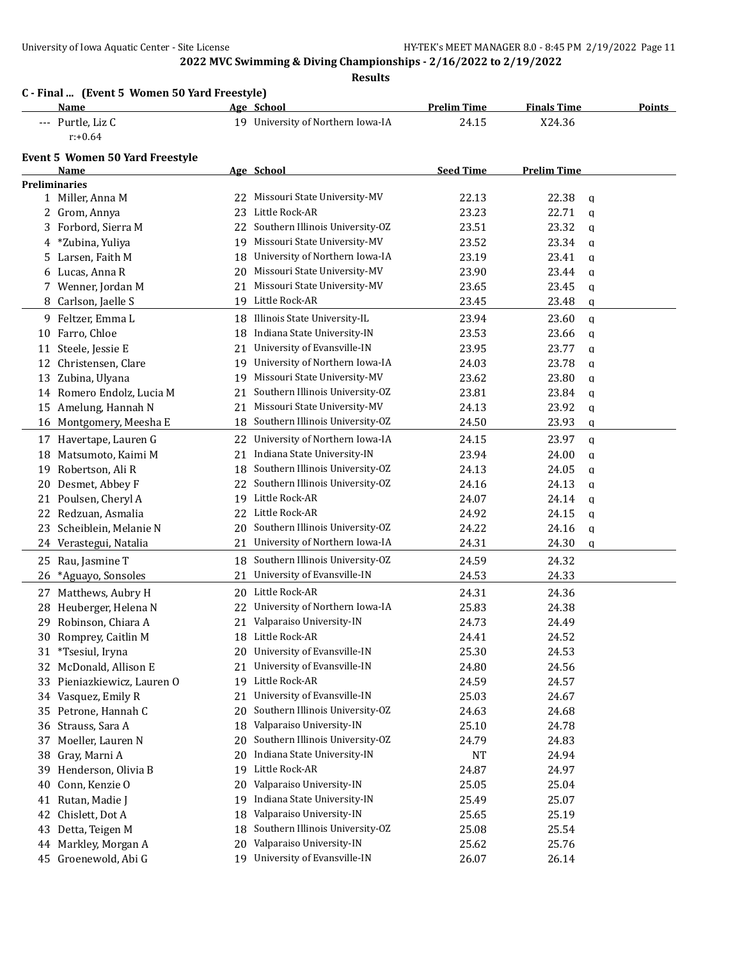|    | Name                                   |    | Age School                        | <b>Prelim Time</b> | <b>Finals Time</b>    | <b>Points</b> |
|----|----------------------------------------|----|-----------------------------------|--------------------|-----------------------|---------------|
|    | --- Purtle, Liz C                      |    | 19 University of Northern Iowa-IA | 24.15              | X24.36                |               |
|    | $r: +0.64$                             |    |                                   |                    |                       |               |
|    | <b>Event 5 Women 50 Yard Freestyle</b> |    |                                   |                    |                       |               |
|    | Name                                   |    | Age School                        | <b>Seed Time</b>   | <b>Prelim Time</b>    |               |
|    | <b>Preliminaries</b>                   |    |                                   |                    |                       |               |
|    | 1 Miller, Anna M                       | 22 | Missouri State University-MV      | 22.13              | 22.38<br>$\mathbf{q}$ |               |
|    | 2 Grom, Annya                          | 23 | Little Rock-AR                    | 23.23              | 22.71<br>$\mathbf{q}$ |               |
| 3  | Forbord, Sierra M                      | 22 | Southern Illinois University-OZ   | 23.51              | 23.32<br>$\mathbf{q}$ |               |
| 4  | *Zubina, Yuliya                        | 19 | Missouri State University-MV      | 23.52              | 23.34<br>q            |               |
|    | 5 Larsen, Faith M                      | 18 | University of Northern Iowa-IA    | 23.19              | 23.41<br>$\mathbf{q}$ |               |
|    | 6 Lucas, Anna R                        | 20 | Missouri State University-MV      | 23.90              | 23.44<br>q            |               |
|    | 7 Wenner, Jordan M                     | 21 | Missouri State University-MV      | 23.65              | 23.45<br>$\mathbf q$  |               |
|    | 8 Carlson, Jaelle S                    |    | 19 Little Rock-AR                 | 23.45              | 23.48<br>$\mathbf q$  |               |
|    | 9 Feltzer, Emma L                      | 18 | Illinois State University-IL      | 23.94              | 23.60<br>$\mathbf{q}$ |               |
|    | 10 Farro, Chloe                        | 18 | Indiana State University-IN       | 23.53              | 23.66<br>q            |               |
| 11 | Steele, Jessie E                       | 21 | University of Evansville-IN       | 23.95              | 23.77<br>$\mathbf{q}$ |               |
| 12 | Christensen, Clare                     | 19 | University of Northern Iowa-IA    | 24.03              | 23.78<br>$\mathbf q$  |               |
| 13 | Zubina, Ulyana                         | 19 | Missouri State University-MV      | 23.62              | 23.80<br>$\mathbf{q}$ |               |
|    | 14 Romero Endolz, Lucia M              | 21 | Southern Illinois University-OZ   | 23.81              | 23.84<br>q            |               |
|    | 15 Amelung, Hannah N                   | 21 | Missouri State University-MV      | 24.13              | 23.92<br>$\mathbf q$  |               |
|    | 16 Montgomery, Meesha E                | 18 | Southern Illinois University-OZ   | 24.50              | 23.93<br>$\mathbf q$  |               |
|    | 17 Havertape, Lauren G                 | 22 | University of Northern Iowa-IA    | 24.15              | 23.97<br>$\mathbf{q}$ |               |
| 18 | Matsumoto, Kaimi M                     | 21 | Indiana State University-IN       | 23.94              | 24.00<br>$\mathbf q$  |               |
| 19 | Robertson, Ali R                       | 18 | Southern Illinois University-OZ   | 24.13              | 24.05<br>$\mathbf q$  |               |
| 20 | Desmet, Abbey F                        | 22 | Southern Illinois University-OZ   | 24.16              | 24.13<br>$\mathbf{q}$ |               |
| 21 | Poulsen, Cheryl A                      | 19 | Little Rock-AR                    | 24.07              | 24.14<br>$\mathbf q$  |               |
| 22 | Redzuan, Asmalia                       | 22 | Little Rock-AR                    | 24.92              | 24.15<br>$\mathbf{q}$ |               |
| 23 | Scheiblein, Melanie N                  | 20 | Southern Illinois University-OZ   | 24.22              | 24.16<br>$\mathbf q$  |               |
| 24 | Verastegui, Natalia                    | 21 | University of Northern Iowa-IA    | 24.31              | 24.30<br>$\mathbf q$  |               |
| 25 | Rau, Jasmine T                         | 18 | Southern Illinois University-OZ   | 24.59              | 24.32                 |               |
| 26 | *Aguayo, Sonsoles                      | 21 | University of Evansville-IN       | 24.53              | 24.33                 |               |
| 27 | Matthews, Aubry H                      | 20 | Little Rock-AR                    | 24.31              | 24.36                 |               |
| 28 | Heuberger, Helena N                    | 22 | University of Northern Iowa-IA    | 25.83              | 24.38                 |               |
|    | 29 Robinson, Chiara A                  |    | 21 Valparaiso University-IN       | 24.73              | 24.49                 |               |
|    | 30 Romprey, Caitlin M                  | 18 | Little Rock-AR                    | 24.41              | 24.52                 |               |
| 31 | *Tsesiul, Iryna                        | 20 | University of Evansville-IN       | 25.30              | 24.53                 |               |
| 32 | McDonald, Allison E                    | 21 | University of Evansville-IN       | 24.80              | 24.56                 |               |
| 33 | Pieniazkiewicz, Lauren O               | 19 | Little Rock-AR                    | 24.59              | 24.57                 |               |
| 34 | Vasquez, Emily R                       | 21 | University of Evansville-IN       | 25.03              | 24.67                 |               |
| 35 | Petrone, Hannah C                      | 20 | Southern Illinois University-OZ   | 24.63              | 24.68                 |               |
| 36 | Strauss, Sara A                        | 18 | Valparaiso University-IN          | 25.10              | 24.78                 |               |
| 37 | Moeller, Lauren N                      | 20 | Southern Illinois University-OZ   | 24.79              | 24.83                 |               |
| 38 | Gray, Marni A                          | 20 | Indiana State University-IN       | <b>NT</b>          | 24.94                 |               |
| 39 | Henderson, Olivia B                    | 19 | Little Rock-AR                    | 24.87              | 24.97                 |               |
| 40 | Conn, Kenzie O                         | 20 | Valparaiso University-IN          | 25.05              | 25.04                 |               |
| 41 | Rutan, Madie J                         | 19 | Indiana State University-IN       | 25.49              | 25.07                 |               |
| 42 | Chislett, Dot A                        | 18 | Valparaiso University-IN          | 25.65              | 25.19                 |               |
| 43 | Detta, Teigen M                        | 18 | Southern Illinois University-OZ   | 25.08              | 25.54                 |               |
|    |                                        |    | Valparaiso University-IN          | 25.62              | 25.76                 |               |
| 44 | Markley, Morgan A                      | 20 |                                   |                    |                       |               |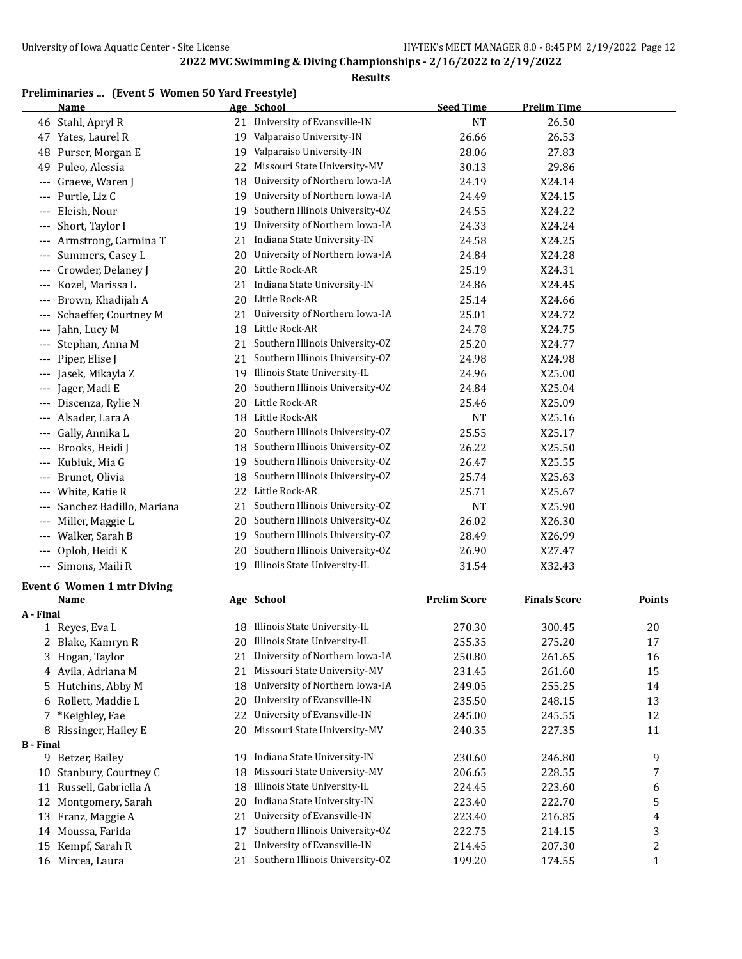#### **Results**

# **Preliminaries ... (Event 5 Women 50 Yard Freestyle)**

|                  | <b>Name</b>                                      |    | Age School                      | <b>Seed Time</b>    | <b>Prelim Time</b>  |                |
|------------------|--------------------------------------------------|----|---------------------------------|---------------------|---------------------|----------------|
|                  | 46 Stahl, Apryl R                                | 21 | University of Evansville-IN     | <b>NT</b>           | 26.50               |                |
|                  | 47 Yates, Laurel R                               | 19 | Valparaiso University-IN        | 26.66               | 26.53               |                |
| 48               | Purser, Morgan E                                 | 19 | Valparaiso University-IN        | 28.06               | 27.83               |                |
| 49               | Puleo, Alessia                                   | 22 | Missouri State University-MV    | 30.13               | 29.86               |                |
| ---              | Graeve, Waren J                                  | 18 | University of Northern Iowa-IA  | 24.19               | X24.14              |                |
|                  | Purtle, Liz C                                    | 19 | University of Northern Iowa-IA  | 24.49               | X24.15              |                |
|                  | Eleish, Nour                                     | 19 | Southern Illinois University-OZ | 24.55               | X24.22              |                |
|                  | Short, Taylor I                                  | 19 | University of Northern Iowa-IA  | 24.33               | X24.24              |                |
| ---              | Armstrong, Carmina T                             | 21 | Indiana State University-IN     | 24.58               | X24.25              |                |
| ---              | Summers, Casey L                                 | 20 | University of Northern Iowa-IA  | 24.84               | X24.28              |                |
| ---              | Crowder, Delaney J                               | 20 | Little Rock-AR                  | 25.19               | X24.31              |                |
| ---              | Kozel, Marissa L                                 | 21 | Indiana State University-IN     | 24.86               | X24.45              |                |
|                  | Brown, Khadijah A                                | 20 | Little Rock-AR                  | 25.14               | X24.66              |                |
|                  | Schaeffer, Courtney M                            | 21 | University of Northern Iowa-IA  | 25.01               | X24.72              |                |
|                  | Jahn, Lucy M                                     | 18 | Little Rock-AR                  | 24.78               | X24.75              |                |
| ---              | Stephan, Anna M                                  | 21 | Southern Illinois University-OZ | 25.20               | X24.77              |                |
| ---              | Piper, Elise J                                   | 21 | Southern Illinois University-OZ | 24.98               | X24.98              |                |
|                  | Jasek, Mikayla Z                                 |    | 19 Illinois State University-IL | 24.96               | X25.00              |                |
| ---              | Jager, Madi E                                    | 20 | Southern Illinois University-OZ | 24.84               | X25.04              |                |
|                  | Discenza, Rylie N                                | 20 | Little Rock-AR                  | 25.46               | X25.09              |                |
|                  | Alsader, Lara A                                  | 18 | Little Rock-AR                  | <b>NT</b>           | X25.16              |                |
| ---              | Gally, Annika L                                  | 20 | Southern Illinois University-OZ | 25.55               | X25.17              |                |
|                  | Brooks, Heidi J                                  | 18 | Southern Illinois University-OZ | 26.22               | X25.50              |                |
| ---              | Kubiuk, Mia G                                    | 19 | Southern Illinois University-OZ | 26.47               | X25.55              |                |
|                  | --- Brunet, Olivia                               | 18 | Southern Illinois University-OZ | 25.74               | X25.63              |                |
| ---              | White, Katie R                                   | 22 | Little Rock-AR                  | 25.71               | X25.67              |                |
| ---              | Sanchez Badillo, Mariana                         | 21 | Southern Illinois University-OZ | <b>NT</b>           | X25.90              |                |
| ---              | Miller, Maggie L                                 | 20 | Southern Illinois University-OZ | 26.02               | X26.30              |                |
|                  | Walker, Sarah B                                  | 19 | Southern Illinois University-OZ | 28.49               | X26.99              |                |
| ---              | Oploh, Heidi K                                   | 20 | Southern Illinois University-OZ | 26.90               | X27.47              |                |
|                  | --- Simons, Maili R                              | 19 | Illinois State University-IL    | 31.54               | X32.43              |                |
|                  |                                                  |    |                                 |                     |                     |                |
|                  | <b>Event 6 Women 1 mtr Diving</b><br><b>Name</b> |    | Age School                      | <b>Prelim Score</b> | <b>Finals Score</b> | <b>Points</b>  |
| A - Final        |                                                  |    |                                 |                     |                     |                |
|                  | 1 Reyes, Eva L                                   |    | 18 Illinois State University-IL | 270.30              | 300.45              | 20             |
|                  | 2 Blake, Kamryn R                                |    | 20 Illinois State University-IL | 255.35              | 275.20              | 17             |
|                  | 3 Hogan, Taylor                                  | 21 | University of Northern Iowa-IA  | 250.80              | 261.65              | 16             |
|                  | 4 Avila, Adriana M                               | 21 | Missouri State University-MV    | 231.45              | 261.60              | 15             |
| 5                | Hutchins, Abby M                                 | 18 | University of Northern Iowa-IA  | 249.05              | 255.25              | 14             |
|                  | 6 Rollett, Maddie L                              | 20 | University of Evansville-IN     | 235.50              | 248.15              | 13             |
| 7                | *Keighley, Fae                                   | 22 | University of Evansville-IN     | 245.00              | 245.55              | 12             |
|                  | 8 Rissinger, Hailey E                            | 20 | Missouri State University-MV    | 240.35              | 227.35              | 11             |
| <b>B</b> - Final |                                                  |    |                                 |                     |                     |                |
|                  | 9 Betzer, Bailey                                 | 19 | Indiana State University-IN     | 230.60              | 246.80              | 9              |
| 10               | Stanbury, Courtney C                             | 18 | Missouri State University-MV    | 206.65              | 228.55              | 7              |
| 11               | Russell, Gabriella A                             | 18 | Illinois State University-IL    | 224.45              | 223.60              | 6              |
| 12               | Montgomery, Sarah                                | 20 | Indiana State University-IN     | 223.40              | 222.70              | 5              |
|                  | 13 Franz, Maggie A                               | 21 | University of Evansville-IN     | 223.40              | 216.85              | 4              |
|                  | 14 Moussa, Farida                                | 17 | Southern Illinois University-OZ | 222.75              | 214.15              | 3              |
|                  | 15 Kempf, Sarah R                                | 21 | University of Evansville-IN     | 214.45              | 207.30              | $\overline{c}$ |

16 Mircea, Laura 21 Southern Illinois University-OZ 199.20 174.55 1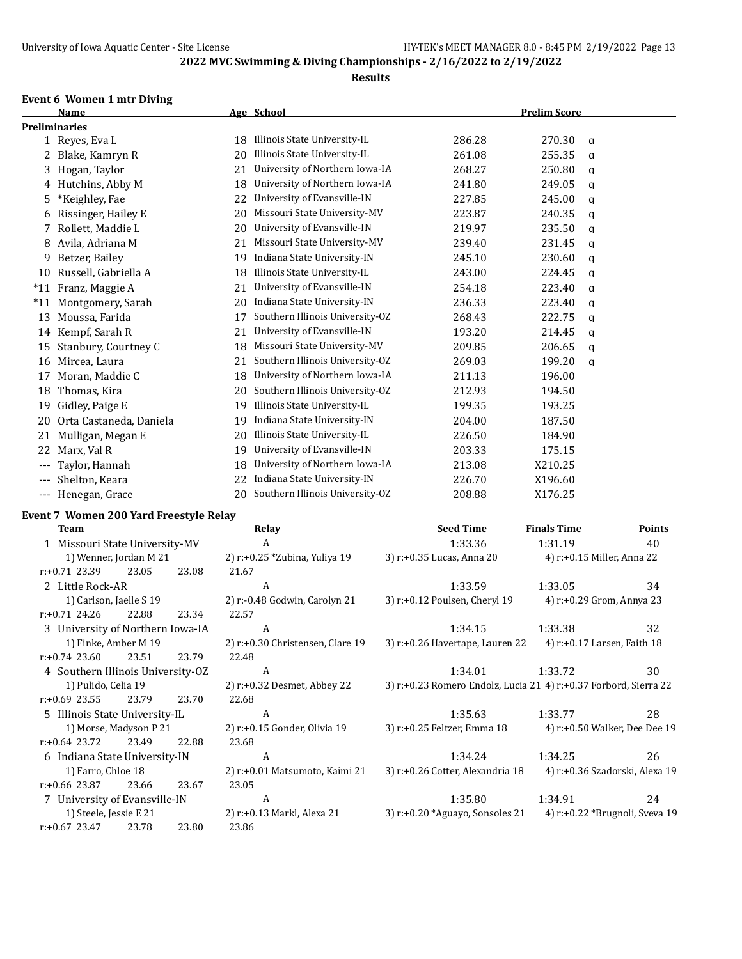#### **Results**

# **Event 6 Women 1 mtr Diving**

|                     | <b>Name</b>             |    | Age School                      | <b>Prelim Score</b> |             |  |
|---------------------|-------------------------|----|---------------------------------|---------------------|-------------|--|
|                     | Preliminaries           |    |                                 |                     |             |  |
|                     | 1 Reyes, Eva L          | 18 | Illinois State University-IL    | 286.28              | 270.30<br>a |  |
| 2                   | Blake, Kamryn R         | 20 | Illinois State University-IL    | 261.08              | 255.35<br>a |  |
| 3                   | Hogan, Taylor           | 21 | University of Northern Iowa-IA  | 268.27              | 250.80<br>a |  |
| 4                   | Hutchins, Abby M        | 18 | University of Northern Iowa-IA  | 241.80              | 249.05<br>a |  |
| 5.                  | *Keighley, Fae          | 22 | University of Evansville-IN     | 227.85              | 245.00<br>a |  |
| 6                   | Rissinger, Hailey E     | 20 | Missouri State University-MV    | 223.87              | 240.35<br>q |  |
| $\overline{7}$      | Rollett, Maddie L       | 20 | University of Evansville-IN     | 219.97              | 235.50<br>q |  |
| 8                   | Avila, Adriana M        | 21 | Missouri State University-MV    | 239.40              | 231.45<br>q |  |
| 9                   | Betzer, Bailey          | 19 | Indiana State University-IN     | 245.10              | 230.60<br>q |  |
| 10                  | Russell, Gabriella A    | 18 | Illinois State University-IL    | 243.00              | 224.45<br>a |  |
| $*11$               | Franz, Maggie A         | 21 | University of Evansville-IN     | 254.18              | 223.40<br>q |  |
| $*11$               | Montgomery, Sarah       | 20 | Indiana State University-IN     | 236.33              | 223.40<br>a |  |
| 13                  | Moussa, Farida          | 17 | Southern Illinois University-OZ | 268.43              | 222.75<br>q |  |
| 14                  | Kempf, Sarah R          | 21 | University of Evansville-IN     | 193.20              | 214.45<br>a |  |
| 15                  | Stanbury, Courtney C    | 18 | Missouri State University-MV    | 209.85              | 206.65<br>q |  |
| 16                  | Mircea, Laura           | 21 | Southern Illinois University-OZ | 269.03              | 199.20<br>a |  |
| 17                  | Moran, Maddie C         | 18 | University of Northern Iowa-IA  | 211.13              | 196.00      |  |
| 18                  | Thomas, Kira            | 20 | Southern Illinois University-OZ | 212.93              | 194.50      |  |
| 19                  | Gidley, Paige E         | 19 | Illinois State University-IL    | 199.35              | 193.25      |  |
| 20                  | Orta Castaneda, Daniela | 19 | Indiana State University-IN     | 204.00              | 187.50      |  |
| 21                  | Mulligan, Megan E       | 20 | Illinois State University-IL    | 226.50              | 184.90      |  |
| 22                  | Marx, Val R             | 19 | University of Evansville-IN     | 203.33              | 175.15      |  |
|                     | Taylor, Hannah          | 18 | University of Northern Iowa-IA  | 213.08              | X210.25     |  |
| $\qquad \qquad - -$ | Shelton, Keara          | 22 | Indiana State University-IN     | 226.70              | X196.60     |  |
| ---                 | Henegan, Grace          | 20 | Southern Illinois University-OZ | 208.88              | X176.25     |  |

# **Event 7 Women 200 Yard Freestyle Relay**

| Team                              |                        |       | <b>Relay</b>                        | <b>Seed Time</b>                                                 | <b>Finals Time</b>            | <b>Points</b>                  |
|-----------------------------------|------------------------|-------|-------------------------------------|------------------------------------------------------------------|-------------------------------|--------------------------------|
| 1 Missouri State University-MV    |                        |       | A                                   | 1:33.36                                                          | 1:31.19                       | 40                             |
|                                   | 1) Wenner, Jordan M 21 |       | 2) r:+0.25 *Zubina, Yuliya 19       | 3) r:+0.35 Lucas, Anna 20                                        | 4) r:+0.15 Miller, Anna 22    |                                |
| $r: +0.71$ 23.39 23.05            |                        | 23.08 | 21.67                               |                                                                  |                               |                                |
| 2 Little Rock-AR                  |                        |       | A                                   | 1:33.59                                                          | 1:33.05                       | 34                             |
| 1) Carlson, Jaelle S 19           |                        |       | 2) r:-0.48 Godwin, Carolyn 21       | 3) r:+0.12 Poulsen, Cheryl 19                                    | 4) r:+0.29 Grom, Annya 23     |                                |
| $r: +0.71$ 24.26                  | 22.88                  | 23.34 | 22.57                               |                                                                  |                               |                                |
| 3 University of Northern Iowa-IA  |                        |       | A                                   | 1:34.15                                                          | 1:33.38                       | 32                             |
| 1) Finke, Amber M 19              |                        |       | 2) $r: +0.30$ Christensen, Clare 19 | 3) r:+0.26 Havertape, Lauren 22                                  | 4) r:+0.17 Larsen, Faith 18   |                                |
| $r: +0.74$ 23.60                  | 23.51                  | 23.79 | 22.48                               |                                                                  |                               |                                |
| 4 Southern Illinois University-OZ |                        |       | A                                   | 1:34.01                                                          | 1:33.72                       | 30                             |
| 1) Pulido, Celia 19               |                        |       | 2) r:+0.32 Desmet, Abbey 22         | 3) r:+0.23 Romero Endolz, Lucia 21 4) r:+0.37 Forbord, Sierra 22 |                               |                                |
| $r: +0.69$ 23.55                  | 23.79                  | 23.70 | 22.68                               |                                                                  |                               |                                |
| 5 Illinois State University-IL    |                        |       | A                                   | 1:35.63                                                          | 1:33.77                       | 28                             |
|                                   | 1) Morse, Madyson P 21 |       | 2) r:+0.15 Gonder, Olivia 19        | 3) r:+0.25 Feltzer, Emma 18                                      | 4) r:+0.50 Walker, Dee Dee 19 |                                |
| $r: +0.64$ 23.72                  | 23.49                  | 22.88 | 23.68                               |                                                                  |                               |                                |
| 6 Indiana State University-IN     |                        |       | A                                   | 1:34.24                                                          | 1:34.25                       | 26                             |
| 1) Farro, Chloe 18                |                        |       | 2) r:+0.01 Matsumoto, Kaimi 21      | 3) r:+0.26 Cotter, Alexandria 18                                 |                               | 4) r:+0.36 Szadorski, Alexa 19 |
| r:+0.66 23.87                     | 23.66                  | 23.67 | 23.05                               |                                                                  |                               |                                |
| 7 University of Evansville-IN     |                        |       | A                                   | 1:35.80                                                          | 1:34.91                       | 24                             |
| 1) Steele, Jessie E 21            |                        |       | 2) r:+0.13 Markl, Alexa 21          | 3) r:+0.20 *Aguayo, Sonsoles 21 4) r:+0.22 *Brugnoli, Sveva 19   |                               |                                |
| r:+0.67 23.47                     | 23.78                  | 23.80 | 23.86                               |                                                                  |                               |                                |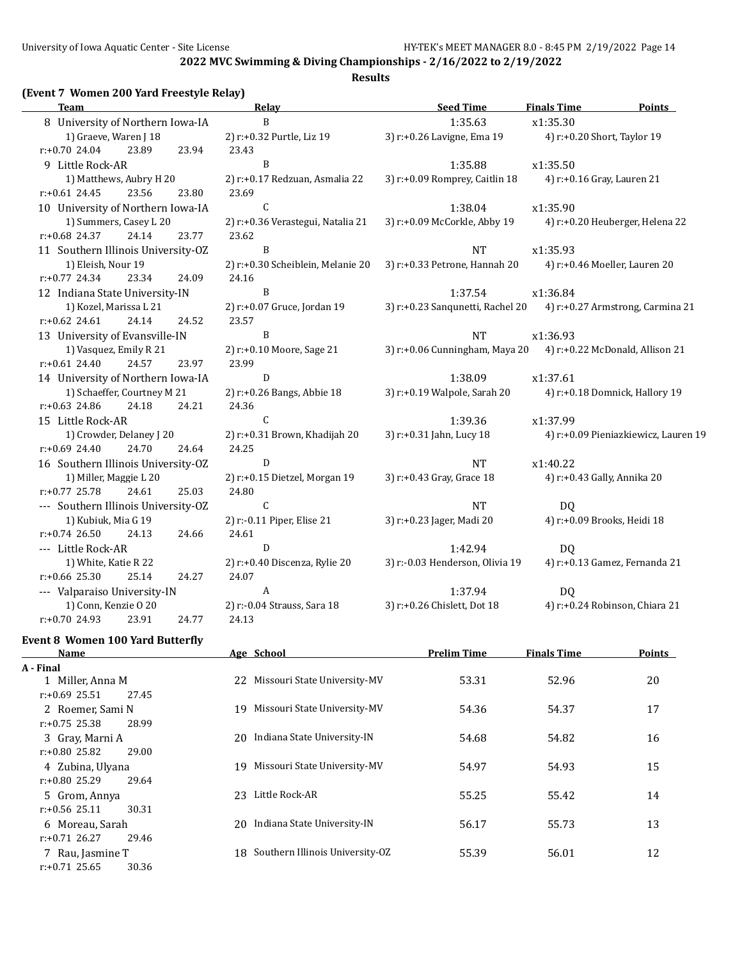#### **Results**

# **(Event 7 Women 200 Yard Freestyle Relay)**

| <b>Team</b>                         |       |       | <b>Relay</b>                      | <b>Seed Time</b>                                                  | <b>Finals Time</b>         | <b>Points</b>                        |
|-------------------------------------|-------|-------|-----------------------------------|-------------------------------------------------------------------|----------------------------|--------------------------------------|
| 8 University of Northern Iowa-IA    |       |       | $\overline{B}$                    | 1:35.63                                                           | x1:35.30                   |                                      |
| 1) Graeve, Waren J 18               |       |       | 2) r:+0.32 Purtle, Liz 19         | 3) r:+0.26 Lavigne, Ema 19                                        |                            | 4) r:+0.20 Short, Taylor 19          |
| $r: +0.70$ 24.04                    | 23.89 | 23.94 | 23.43                             |                                                                   |                            |                                      |
| 9 Little Rock-AR                    |       |       | B                                 | 1:35.88                                                           | x1:35.50                   |                                      |
| 1) Matthews, Aubry H 20             |       |       | 2) r:+0.17 Redzuan, Asmalia 22    | 3) r:+0.09 Romprey, Caitlin 18                                    | 4) r:+0.16 Gray, Lauren 21 |                                      |
| $r: +0.61$ 24.45                    | 23.56 | 23.80 | 23.69                             |                                                                   |                            |                                      |
| 10 University of Northern Iowa-IA   |       |       | $\mathsf C$                       | 1:38.04                                                           | x1:35.90                   |                                      |
| 1) Summers, Casey L 20              |       |       | 2) r:+0.36 Verastegui, Natalia 21 | 3) r:+0.09 McCorkle, Abby 19                                      |                            | 4) r:+0.20 Heuberger, Helena 22      |
| r:+0.68 24.37                       | 24.14 | 23.77 | 23.62                             |                                                                   |                            |                                      |
| 11 Southern Illinois University-OZ  |       |       | $\, {\bf B}$                      | <b>NT</b>                                                         | x1:35.93                   |                                      |
| 1) Eleish, Nour 19                  |       |       | 2) r:+0.30 Scheiblein, Melanie 20 | 3) r:+0.33 Petrone, Hannah 20                                     |                            | 4) r:+0.46 Moeller, Lauren 20        |
| $r: +0.77$ 24.34                    | 23.34 | 24.09 | 24.16                             |                                                                   |                            |                                      |
| 12 Indiana State University-IN      |       |       | $\mathbf{B}$                      | 1:37.54                                                           | x1:36.84                   |                                      |
| 1) Kozel, Marissa L 21              |       |       | 2) r:+0.07 Gruce, Jordan 19       | 3) r:+0.23 Sanqunetti, Rachel 20 4) r:+0.27 Armstrong, Carmina 21 |                            |                                      |
| $r: +0.62$ 24.61                    | 24.14 | 24.52 | 23.57                             |                                                                   |                            |                                      |
| 13 University of Evansville-IN      |       |       | B                                 | <b>NT</b>                                                         | x1:36.93                   |                                      |
| 1) Vasquez, Emily R 21              |       |       | 2) r:+0.10 Moore, Sage 21         | 3) r:+0.06 Cunningham, Maya 20 4) r:+0.22 McDonald, Allison 21    |                            |                                      |
| $r: +0.61$ 24.40                    | 24.57 | 23.97 | 23.99                             |                                                                   |                            |                                      |
| 14 University of Northern Iowa-IA   |       |       | $\mathbf D$                       | 1:38.09                                                           | x1:37.61                   |                                      |
| 1) Schaeffer, Courtney M 21         |       |       | 2) r:+0.26 Bangs, Abbie 18        | 3) r:+0.19 Walpole, Sarah 20                                      |                            | 4) r:+0.18 Domnick, Hallory 19       |
| $r: +0.63$ 24.86                    | 24.18 | 24.21 | 24.36                             |                                                                   |                            |                                      |
| 15 Little Rock-AR                   |       |       | $\mathsf{C}$                      | 1:39.36                                                           | x1:37.99                   |                                      |
| 1) Crowder, Delaney J 20            |       |       | 2) r:+0.31 Brown, Khadijah 20     | 3) r:+0.31 Jahn, Lucy 18                                          |                            | 4) r:+0.09 Pieniazkiewicz, Lauren 19 |
| $r: +0.69$ 24.40                    | 24.70 | 24.64 | 24.25                             |                                                                   |                            |                                      |
| 16 Southern Illinois University-OZ  |       |       | $\mathbf D$                       | <b>NT</b>                                                         | x1:40.22                   |                                      |
| 1) Miller, Maggie L 20              |       |       | 2) r:+0.15 Dietzel, Morgan 19     | 3) r:+0.43 Gray, Grace 18                                         |                            | 4) r:+0.43 Gally, Annika 20          |
| $r: +0.77$ 25.78                    | 24.61 | 25.03 | 24.80                             |                                                                   |                            |                                      |
| --- Southern Illinois University-OZ |       |       | $\mathsf{C}$                      | <b>NT</b>                                                         | DQ.                        |                                      |
| 1) Kubiuk, Mia G 19                 |       |       | 2) r:-0.11 Piper, Elise 21        | 3) r:+0.23 Jager, Madi 20                                         |                            | 4) r:+0.09 Brooks, Heidi 18          |
| $r: +0.74$ 26.50                    | 24.13 | 24.66 | 24.61                             |                                                                   |                            |                                      |
| --- Little Rock-AR                  |       |       | ${\bf D}$                         | 1:42.94                                                           | DQ                         |                                      |
| 1) White, Katie R 22                |       |       | 2) r:+0.40 Discenza, Rylie 20     | 3) r:-0.03 Henderson, Olivia 19                                   |                            | 4) r:+0.13 Gamez, Fernanda 21        |
| $r: +0.66$ 25.30                    | 25.14 | 24.27 | 24.07                             |                                                                   |                            |                                      |
| --- Valparaiso University-IN        |       |       | $\mathbf{A}$                      | 1:37.94                                                           | DQ                         |                                      |
| 1) Conn, Kenzie O 20                |       |       | 2) r:-0.04 Strauss, Sara 18       | 3) r:+0.26 Chislett, Dot 18                                       |                            | 4) r:+0.24 Robinson, Chiara 21       |
| $r: +0.70$ 24.93                    | 23.91 | 24.77 | 24.13                             |                                                                   |                            |                                      |
|                                     |       |       |                                   |                                                                   |                            |                                      |

#### **Event 8 Women 100 Yard Butterfly**

| Name                      | Age School                            | <b>Prelim Time</b> | <b>Finals Time</b> | Points |
|---------------------------|---------------------------------------|--------------------|--------------------|--------|
| A - Final                 |                                       |                    |                    |        |
| 1 Miller, Anna M          | Missouri State University-MV<br>22    | 53.31              | 52.96              | 20     |
| $r: +0.69$ 25.51<br>27.45 |                                       |                    |                    |        |
| 2 Roemer, Sami N          | Missouri State University-MV<br>19    | 54.36              | 54.37              | 17     |
| $r: +0.75$ 25.38<br>28.99 |                                       |                    |                    |        |
| 3 Gray, Marni A           | Indiana State University-IN<br>20     | 54.68              | 54.82              | 16     |
| $r: +0.80$ 25.82<br>29.00 |                                       |                    |                    |        |
| 4 Zubina, Ulyana          | Missouri State University-MV<br>19    | 54.97              | 54.93              | 15     |
| $r: +0.80$ 25.29<br>29.64 |                                       |                    |                    |        |
| 5 Grom, Annya             | Little Rock-AR<br>23                  | 55.25              | 55.42              | 14     |
| $r: +0.56$ 25.11<br>30.31 |                                       |                    |                    |        |
| 6 Moreau, Sarah           | Indiana State University-IN<br>20     | 56.17              | 55.73              | 13     |
| $r: +0.71$ 26.27<br>29.46 |                                       |                    |                    |        |
| 7 Rau, Jasmine T          | Southern Illinois University-OZ<br>18 | 55.39              | 56.01              | 12     |
| $r: +0.71$ 25.65<br>30.36 |                                       |                    |                    |        |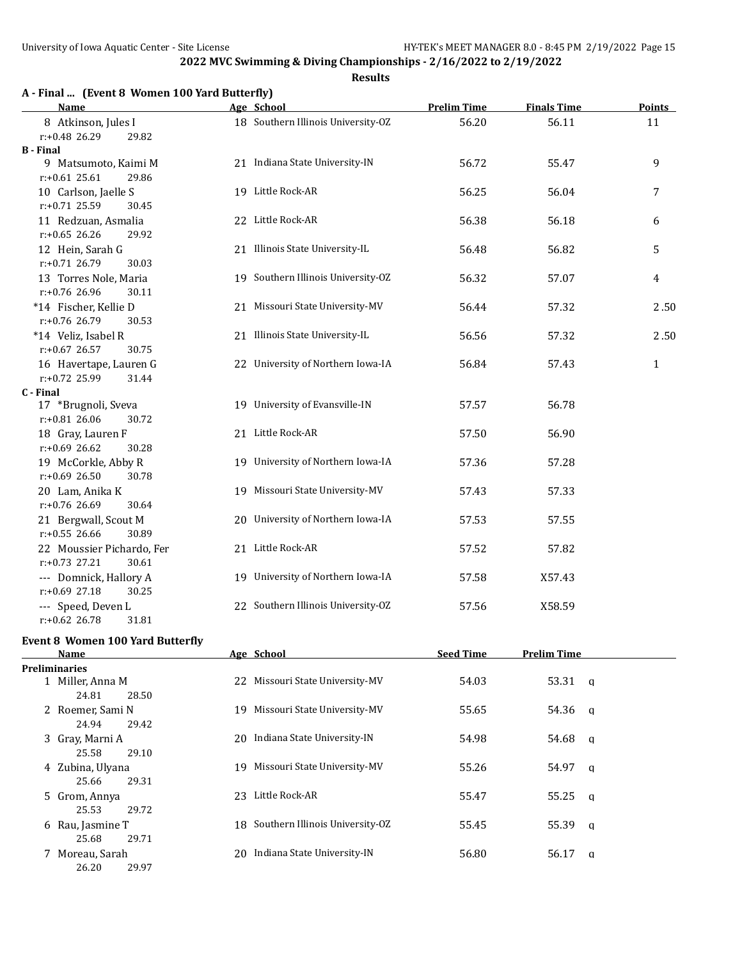26.20 29.97

**2022 MVC Swimming & Diving Championships - 2/16/2022 to 2/19/2022**

#### **Results**

# **A - Final ... (Event 8 Women 100 Yard Butterfly)**

| <b>Name</b>                                     |    | Age School                         | <b>Prelim Time</b> | <b>Finals Time</b> | <b>Points</b> |
|-------------------------------------------------|----|------------------------------------|--------------------|--------------------|---------------|
| 8 Atkinson, Jules I                             |    | 18 Southern Illinois University-OZ | 56.20              | 56.11              | 11            |
| r:+0.48 26.29<br>29.82                          |    |                                    |                    |                    |               |
| <b>B</b> - Final                                |    |                                    |                    |                    |               |
| 9 Matsumoto, Kaimi M                            |    | 21 Indiana State University-IN     | 56.72              | 55.47              | 9             |
| $r: +0.61$ 25.61<br>29.86                       |    |                                    |                    |                    |               |
| 10 Carlson, Jaelle S                            |    | 19 Little Rock-AR                  | 56.25              | 56.04              | 7             |
| r:+0.71 25.59<br>30.45                          |    |                                    |                    |                    |               |
| 11 Redzuan, Asmalia                             |    | 22 Little Rock-AR                  | 56.38              | 56.18              | 6             |
| $r: +0.65$ 26.26<br>29.92                       |    |                                    |                    |                    |               |
| 12 Hein, Sarah G                                |    | 21 Illinois State University-IL    | 56.48              | 56.82              | 5             |
| r:+0.71 26.79<br>30.03                          |    |                                    |                    |                    |               |
| 13 Torres Nole, Maria                           |    | 19 Southern Illinois University-OZ | 56.32              | 57.07              | 4             |
| r:+0.76 26.96<br>30.11                          |    | 21 Missouri State University-MV    |                    |                    |               |
| *14 Fischer, Kellie D<br>r:+0.76 26.79<br>30.53 |    |                                    | 56.44              | 57.32              | 2.50          |
| *14 Veliz, Isabel R                             |    | 21 Illinois State University-IL    | 56.56              | 57.32              | 2.50          |
| r:+0.67 26.57<br>30.75                          |    |                                    |                    |                    |               |
| 16 Havertape, Lauren G                          |    | 22 University of Northern Iowa-IA  | 56.84              | 57.43              | $\mathbf{1}$  |
| r:+0.72 25.99<br>31.44                          |    |                                    |                    |                    |               |
| C - Final                                       |    |                                    |                    |                    |               |
| 17 *Brugnoli, Sveva                             |    | 19 University of Evansville-IN     | 57.57              | 56.78              |               |
| r:+0.81 26.06<br>30.72                          |    |                                    |                    |                    |               |
| 18 Gray, Lauren F                               |    | 21 Little Rock-AR                  | 57.50              | 56.90              |               |
| $r: +0.69$ 26.62<br>30.28                       |    |                                    |                    |                    |               |
| 19 McCorkle, Abby R                             |    | 19 University of Northern Iowa-IA  | 57.36              | 57.28              |               |
| $r: +0.69$ 26.50<br>30.78                       |    |                                    |                    |                    |               |
| 20 Lam, Anika K                                 |    | 19 Missouri State University-MV    | 57.43              | 57.33              |               |
| r:+0.76 26.69<br>30.64                          |    |                                    |                    |                    |               |
| 21 Bergwall, Scout M                            |    | 20 University of Northern Iowa-IA  | 57.53              | 57.55              |               |
| $r: +0.55$ 26.66<br>30.89                       |    |                                    |                    |                    |               |
| 22 Moussier Pichardo, Fer                       |    | 21 Little Rock-AR                  | 57.52              | 57.82              |               |
| r:+0.73 27.21<br>30.61                          |    |                                    |                    |                    |               |
| --- Domnick, Hallory A                          |    | 19 University of Northern Iowa-IA  | 57.58              | X57.43             |               |
| $r: +0.69$ 27.18<br>30.25                       |    |                                    |                    |                    |               |
| --- Speed, Deven L                              |    | 22 Southern Illinois University-OZ | 57.56              | X58.59             |               |
| $r: +0.62$ 26.78<br>31.81                       |    |                                    |                    |                    |               |
| <b>Event 8 Women 100 Yard Butterfly</b>         |    |                                    |                    |                    |               |
| <b>Name</b>                                     |    | Age School                         | <b>Seed Time</b>   | <b>Prelim Time</b> |               |
| Preliminaries                                   |    |                                    |                    |                    |               |
| 1 Miller, Anna M                                |    | 22 Missouri State University-MV    | 54.03              | 53.31              | $\mathbf q$   |
| 24.81<br>28.50                                  |    |                                    |                    |                    |               |
| 2 Roemer, Sami N                                | 19 | Missouri State University-MV       | 55.65              | 54.36              | q             |
| 24.94<br>29.42                                  |    |                                    |                    |                    |               |
| 3 Gray, Marni A                                 |    | 20 Indiana State University-IN     | 54.98              | 54.68              | a             |
| 250<br>2010                                     |    |                                    |                    |                    |               |

| $\mathbf{r}$ $\cdots$ $\mathbf{r}$ $\mathbf{r}$ $\mathbf{r}$ $\mathbf{r}$ $\mathbf{r}$ $\mathbf{r}$ $\mathbf{r}$ |       |    |                                    | .     |         |          |
|------------------------------------------------------------------------------------------------------------------|-------|----|------------------------------------|-------|---------|----------|
| 24.81                                                                                                            | 28.50 |    |                                    |       |         |          |
| 2 Roemer, Sami N                                                                                                 |       | 19 | Missouri State University-MV       | 55.65 | 54.36 a |          |
| 24.94                                                                                                            | 29.42 |    |                                    |       |         |          |
| 3 Gray, Marni A                                                                                                  |       | 20 | Indiana State University-IN        | 54.98 | 54.68 a |          |
| 25.58                                                                                                            | 29.10 |    |                                    |       |         |          |
| 4 Zubina, Ulyana                                                                                                 |       | 19 | Missouri State University-MV       | 55.26 | 54.97   | $\alpha$ |
| 25.66                                                                                                            | 29.31 |    |                                    |       |         |          |
| 5 Grom, Annya                                                                                                    |       | 23 | Little Rock-AR                     | 55.47 | 55.25   | $\alpha$ |
| 25.53                                                                                                            | 29.72 |    |                                    |       |         |          |
| 6 Rau, Jasmine T                                                                                                 |       |    | 18 Southern Illinois University-OZ | 55.45 | 55.39   | $\alpha$ |
| 25.68                                                                                                            | 29.71 |    |                                    |       |         |          |
| 7 Moreau, Sarah                                                                                                  |       | 20 | Indiana State University-IN        | 56.80 | 56.17   | a        |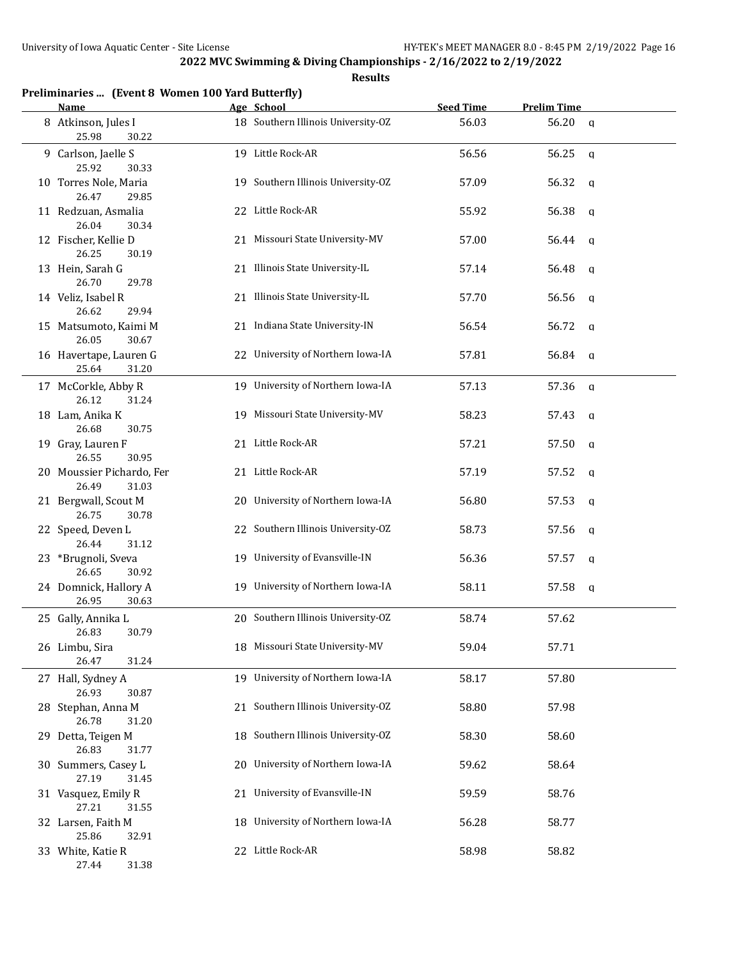| Preliminaries  (Event 8 Women 100 Yard Butterfly) |  |  |  |  |  |  |
|---------------------------------------------------|--|--|--|--|--|--|
|---------------------------------------------------|--|--|--|--|--|--|

| <b>Name</b>                                 | Age School                         | <b>Seed Time</b> | <b>Prelim Time</b>    |
|---------------------------------------------|------------------------------------|------------------|-----------------------|
| 8 Atkinson, Jules I<br>25.98<br>30.22       | 18 Southern Illinois University-OZ | 56.03            | 56.20<br>$\mathsf{q}$ |
| 9 Carlson, Jaelle S<br>25.92<br>30.33       | 19 Little Rock-AR                  | 56.56            | 56.25<br>$\mathbf q$  |
| 10 Torres Nole, Maria<br>26.47<br>29.85     | 19 Southern Illinois University-OZ | 57.09            | 56.32<br><b>a</b>     |
| 11 Redzuan, Asmalia<br>26.04<br>30.34       | 22 Little Rock-AR                  | 55.92            | 56.38<br>q            |
| 12 Fischer, Kellie D<br>26.25<br>30.19      | 21 Missouri State University-MV    | 57.00            | 56.44<br>q            |
| 13 Hein, Sarah G<br>26.70<br>29.78          | 21 Illinois State University-IL    | 57.14            | 56.48<br>a            |
| 14 Veliz, Isabel R<br>26.62<br>29.94        | 21 Illinois State University-IL    | 57.70            | 56.56<br>q            |
| 15 Matsumoto, Kaimi M<br>26.05<br>30.67     | 21 Indiana State University-IN     | 56.54            | 56.72<br>a            |
| 16 Havertape, Lauren G<br>25.64<br>31.20    | 22 University of Northern Iowa-IA  | 57.81            | 56.84<br>q            |
| 17 McCorkle, Abby R<br>26.12<br>31.24       | 19 University of Northern Iowa-IA  | 57.13            | 57.36<br>q            |
| 18 Lam, Anika K<br>26.68<br>30.75           | 19 Missouri State University-MV    | 58.23            | 57.43<br>a            |
| 19 Gray, Lauren F<br>26.55<br>30.95         | 21 Little Rock-AR                  | 57.21            | 57.50<br>a            |
| 20 Moussier Pichardo, Fer<br>26.49<br>31.03 | 21 Little Rock-AR                  | 57.19            | 57.52<br>a            |
| 21 Bergwall, Scout M<br>26.75<br>30.78      | 20 University of Northern Iowa-IA  | 56.80            | 57.53<br>q            |
| 22 Speed, Deven L<br>26.44<br>31.12         | 22 Southern Illinois University-OZ | 58.73            | 57.56<br>q            |
| 23 *Brugnoli, Sveva<br>26.65<br>30.92       | 19 University of Evansville-IN     | 56.36            | 57.57<br>a            |
| 24 Domnick, Hallory A<br>26.95<br>30.63     | 19 University of Northern Iowa-IA  | 58.11            | 57.58<br>a            |
| 25 Gally, Annika L<br>26.83<br>30.79        | 20 Southern Illinois University-OZ | 58.74            | 57.62                 |
| 26 Limbu, Sira<br>26.47<br>31.24            | 18 Missouri State University-MV    | 59.04            | 57.71                 |
| 27 Hall, Sydney A<br>26.93<br>30.87         | 19 University of Northern Iowa-IA  | 58.17            | 57.80                 |
| 28 Stephan, Anna M<br>26.78<br>31.20        | 21 Southern Illinois University-OZ | 58.80            | 57.98                 |
| 29 Detta, Teigen M<br>26.83<br>31.77        | 18 Southern Illinois University-OZ | 58.30            | 58.60                 |
| 30 Summers, Casey L<br>27.19<br>31.45       | 20 University of Northern Iowa-IA  | 59.62            | 58.64                 |
| 31 Vasquez, Emily R<br>27.21<br>31.55       | 21 University of Evansville-IN     | 59.59            | 58.76                 |
| 32 Larsen, Faith M<br>25.86<br>32.91        | 18 University of Northern Iowa-IA  | 56.28            | 58.77                 |
| 33 White, Katie R<br>31.38<br>27.44         | 22 Little Rock-AR                  | 58.98            | 58.82                 |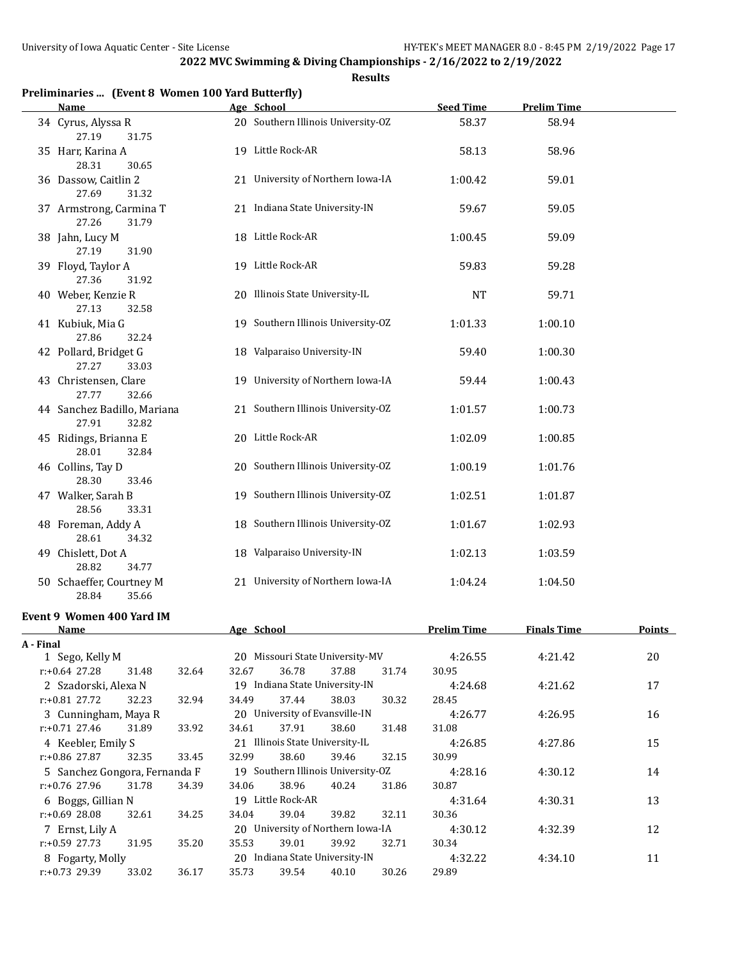**Results**

| Preliminaries  (Event 8 Women 100 Yard Butterfly) |  |  |  |  |  |  |
|---------------------------------------------------|--|--|--|--|--|--|
|---------------------------------------------------|--|--|--|--|--|--|

| <b>Name</b>                                   |    | Age School                         | <b>Seed Time</b> | <b>Prelim Time</b> |  |
|-----------------------------------------------|----|------------------------------------|------------------|--------------------|--|
| 34 Cyrus, Alyssa R<br>27.19<br>31.75          |    | 20 Southern Illinois University-OZ | 58.37            | 58.94              |  |
| 35 Harr, Karina A<br>28.31<br>30.65           |    | 19 Little Rock-AR                  | 58.13            | 58.96              |  |
| 36 Dassow, Caitlin 2<br>27.69<br>31.32        |    | 21 University of Northern Iowa-IA  | 1:00.42          | 59.01              |  |
| 37 Armstrong, Carmina T<br>27.26<br>31.79     |    | 21 Indiana State University-IN     | 59.67            | 59.05              |  |
| 38 Jahn, Lucy M<br>27.19<br>31.90             |    | 18 Little Rock-AR                  | 1:00.45          | 59.09              |  |
| 39 Floyd, Taylor A<br>27.36<br>31.92          |    | 19 Little Rock-AR                  | 59.83            | 59.28              |  |
| 40 Weber, Kenzie R<br>27.13<br>32.58          |    | 20 Illinois State University-IL    | <b>NT</b>        | 59.71              |  |
| 41 Kubiuk, Mia G<br>27.86<br>32.24            |    | 19 Southern Illinois University-OZ | 1:01.33          | 1:00.10            |  |
| 42 Pollard, Bridget G<br>27.27<br>33.03       |    | 18 Valparaiso University-IN        | 59.40            | 1:00.30            |  |
| 43 Christensen, Clare<br>27.77<br>32.66       |    | 19 University of Northern Iowa-IA  | 59.44            | 1:00.43            |  |
| 44 Sanchez Badillo, Mariana<br>27.91<br>32.82 |    | 21 Southern Illinois University-OZ | 1:01.57          | 1:00.73            |  |
| 45 Ridings, Brianna E<br>28.01<br>32.84       |    | 20 Little Rock-AR                  | 1:02.09          | 1:00.85            |  |
| 46 Collins, Tay D<br>28.30<br>33.46           |    | 20 Southern Illinois University-OZ | 1:00.19          | 1:01.76            |  |
| 47 Walker, Sarah B<br>28.56<br>33.31          |    | 19 Southern Illinois University-OZ | 1:02.51          | 1:01.87            |  |
| 48 Foreman, Addy A<br>28.61<br>34.32          |    | 18 Southern Illinois University-OZ | 1:01.67          | 1:02.93            |  |
| 49 Chislett, Dot A<br>28.82<br>34.77          |    | 18 Valparaiso University-IN        | 1:02.13          | 1:03.59            |  |
| 50 Schaeffer, Courtney M<br>28.84<br>35.66    | 21 | University of Northern Iowa-IA     | 1:04.24          | 1:04.50            |  |

#### **Event 9 Women 400 Yard IM**

| Name                          |       |       | Age School                         |                                   |       |       | <b>Prelim Time</b> | <b>Finals Time</b> | Points |
|-------------------------------|-------|-------|------------------------------------|-----------------------------------|-------|-------|--------------------|--------------------|--------|
| A - Final                     |       |       |                                    |                                   |       |       |                    |                    |        |
| 1 Sego, Kelly M               |       |       |                                    | 20 Missouri State University-MV   |       |       | 4:26.55            | 4:21.42            | 20     |
| $r: +0.64$ 27.28              | 31.48 | 32.64 | 32.67                              | 36.78                             | 37.88 | 31.74 | 30.95              |                    |        |
| 2 Szadorski, Alexa N          |       |       |                                    | 19 Indiana State University-IN    |       |       | 4:24.68            | 4:21.62            | 17     |
| $r: +0.81$ 27.72              | 32.23 | 32.94 | 34.49                              | 37.44                             | 38.03 | 30.32 | 28.45              |                    |        |
| 3 Cunningham, Maya R          |       |       |                                    | 20 University of Evansville-IN    |       |       | 4:26.77            | 4:26.95            | 16     |
| $r: +0.71$ 27.46              | 31.89 | 33.92 | 34.61                              | 37.91                             | 38.60 | 31.48 | 31.08              |                    |        |
| 4 Keebler, Emily S            |       |       |                                    | 21 Illinois State University-IL   |       |       | 4:26.85            | 4:27.86            | 15     |
| $r: +0.86$ 27.87              | 32.35 | 33.45 | 32.99                              | 38.60                             | 39.46 | 32.15 | 30.99              |                    |        |
| 5 Sanchez Gongora, Fernanda F |       |       | 19 Southern Illinois University-OZ |                                   |       |       | 4:28.16            | 4:30.12            | 14     |
| $r: +0.76$ 27.96              | 31.78 | 34.39 | 34.06                              | 38.96                             | 40.24 | 31.86 | 30.87              |                    |        |
| 6 Boggs, Gillian N            |       |       | 19                                 | Little Rock-AR                    |       |       | 4:31.64            | 4:30.31            | 13     |
| $r: +0.69$ 28.08              | 32.61 | 34.25 | 34.04                              | 39.04                             | 39.82 | 32.11 | 30.36              |                    |        |
| 7 Ernst, Lily A               |       |       |                                    | 20 University of Northern Iowa-IA |       |       | 4:30.12            | 4:32.39            | 12     |
| $r: +0.59$ 27.73              | 31.95 | 35.20 | 35.53                              | 39.01                             | 39.92 | 32.71 | 30.34              |                    |        |
| 8 Fogarty, Molly              |       |       |                                    | 20 Indiana State University-IN    |       |       | 4:32.22            | 4:34.10            | 11     |
| $r: +0.73$ 29.39              | 33.02 | 36.17 | 35.73                              | 39.54                             | 40.10 | 30.26 | 29.89              |                    |        |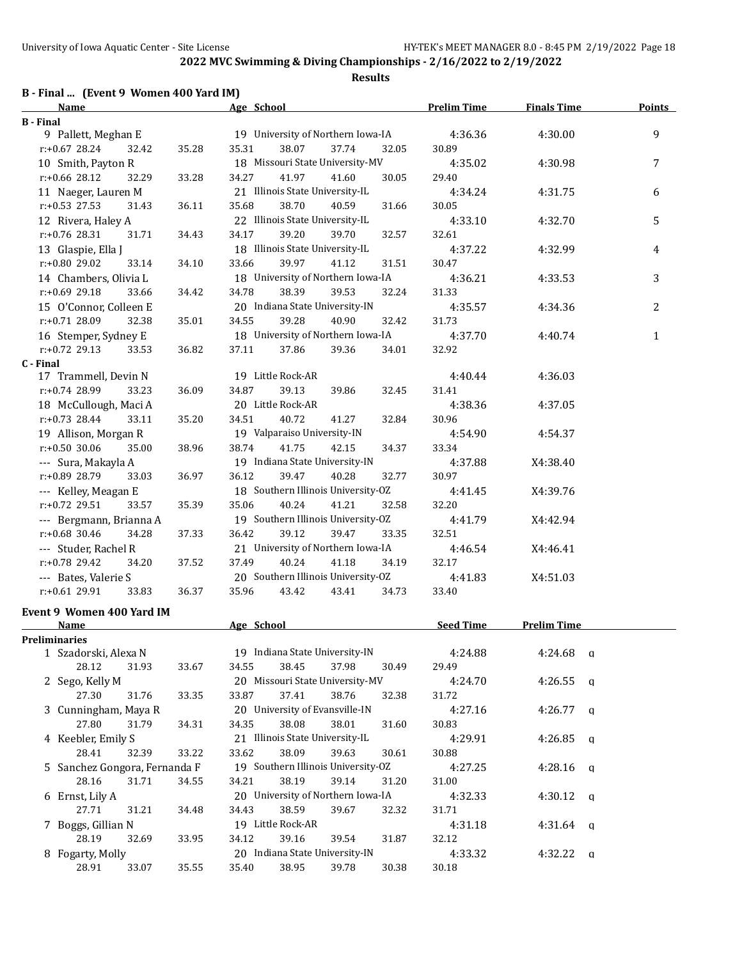# **B - Final ... (Event 9 Women 400 Yard IM)**

| <b>Name</b>                               |       | Age School                                           | <b>Prelim Time</b> | <b>Finals Time</b> | <b>Points</b>  |
|-------------------------------------------|-------|------------------------------------------------------|--------------------|--------------------|----------------|
| <b>B</b> - Final                          |       |                                                      |                    |                    |                |
| 9 Pallett, Meghan E                       |       | 19 University of Northern Iowa-IA                    | 4:36.36            | 4:30.00            | 9              |
| $r: +0.67$ 28.24<br>32.42                 | 35.28 | 35.31<br>38.07<br>37.74<br>32.05                     | 30.89              |                    |                |
| 10 Smith, Payton R                        |       | 18 Missouri State University-MV                      | 4:35.02            | 4:30.98            | 7              |
| r:+0.66 28.12<br>32.29                    | 33.28 | 34.27<br>41.97<br>41.60<br>30.05                     | 29.40              |                    |                |
| 11 Naeger, Lauren M                       |       | 21 Illinois State University-IL                      | 4:34.24            | 4:31.75            | 6              |
| r:+0.53 27.53<br>31.43                    | 36.11 | 35.68<br>38.70<br>40.59<br>31.66                     | 30.05              |                    |                |
| 12 Rivera, Haley A                        |       | 22 Illinois State University-IL                      | 4:33.10            | 4:32.70            | 5              |
| r:+0.76 28.31<br>31.71                    | 34.43 | 34.17<br>39.20<br>39.70<br>32.57                     | 32.61              |                    |                |
| 13 Glaspie, Ella J                        |       | 18 Illinois State University-IL                      | 4:37.22            | 4:32.99            | 4              |
| r:+0.80 29.02<br>33.14                    | 34.10 | 33.66<br>39.97<br>41.12<br>31.51                     | 30.47              |                    |                |
| 14 Chambers, Olivia L                     |       | 18 University of Northern Iowa-IA                    | 4:36.21            | 4:33.53            | 3              |
| r:+0.69 29.18<br>33.66                    | 34.42 | 38.39<br>34.78<br>39.53<br>32.24                     | 31.33              |                    |                |
| 15 O'Connor, Colleen E                    |       | 20 Indiana State University-IN                       | 4:35.57            | 4:34.36            | $\overline{2}$ |
| r:+0.71 28.09<br>32.38                    | 35.01 | 34.55<br>39.28<br>40.90<br>32.42                     | 31.73              |                    |                |
| 16 Stemper, Sydney E                      |       | 18 University of Northern Iowa-IA                    | 4:37.70            | 4:40.74            | $\mathbf{1}$   |
| $r: +0.72$ 29.13                          |       | 39.36                                                |                    |                    |                |
| 33.53<br>C - Final                        | 36.82 | 37.11<br>37.86<br>34.01                              | 32.92              |                    |                |
| 17 Trammell, Devin N                      |       | 19 Little Rock-AR                                    | 4:40.44            | 4:36.03            |                |
| r:+0.74 28.99<br>33.23                    | 36.09 | 34.87<br>39.13<br>39.86<br>32.45                     | 31.41              |                    |                |
|                                           |       | 20 Little Rock-AR                                    |                    |                    |                |
| 18 McCullough, Maci A<br>$r: +0.73$ 28.44 |       |                                                      | 4:38.36            | 4:37.05            |                |
| 33.11                                     | 35.20 | 40.72<br>34.51<br>41.27<br>32.84                     | 30.96              |                    |                |
| 19 Allison, Morgan R                      |       | 19 Valparaiso University-IN                          | 4:54.90            | 4:54.37            |                |
| $r: +0.50$ 30.06<br>35.00                 | 38.96 | 38.74<br>41.75<br>42.15<br>34.37                     | 33.34              |                    |                |
| --- Sura, Makayla A                       |       | 19 Indiana State University-IN                       | 4:37.88            | X4:38.40           |                |
| r:+0.89 28.79<br>33.03                    | 36.97 | 36.12<br>39.47<br>40.28<br>32.77                     | 30.97              |                    |                |
| --- Kelley, Meagan E                      |       | 18 Southern Illinois University-OZ                   | 4:41.45            | X4:39.76           |                |
| $r: +0.72$ 29.51<br>33.57                 | 35.39 | 40.24<br>35.06<br>41.21<br>32.58                     | 32.20              |                    |                |
| --- Bergmann, Brianna A                   |       | 19 Southern Illinois University-OZ                   | 4:41.79            | X4:42.94           |                |
| $r: +0.68$ 30.46<br>34.28                 | 37.33 | 39.12<br>33.35<br>36.42<br>39.47                     | 32.51              |                    |                |
| --- Studer, Rachel R                      |       | 21 University of Northern Iowa-IA                    | 4:46.54            | X4:46.41           |                |
| r:+0.78 29.42<br>34.20                    | 37.52 | 40.24<br>37.49<br>41.18<br>34.19                     | 32.17              |                    |                |
| --- Bates, Valerie S                      |       | 20 Southern Illinois University-OZ                   | 4:41.83            | X4:51.03           |                |
| r:+0.61 29.91<br>33.83                    | 36.37 | 35.96<br>43.42<br>43.41<br>34.73                     | 33.40              |                    |                |
| Event 9 Women 400 Yard IM                 |       |                                                      |                    |                    |                |
| <b>Name</b>                               |       | Age School                                           | <b>Seed Time</b>   | <b>Prelim Time</b> |                |
| Preliminaries                             |       |                                                      |                    |                    |                |
| 1 Szadorski, Alexa N                      |       | 19 Indiana State University-IN                       | 4:24.88            | $4:24.68$ q        |                |
| 28.12<br>31.93                            | 33.67 | 38.45<br>34.55<br>37.98<br>30.49                     | 29.49              |                    |                |
| 2 Sego, Kelly M                           |       | 20 Missouri State University-MV                      | 4:24.70            | 4:26.55            | $\mathbf{q}$   |
| 27.30<br>31.76                            | 33.35 | 33.87<br>37.41<br>38.76<br>32.38                     | 31.72              |                    |                |
| 3 Cunningham, Maya R                      |       | 20 University of Evansville-IN                       | 4:27.16            | 4:26.77            | $\mathbf{q}$   |
| 27.80<br>31.79                            | 34.31 | 34.35<br>38.08<br>38.01<br>31.60                     | 30.83              |                    |                |
| 4 Keebler, Emily S                        |       | 21 Illinois State University-IL                      |                    |                    |                |
| 28.41                                     |       | 33.62<br>38.09                                       | 4:29.91            | 4:26.85            | $\alpha$       |
| 32.39                                     | 33.22 | 39.63<br>30.61<br>19 Southern Illinois University-OZ | 30.88              |                    |                |
| 5 Sanchez Gongora, Fernanda F             |       |                                                      | 4:27.25            | 4:28.16            | $\alpha$       |
| 28.16<br>31.71                            | 34.55 | 38.19<br>34.21<br>39.14<br>31.20                     | 31.00              |                    |                |
| 6 Ernst, Lily A                           |       | 20 University of Northern Iowa-IA                    | 4:32.33            | 4:30.12 $q$        |                |
| 27.71<br>31.21                            | 34.48 | 34.43<br>38.59<br>32.32<br>39.67                     | 31.71              |                    |                |
| 7 Boggs, Gillian N                        |       | 19 Little Rock-AR                                    | 4:31.18            | $4:31.64$ q        |                |
| 28.19<br>32.69                            | 33.95 | 34.12<br>39.16<br>39.54<br>31.87                     | 32.12              |                    |                |
| 8 Fogarty, Molly                          |       | 20 Indiana State University-IN                       | 4:33.32            | $4:32.22$ q        |                |
| 28.91<br>33.07                            | 35.55 | 35.40<br>38.95<br>39.78<br>30.38                     | 30.18              |                    |                |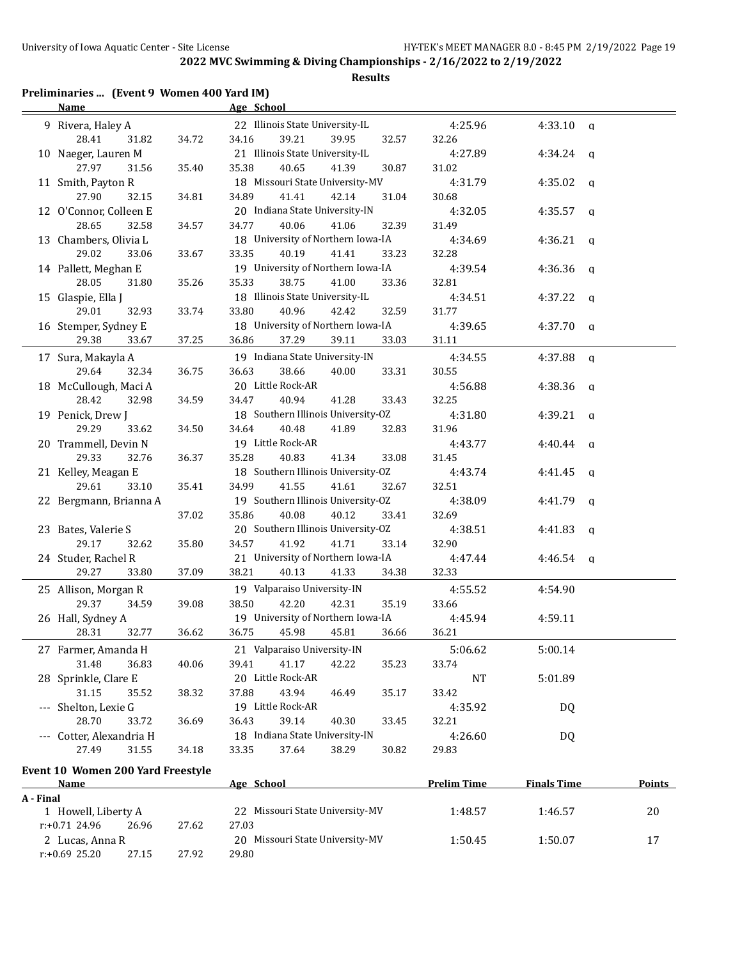**Results**

# **Preliminaries ... (Event 9 Women 400 Yard IM)**

|           | <b>Name</b>                                  |       | Age School                               |                    |                     |               |
|-----------|----------------------------------------------|-------|------------------------------------------|--------------------|---------------------|---------------|
|           | 9 Rivera, Haley A                            |       | 22 Illinois State University-IL          | 4:25.96            | $4:33.10$ a         |               |
|           | 28.41<br>31.82                               | 34.72 | 34.16<br>39.21<br>39.95<br>32.57         | 32.26              |                     |               |
|           | 10 Naeger, Lauren M                          |       | 21 Illinois State University-IL          | 4:27.89            | $4:34.24$ q         |               |
|           | 27.97<br>31.56                               | 35.40 | 40.65<br>35.38<br>41.39<br>30.87         | 31.02              |                     |               |
|           | 11 Smith, Payton R                           |       | 18 Missouri State University-MV          | 4:31.79            | $4:35.02$ q         |               |
|           | 27.90<br>32.15                               | 34.81 | 34.89<br>41.41<br>42.14<br>31.04         | 30.68              |                     |               |
|           | 12 O'Connor, Colleen E                       |       | 20 Indiana State University-IN           | 4:32.05            | $4:35.57$ q         |               |
|           | 28.65<br>32.58                               | 34.57 | 32.39<br>34.77<br>40.06<br>41.06         | 31.49              |                     |               |
|           | 13 Chambers, Olivia L                        |       | 18 University of Northern Iowa-IA        | 4:34.69            | $4:36.21$ q         |               |
|           | 29.02<br>33.06                               | 33.67 | 33.23<br>33.35<br>40.19<br>41.41         | 32.28              |                     |               |
|           | 14 Pallett, Meghan E                         |       | 19 University of Northern Iowa-IA        | 4:39.54            | $4:36.36$ q         |               |
|           | 28.05<br>31.80                               | 35.26 | 38.75<br>35.33<br>41.00<br>33.36         | 32.81              |                     |               |
|           | 15 Glaspie, Ella J                           |       | 18 Illinois State University-IL          | 4:34.51            | 4:37.22<br><b>a</b> |               |
|           | 29.01<br>32.93                               | 33.74 | 33.80<br>40.96<br>42.42<br>32.59         | 31.77              |                     |               |
|           | 16 Stemper, Sydney E                         |       | 18 University of Northern Iowa-IA        | 4:39.65            | $4:37.70$ q         |               |
|           | 29.38<br>33.67                               | 37.25 | 36.86<br>37.29<br>39.11<br>33.03         | 31.11              |                     |               |
|           | 17 Sura, Makayla A                           |       | 19 Indiana State University-IN           | 4:34.55            | $4:37.88$ q         |               |
|           | 29.64<br>32.34                               | 36.75 | 36.63<br>38.66<br>40.00<br>33.31         | 30.55              |                     |               |
|           | 18 McCullough, Maci A                        |       | 20 Little Rock-AR                        | 4:56.88            | $4:38.36$ q         |               |
|           | 28.42<br>32.98                               | 34.59 | 34.47<br>40.94<br>41.28<br>33.43         | 32.25              |                     |               |
|           | 19 Penick, Drew J                            |       | 18 Southern Illinois University-OZ       | 4:31.80            | $4:39.21$ q         |               |
|           | 29.29<br>33.62                               | 34.50 | 34.64<br>40.48<br>41.89<br>32.83         | 31.96              |                     |               |
|           | 20 Trammell, Devin N                         |       | 19 Little Rock-AR                        | 4:43.77            | $4:40.44$ a         |               |
|           | 29.33<br>32.76                               | 36.37 | 40.83<br>35.28<br>41.34<br>33.08         | 31.45              |                     |               |
|           | 21 Kelley, Meagan E                          |       | 18 Southern Illinois University-OZ       | 4:43.74            | 4:41.45<br>q        |               |
|           | 29.61<br>33.10                               | 35.41 | 34.99<br>41.55<br>41.61<br>32.67         | 32.51              |                     |               |
|           | 22 Bergmann, Brianna A                       |       | 19 Southern Illinois University-OZ       | 4:38.09            | 4:41.79<br>q        |               |
|           |                                              | 37.02 | 40.08<br>35.86<br>40.12<br>33.41         | 32.69              |                     |               |
|           | 23 Bates, Valerie S                          |       | 20 Southern Illinois University-OZ       | 4:38.51            | 4:41.83<br>q        |               |
|           | 29.17<br>32.62                               | 35.80 | 34.57<br>41.92<br>41.71<br>33.14         | 32.90              |                     |               |
|           | 24 Studer, Rachel R                          |       | 21 University of Northern Iowa-IA        | 4:47.44            | $4:46.54$ q         |               |
|           | 29.27<br>33.80                               | 37.09 | 38.21<br>40.13<br>34.38<br>41.33         | 32.33              |                     |               |
|           | 25 Allison, Morgan R                         |       | 19 Valparaiso University-IN              | 4:55.52            | 4:54.90             |               |
|           | 29.37<br>34.59                               | 39.08 | 38.50<br>42.20<br>42.31<br>35.19         | 33.66              |                     |               |
|           | 26 Hall, Sydney A                            |       | 19 University of Northern Iowa-IA        | 4:45.94            | 4:59.11             |               |
|           | 28.31<br>32.77                               | 36.62 | 36.75<br>45.98<br>45.81<br>36.66         | 36.21              |                     |               |
|           | 27 Farmer, Amanda H                          |       | 21 Valparaiso University-IN              | 5:06.62            | 5:00.14             |               |
|           | 31.48<br>36.83                               | 40.06 | 41.17<br>42.22<br>35.23<br>39.41         | 33.74              |                     |               |
|           | 28 Sprinkle, Clare E                         |       | 20 Little Rock-AR                        | <b>NT</b>          | 5:01.89             |               |
|           | 31.15<br>35.52                               | 38.32 | 37.88<br>43.94<br>46.49<br>35.17         | 33.42              |                     |               |
|           | --- Shelton, Lexie G                         |       | 19 Little Rock-AR                        | 4:35.92            | DQ                  |               |
|           | 28.70<br>33.72                               | 36.69 | 36.43<br>39.14<br>40.30<br>33.45         | 32.21              |                     |               |
|           | --- Cotter, Alexandria H                     |       | 18 Indiana State University-IN           | 4:26.60            | DQ                  |               |
|           | 27.49<br>31.55                               | 34.18 | 37.64<br>38.29<br>33.35<br>30.82         | 29.83              |                     |               |
|           |                                              |       |                                          |                    |                     |               |
|           | Event 10 Women 200 Yard Freestyle            |       |                                          |                    |                     |               |
|           | Name                                         |       | Age School                               | <b>Prelim Time</b> | <b>Finals Time</b>  | <b>Points</b> |
| A - Final |                                              |       |                                          |                    |                     |               |
|           | 1 Howell, Liberty A                          |       | 22 Missouri State University-MV          | 1:48.57            | 1:46.57             | 20            |
|           | r:+0.71 24.96<br>26.96                       | 27.62 | 27.03<br>20 Missouri State University-MV |                    |                     |               |
|           | 2 Lucas, Anna R<br>$r: +0.69$ 25.20<br>27.15 | 27.92 |                                          | 1:50.45            | 1:50.07             | 17            |
|           |                                              |       | 29.80                                    |                    |                     |               |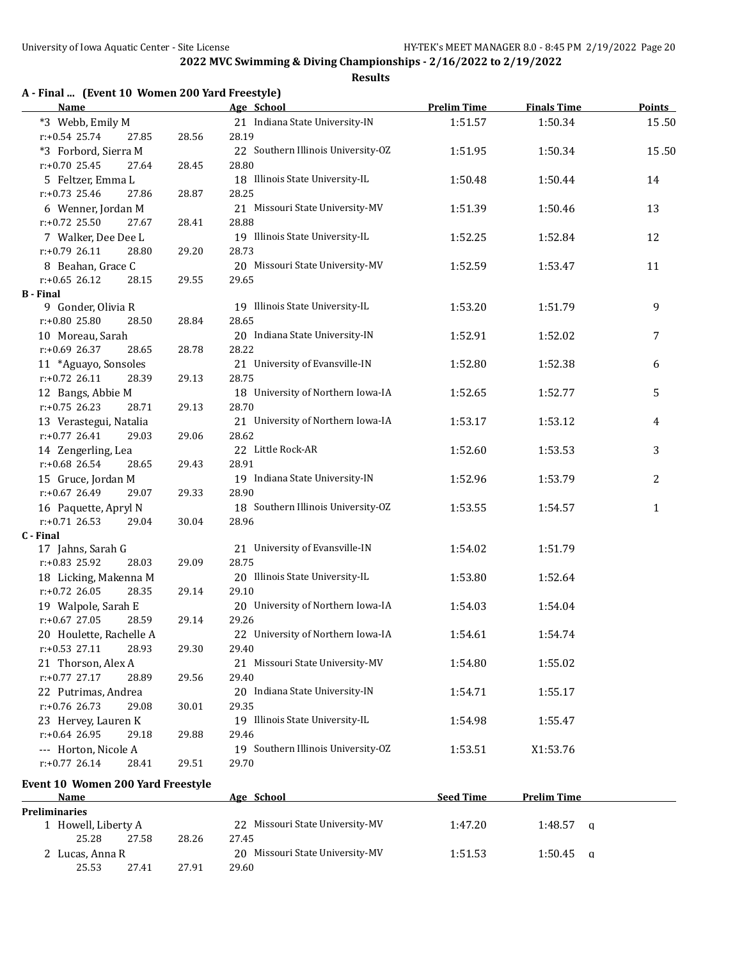| <b>Name</b>                       |       | Age School                         | <b>Prelim Time</b> | <b>Finals Time</b> | <b>Points</b> |
|-----------------------------------|-------|------------------------------------|--------------------|--------------------|---------------|
| *3 Webb, Emily M                  |       | 21 Indiana State University-IN     | 1:51.57            | 1:50.34            | 15.50         |
| $r: +0.54$ 25.74<br>27.85         | 28.56 | 28.19                              |                    |                    |               |
| *3 Forbord, Sierra M              |       | 22 Southern Illinois University-OZ | 1:51.95            | 1:50.34            | 15.50         |
| $r: +0.70$ 25.45<br>27.64         | 28.45 | 28.80                              |                    |                    |               |
| 5 Feltzer, Emma L                 |       | 18 Illinois State University-IL    | 1:50.48            | 1:50.44            | 14            |
| $r: +0.73$ 25.46<br>27.86         | 28.87 | 28.25                              |                    |                    |               |
| 6 Wenner, Jordan M                |       | 21 Missouri State University-MV    | 1:51.39            | 1:50.46            | 13            |
| $r: +0.72$ 25.50<br>27.67         | 28.41 | 28.88                              |                    |                    |               |
| 7 Walker, Dee Dee L               |       | 19 Illinois State University-IL    | 1:52.25            | 1:52.84            | 12            |
| $r: +0.79$ 26.11<br>28.80         | 29.20 | 28.73                              |                    |                    |               |
| 8 Beahan, Grace C                 |       | 20 Missouri State University-MV    | 1:52.59            | 1:53.47            | 11            |
| $r: +0.65$ 26.12<br>28.15         | 29.55 | 29.65                              |                    |                    |               |
| <b>B</b> - Final                  |       |                                    |                    |                    |               |
| 9 Gonder, Olivia R                |       | 19 Illinois State University-IL    | 1:53.20            | 1:51.79            | 9             |
| r:+0.80 25.80<br>28.50            | 28.84 | 28.65                              |                    |                    |               |
| 10 Moreau, Sarah                  |       | 20 Indiana State University-IN     | 1:52.91            | 1:52.02            | 7             |
| $r: +0.69$ 26.37<br>28.65         | 28.78 | 28.22                              |                    |                    |               |
| 11 *Aguayo, Sonsoles              |       | 21 University of Evansville-IN     | 1:52.80            | 1:52.38            | 6             |
| $r: +0.72$ 26.11<br>28.39         | 29.13 | 28.75                              |                    |                    |               |
| 12 Bangs, Abbie M                 |       | 18 University of Northern Iowa-IA  | 1:52.65            | 1:52.77            | 5             |
| $r: +0.75$ 26.23<br>28.71         | 29.13 | 28.70                              |                    |                    |               |
| 13 Verastegui, Natalia            |       | 21 University of Northern Iowa-IA  | 1:53.17            | 1:53.12            | 4             |
| $r: +0.77$ 26.41<br>29.03         | 29.06 | 28.62                              |                    |                    |               |
| 14 Zengerling, Lea                |       | 22 Little Rock-AR                  | 1:52.60            | 1:53.53            | 3             |
| $r: +0.68$ 26.54<br>28.65         | 29.43 | 28.91                              |                    |                    |               |
| 15 Gruce, Jordan M                |       | 19 Indiana State University-IN     | 1:52.96            | 1:53.79            | 2             |
| $r: +0.67$ 26.49<br>29.07         | 29.33 | 28.90                              |                    |                    |               |
| 16 Paquette, Apryl N              |       | 18 Southern Illinois University-OZ | 1:53.55            | 1:54.57            | $\mathbf{1}$  |
| $r: +0.71$ 26.53<br>29.04         | 30.04 | 28.96                              |                    |                    |               |
| C - Final                         |       |                                    |                    |                    |               |
| 17 Jahns, Sarah G                 |       | 21 University of Evansville-IN     | 1:54.02            | 1:51.79            |               |
| $r: +0.83$ 25.92<br>28.03         | 29.09 | 28.75                              |                    |                    |               |
| 18 Licking, Makenna M             |       | 20 Illinois State University-IL    | 1:53.80            | 1:52.64            |               |
| $r: +0.72$ 26.05<br>28.35         | 29.14 | 29.10                              |                    |                    |               |
| 19 Walpole, Sarah E               |       | 20 University of Northern Iowa-IA  | 1:54.03            | 1:54.04            |               |
| $r: +0.67$ 27.05<br>28.59         | 29.14 | 29.26                              |                    |                    |               |
| 20 Houlette, Rachelle A           |       | 22 University of Northern Iowa-IA  | 1:54.61            | 1:54.74            |               |
| r:+0.53 27.11 28.93               | 29.30 | 29.40                              |                    |                    |               |
| 21 Thorson, Alex A                |       | 21 Missouri State University-MV    | 1:54.80            | 1:55.02            |               |
| $r: +0.77$ 27.17<br>28.89         | 29.56 | 29.40                              |                    |                    |               |
| 22 Putrimas, Andrea               |       | 20 Indiana State University-IN     | 1:54.71            | 1:55.17            |               |
| $r: +0.76$ 26.73<br>29.08         | 30.01 | 29.35                              |                    |                    |               |
| 23 Hervey, Lauren K               |       | 19 Illinois State University-IL    | 1:54.98            | 1:55.47            |               |
| $r: +0.64$ 26.95<br>29.18         | 29.88 | 29.46                              |                    |                    |               |
| --- Horton, Nicole A              |       | 19 Southern Illinois University-OZ | 1:53.51            | X1:53.76           |               |
| $r: +0.77$ 26.14<br>28.41         | 29.51 | 29.70                              |                    |                    |               |
| Event 10 Women 200 Yard Freestyle |       |                                    |                    |                    |               |

| <b>Name</b>          |       |       | Age School                      | <b>Seed Time</b> | <b>Prelim Time</b>  |  |
|----------------------|-------|-------|---------------------------------|------------------|---------------------|--|
| <b>Preliminaries</b> |       |       |                                 |                  |                     |  |
| 1 Howell, Liberty A  |       |       | 22 Missouri State University-MV | 1:47.20          | 1:48.57<br>$\alpha$ |  |
| 25.28                | 27.58 | 28.26 | 27.45                           |                  |                     |  |
| 2 Lucas, Anna R      |       |       | 20 Missouri State University-MV | 1:51.53          | $1:50.45$ a         |  |
| 25.53                | 27.41 | 27.91 | 29.60                           |                  |                     |  |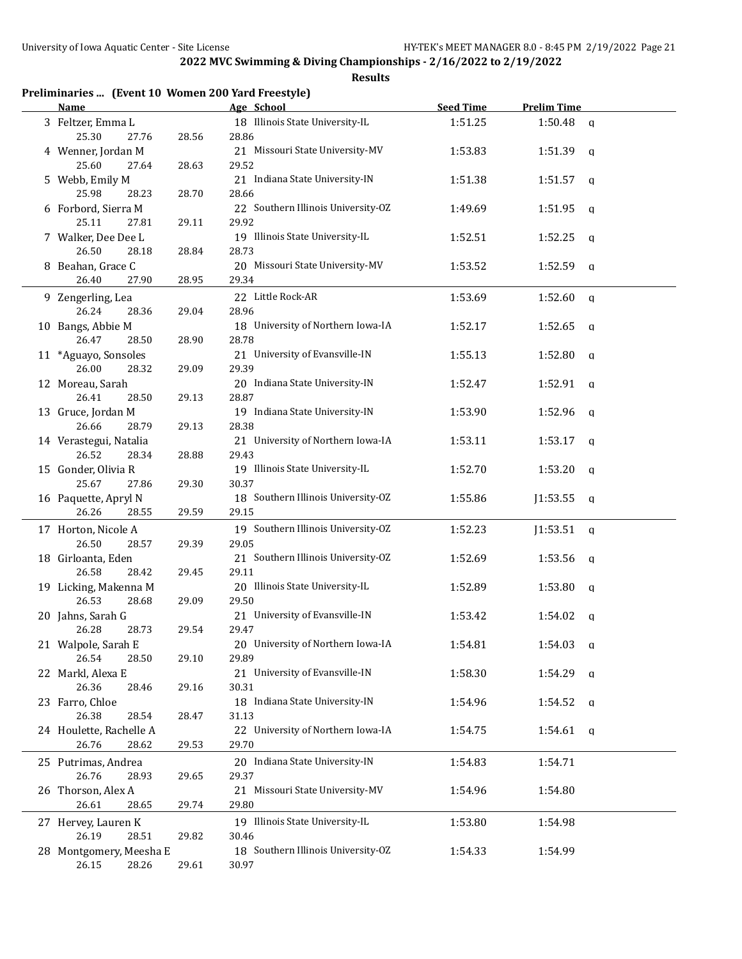| Preliminaries  (Event 10 Women 200 Yard Freestyle) |       |                                             |                  |                         |  |
|----------------------------------------------------|-------|---------------------------------------------|------------------|-------------------------|--|
| Name                                               |       | Age School                                  | <b>Seed Time</b> | <b>Prelim Time</b>      |  |
| 3 Feltzer, Emma L<br>25.30<br>27.76                | 28.56 | 18 Illinois State University-IL<br>28.86    | 1:51.25          | 1:50.48<br>q            |  |
| 4 Wenner, Jordan M<br>25.60<br>27.64               | 28.63 | 21 Missouri State University-MV<br>29.52    | 1:53.83          | 1:51.39<br><b>a</b>     |  |
| 5 Webb, Emily M                                    |       | 21 Indiana State University-IN              | 1:51.38          | 1:51.57<br><b>q</b>     |  |
| 25.98<br>28.23<br>6 Forbord, Sierra M              | 28.70 | 28.66<br>22 Southern Illinois University-OZ | 1:49.69          | 1:51.95<br>q            |  |
| 25.11<br>27.81<br>7 Walker, Dee Dee L              | 29.11 | 29.92<br>19 Illinois State University-IL    | 1:52.51          | 1:52.25<br>q            |  |
| 26.50<br>28.18<br>8 Beahan, Grace C                | 28.84 | 28.73<br>20 Missouri State University-MV    | 1:53.52          | 1:52.59<br>q            |  |
| 26.40<br>27.90                                     | 28.95 | 29.34                                       |                  |                         |  |
| 9 Zengerling, Lea<br>26.24<br>28.36                | 29.04 | 22 Little Rock-AR<br>28.96                  | 1:53.69          | 1:52.60<br>q            |  |
| 10 Bangs, Abbie M<br>26.47<br>28.50                | 28.90 | 18 University of Northern Iowa-IA<br>28.78  | 1:52.17          | 1:52.65<br>q            |  |
| 11 *Aguayo, Sonsoles<br>26.00<br>28.32             | 29.09 | 21 University of Evansville-IN<br>29.39     | 1:55.13          | 1:52.80<br>q            |  |
| 12 Moreau, Sarah<br>26.41<br>28.50                 | 29.13 | 20 Indiana State University-IN<br>28.87     | 1:52.47          | 1:52.91<br>q            |  |
| 13 Gruce, Jordan M<br>26.66                        |       | 19 Indiana State University-IN<br>28.38     | 1:53.90          | 1:52.96<br>a            |  |
| 28.79<br>14 Verastegui, Natalia                    | 29.13 | 21 University of Northern Iowa-IA           | 1:53.11          | 1:53.17<br><b>q</b>     |  |
| 26.52<br>28.34<br>15 Gonder, Olivia R              | 28.88 | 29.43<br>19 Illinois State University-IL    | 1:52.70          | 1:53.20<br>q            |  |
| 25.67<br>27.86<br>16 Paquette, Apryl N             | 29.30 | 30.37<br>18 Southern Illinois University-OZ | 1:55.86          | J1:53.55<br>q           |  |
| 26.26<br>28.55                                     | 29.59 | 29.15                                       |                  |                         |  |
| 17 Horton, Nicole A<br>26.50<br>28.57              | 29.39 | 19 Southern Illinois University-OZ<br>29.05 | 1:52.23          | J1:53.51<br>$\mathbf q$ |  |
| 18 Girloanta, Eden<br>26.58<br>28.42               | 29.45 | 21 Southern Illinois University-OZ<br>29.11 | 1:52.69          | 1:53.56<br>q            |  |
| 19 Licking, Makenna M<br>26.53<br>28.68            | 29.09 | 20 Illinois State University-IL<br>29.50    | 1:52.89          | 1:53.80<br>a            |  |
| 20 Jahns, Sarah G<br>26.28<br>28.73                | 29.54 | 21 University of Evansville-IN<br>29.47     | 1:53.42          | 1:54.02<br>a            |  |
| 21 Walpole, Sarah E<br>26.54<br>28.50              | 29.10 | 20 University of Northern Iowa-IA<br>29.89  | 1:54.81          | 1:54.03<br>q            |  |
| 22 Markl, Alexa E<br>26.36<br>28.46                | 29.16 | 21 University of Evansville-IN<br>30.31     | 1:58.30          | 1:54.29<br>$\mathbf q$  |  |
| 23 Farro, Chloe                                    |       | 18 Indiana State University-IN              | 1:54.96          | 1:54.52<br><b>a</b>     |  |
| 26.38<br>28.54<br>24 Houlette, Rachelle A          | 28.47 | 31.13<br>22 University of Northern Iowa-IA  | 1:54.75          | 1:54.61<br>$\alpha$     |  |
| 26.76<br>28.62                                     | 29.53 | 29.70                                       |                  |                         |  |
| 25 Putrimas, Andrea<br>26.76<br>28.93              | 29.65 | 20 Indiana State University-IN<br>29.37     | 1:54.83          | 1:54.71                 |  |
| 26 Thorson, Alex A<br>26.61<br>28.65               | 29.74 | 21 Missouri State University-MV<br>29.80    | 1:54.96          | 1:54.80                 |  |
| 27 Hervey, Lauren K<br>28.51<br>26.19              | 29.82 | 19 Illinois State University-IL<br>30.46    | 1:53.80          | 1:54.98                 |  |
| 28 Montgomery, Meesha E<br>28.26<br>26.15          | 29.61 | 18 Southern Illinois University-OZ<br>30.97 | 1:54.33          | 1:54.99                 |  |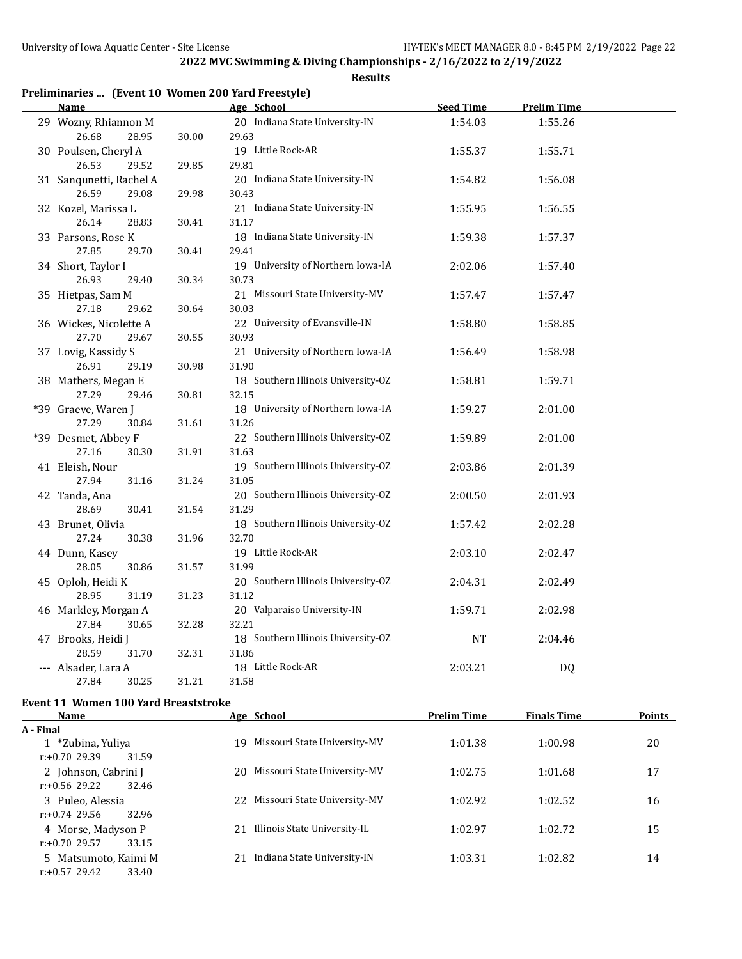**Results**

| <b>Name</b>             |       | Age School                         | <b>Seed Time</b> | <b>Prelim Time</b> |  |
|-------------------------|-------|------------------------------------|------------------|--------------------|--|
| 29 Wozny, Rhiannon M    |       | 20 Indiana State University-IN     | 1:54.03          | 1:55.26            |  |
| 26.68<br>28.95          | 30.00 | 29.63                              |                  |                    |  |
| 30 Poulsen, Cheryl A    |       | 19 Little Rock-AR                  | 1:55.37          | 1:55.71            |  |
| 26.53<br>29.52          | 29.85 | 29.81                              |                  |                    |  |
| 31 Sanqunetti, Rachel A |       | 20 Indiana State University-IN     | 1:54.82          | 1:56.08            |  |
| 26.59<br>29.08          | 29.98 | 30.43                              |                  |                    |  |
| 32 Kozel, Marissa L     |       | 21 Indiana State University-IN     | 1:55.95          | 1:56.55            |  |
| 26.14<br>28.83          | 30.41 | 31.17                              |                  |                    |  |
| 33 Parsons, Rose K      |       | 18 Indiana State University-IN     | 1:59.38          | 1:57.37            |  |
| 27.85<br>29.70          | 30.41 | 29.41                              |                  |                    |  |
| 34 Short, Taylor I      |       | 19 University of Northern Iowa-IA  | 2:02.06          | 1:57.40            |  |
| 26.93<br>29.40          | 30.34 | 30.73                              |                  |                    |  |
| 35 Hietpas, Sam M       |       | 21 Missouri State University-MV    | 1:57.47          | 1:57.47            |  |
| 27.18<br>29.62          | 30.64 | 30.03                              |                  |                    |  |
| 36 Wickes, Nicolette A  |       | 22 University of Evansville-IN     | 1:58.80          | 1:58.85            |  |
| 27.70<br>29.67          | 30.55 | 30.93                              |                  |                    |  |
| 37 Lovig, Kassidy S     |       | 21 University of Northern Iowa-IA  | 1:56.49          | 1:58.98            |  |
| 26.91<br>29.19          | 30.98 | 31.90                              |                  |                    |  |
| 38 Mathers, Megan E     |       | 18 Southern Illinois University-OZ | 1:58.81          | 1:59.71            |  |
| 27.29<br>29.46          | 30.81 | 32.15                              |                  |                    |  |
| *39 Graeve, Waren J     |       | 18 University of Northern Iowa-IA  | 1:59.27          | 2:01.00            |  |
| 27.29<br>30.84          | 31.61 | 31.26                              |                  |                    |  |
| *39 Desmet, Abbey F     |       | 22 Southern Illinois University-OZ | 1:59.89          | 2:01.00            |  |
| 27.16<br>30.30          | 31.91 | 31.63                              |                  |                    |  |
| 41 Eleish, Nour         |       | 19 Southern Illinois University-OZ | 2:03.86          | 2:01.39            |  |
| 27.94<br>31.16          | 31.24 | 31.05                              |                  |                    |  |
| 42 Tanda, Ana           |       | 20 Southern Illinois University-OZ | 2:00.50          | 2:01.93            |  |
| 28.69<br>30.41          | 31.54 | 31.29                              |                  |                    |  |
| 43 Brunet, Olivia       |       | 18 Southern Illinois University-OZ | 1:57.42          | 2:02.28            |  |
| 27.24<br>30.38          | 31.96 | 32.70                              |                  |                    |  |
| 44 Dunn, Kasey          |       | 19 Little Rock-AR                  | 2:03.10          | 2:02.47            |  |
| 28.05<br>30.86          | 31.57 | 31.99                              |                  |                    |  |
| 45 Oploh, Heidi K       |       | 20 Southern Illinois University-OZ | 2:04.31          | 2:02.49            |  |
| 28.95<br>31.19          | 31.23 | 31.12                              |                  |                    |  |
| 46 Markley, Morgan A    |       | 20 Valparaiso University-IN        | 1:59.71          | 2:02.98            |  |
| 27.84<br>30.65          | 32.28 | 32.21                              |                  |                    |  |
| 47 Brooks, Heidi J      |       | 18 Southern Illinois University-OZ | <b>NT</b>        | 2:04.46            |  |
| 28.59<br>31.70          | 32.31 | 31.86                              |                  |                    |  |
| --- Alsader, Lara A     |       | 18 Little Rock-AR                  | 2:03.21          | DQ                 |  |
| 27.84<br>30.25          | 31.21 | 31.58                              |                  |                    |  |

## **Event 11 Women 100 Yard Breaststroke**

| <b>Name</b>               | Age School                          | <b>Prelim Time</b> | <b>Finals Time</b> | <b>Points</b> |
|---------------------------|-------------------------------------|--------------------|--------------------|---------------|
| A - Final                 |                                     |                    |                    |               |
| 1 *Zubina, Yuliya         | Missouri State University-MV<br>19. | 1:01.38            | 1:00.98            | 20            |
| $r: +0.7029.39$<br>31.59  |                                     |                    |                    |               |
| 2 Johnson, Cabrini J      | Missouri State University-MV<br>20  | 1:02.75            | 1:01.68            | 17            |
| $r: +0.56$ 29.22<br>32.46 |                                     |                    |                    |               |
| 3 Puleo, Alessia          | Missouri State University-MV<br>22  | 1:02.92            | 1:02.52            | 16            |
| 32.96<br>$r: +0.74$ 29.56 |                                     |                    |                    |               |
| 4 Morse, Madyson P        | Illinois State University-IL<br>21  | 1:02.97            | 1:02.72            | 15            |
| $r: +0.7029.57$<br>33.15  |                                     |                    |                    |               |
| 5 Matsumoto, Kaimi M      | Indiana State University-IN<br>21   | 1:03.31            | 1:02.82            | 14            |
| $r: +0.57$ 29.42<br>33.40 |                                     |                    |                    |               |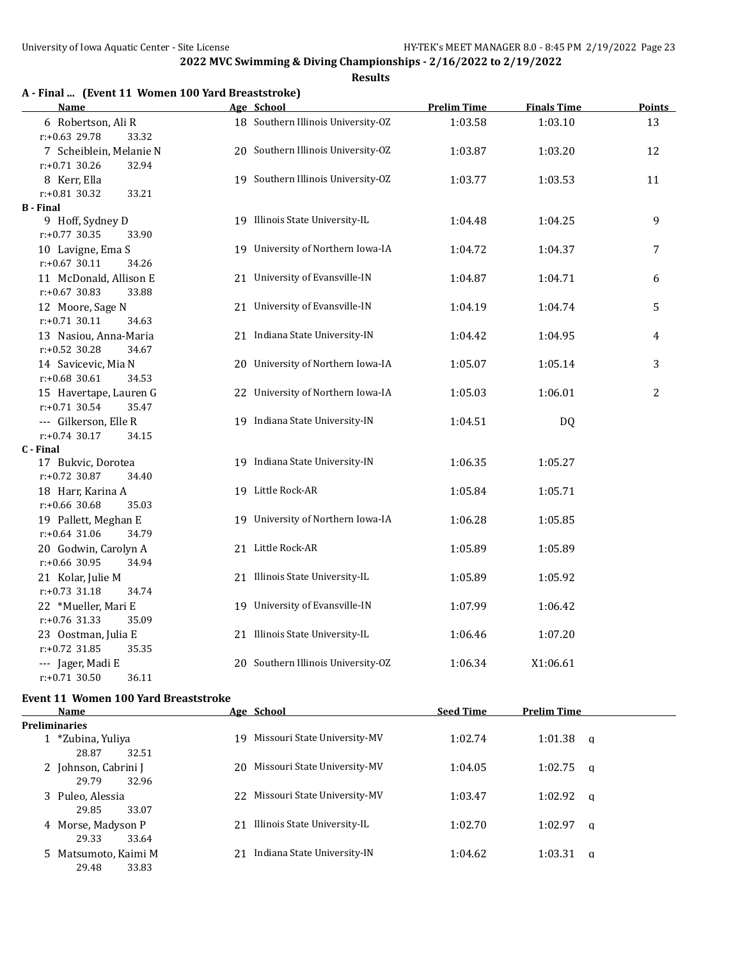**Results**

|  |  |  | A - Final  (Event 11 Women 100 Yard Breaststroke) |
|--|--|--|---------------------------------------------------|
|--|--|--|---------------------------------------------------|

| Name                                                 | Age School                         | <b>Prelim Time</b> | <b>Finals Time</b> | <b>Points</b>  |
|------------------------------------------------------|------------------------------------|--------------------|--------------------|----------------|
| 6 Robertson, Ali R<br>r:+0.63 29.78<br>33.32         | 18 Southern Illinois University-OZ | 1:03.58            | 1:03.10            | 13             |
| 7 Scheiblein, Melanie N<br>$r: +0.71$ 30.26<br>32.94 | 20 Southern Illinois University-OZ | 1:03.87            | 1:03.20            | 12             |
| 8 Kerr, Ella<br>r:+0.81 30.32<br>33.21               | 19 Southern Illinois University-OZ | 1:03.77            | 1:03.53            | 11             |
| <b>B</b> - Final                                     |                                    |                    |                    |                |
| 9 Hoff, Sydney D<br>$r: +0.77$ 30.35<br>33.90        | 19 Illinois State University-IL    | 1:04.48            | 1:04.25            | 9              |
| 10 Lavigne, Ema S<br>$r: +0.67$ 30.11<br>34.26       | 19 University of Northern Iowa-IA  | 1:04.72            | 1:04.37            | 7              |
| 11 McDonald, Allison E<br>$r: +0.67$ 30.83<br>33.88  | 21 University of Evansville-IN     | 1:04.87            | 1:04.71            | 6              |
| 12 Moore, Sage N<br>$r: +0.71$ 30.11<br>34.63        | 21 University of Evansville-IN     | 1:04.19            | 1:04.74            | 5              |
| 13 Nasiou, Anna-Maria<br>$r: +0.52$ 30.28<br>34.67   | 21 Indiana State University-IN     | 1:04.42            | 1:04.95            | 4              |
| 14 Savicevic, Mia N<br>$r: +0.68$ 30.61<br>34.53     | 20 University of Northern Iowa-IA  | 1:05.07            | 1:05.14            | 3              |
| 15 Havertape, Lauren G<br>$r: +0.71$ 30.54<br>35.47  | 22 University of Northern Iowa-IA  | 1:05.03            | 1:06.01            | $\overline{c}$ |
| --- Gilkerson, Elle R<br>$r: +0.74$ 30.17<br>34.15   | 19 Indiana State University-IN     | 1:04.51            | DQ                 |                |
| C - Final                                            |                                    |                    |                    |                |
| 17 Bukvic, Dorotea<br>$r: +0.72$ 30.87<br>34.40      | 19 Indiana State University-IN     | 1:06.35            | 1:05.27            |                |
| 18 Harr, Karina A<br>r:+0.66 30.68<br>35.03          | 19 Little Rock-AR                  | 1:05.84            | 1:05.71            |                |
| 19 Pallett, Meghan E<br>$r: +0.64$ 31.06<br>34.79    | 19 University of Northern Iowa-IA  | 1:06.28            | 1:05.85            |                |
| 20 Godwin, Carolyn A<br>$r: +0.66$ 30.95<br>34.94    | 21 Little Rock-AR                  | 1:05.89            | 1:05.89            |                |
| 21 Kolar, Julie M<br>$r: +0.73$ 31.18<br>34.74       | 21 Illinois State University-IL    | 1:05.89            | 1:05.92            |                |
| 22 *Mueller, Mari E<br>$r: +0.76$ 31.33<br>35.09     | 19 University of Evansville-IN     | 1:07.99            | 1:06.42            |                |
| 23 Oostman, Julia E<br>r:+0.72 31.85<br>35.35        | 21 Illinois State University-IL    | 1:06.46            | 1:07.20            |                |
| --- Jager, Madi E<br>$r: +0.71$ 30.50<br>36.11       | 20 Southern Illinois University-OZ | 1:06.34            | X1:06.61           |                |
|                                                      |                                    |                    |                    |                |

## **Event 11 Women 100 Yard Breaststroke**

| Name                                   | Age School                          | <b>Seed Time</b> | <b>Prelim Time</b> |  |
|----------------------------------------|-------------------------------------|------------------|--------------------|--|
| <b>Preliminaries</b>                   |                                     |                  |                    |  |
| 1 *Zubina, Yuliya<br>28.87<br>32.51    | Missouri State University-MV<br>19  | 1:02.74          | 1:01.38<br>a       |  |
| 2 Johnson, Cabrini J<br>29.79<br>32.96 | Missouri State University-MV<br>20. | 1:04.05          | 1:02.75<br>- a     |  |
| 3 Puleo, Alessia<br>29.85<br>33.07     | Missouri State University-MV<br>22  | 1:03.47          | 1:02.92<br>a       |  |
| 4 Morse, Madyson P<br>29.33<br>33.64   | Illinois State University-IL<br>21  | 1:02.70          | 1:02.97<br>a       |  |
| 5 Matsumoto, Kaimi M<br>29.48<br>33.83 | Indiana State University-IN<br>21   | 1:04.62          | 1:03.31<br>a       |  |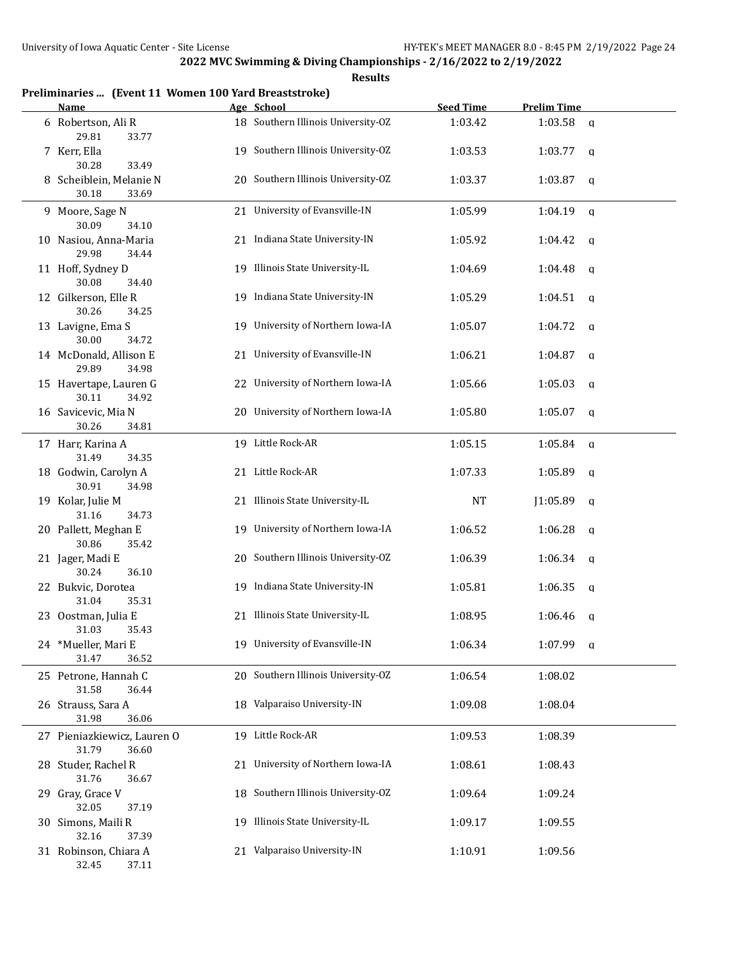| Preliminaries  (Event 11 Women 100 Yard Breaststroke)<br>Name |    | Age School                         | <b>Seed Time</b> | <b>Prelim Time</b> |              |
|---------------------------------------------------------------|----|------------------------------------|------------------|--------------------|--------------|
| 6 Robertson, Ali R                                            |    | 18 Southern Illinois University-OZ | 1:03.42          | 1:03.58            | $\mathbf{q}$ |
| 29.81<br>33.77                                                |    |                                    |                  |                    |              |
| 7 Kerr, Ella<br>30.28<br>33.49                                |    | 19 Southern Illinois University-OZ | 1:03.53          | 1:03.77            | q            |
| 8 Scheiblein, Melanie N                                       |    | 20 Southern Illinois University-OZ | 1:03.37          | 1:03.87            | a            |
| 30.18<br>33.69                                                |    |                                    |                  |                    |              |
| 9 Moore, Sage N<br>30.09<br>34.10                             |    | 21 University of Evansville-IN     | 1:05.99          | 1:04.19            | $\mathbf q$  |
| 10 Nasiou, Anna-Maria<br>29.98<br>34.44                       |    | 21 Indiana State University-IN     | 1:05.92          | 1:04.42            | q            |
| 11 Hoff, Sydney D<br>30.08<br>34.40                           |    | 19 Illinois State University-IL    | 1:04.69          | 1:04.48            | q            |
| 12 Gilkerson, Elle R<br>30.26<br>34.25                        |    | 19 Indiana State University-IN     | 1:05.29          | 1:04.51            | q            |
| 13 Lavigne, Ema S<br>30.00<br>34.72                           |    | 19 University of Northern Iowa-IA  | 1:05.07          | 1:04.72            | q            |
| 14 McDonald, Allison E<br>29.89<br>34.98                      |    | 21 University of Evansville-IN     | 1:06.21          | 1:04.87            | q            |
| 15 Havertape, Lauren G<br>30.11<br>34.92                      |    | 22 University of Northern Iowa-IA  | 1:05.66          | 1:05.03            | q            |
| 16 Savicevic, Mia N<br>30.26<br>34.81                         |    | 20 University of Northern Iowa-IA  | 1:05.80          | 1:05.07            | a            |
| 17 Harr, Karina A<br>31.49<br>34.35                           |    | 19 Little Rock-AR                  | 1:05.15          | 1:05.84            | $\mathsf{q}$ |
| 18 Godwin, Carolyn A<br>30.91<br>34.98                        |    | 21 Little Rock-AR                  | 1:07.33          | 1:05.89            | $\mathbf q$  |
| 19 Kolar, Julie M<br>31.16<br>34.73                           |    | 21 Illinois State University-IL    | <b>NT</b>        | J1:05.89           | q            |
| 20 Pallett, Meghan E<br>30.86<br>35.42                        |    | 19 University of Northern Iowa-IA  | 1:06.52          | 1:06.28            | q            |
| 21 Jager, Madi E<br>30.24<br>36.10                            |    | 20 Southern Illinois University-OZ | 1:06.39          | 1:06.34            | q            |
| 22 Bukvic, Dorotea<br>31.04<br>35.31                          |    | 19 Indiana State University-IN     | 1:05.81          | 1:06.35            | a            |
| 23 Oostman, Julia E<br>31.03<br>35.43                         |    | 21 Illinois State University-IL    | 1:08.95          | 1:06.46            | q            |
| 24 *Mueller, Mari E<br>31.47<br>36.52                         |    | 19 University of Evansville-IN     | 1:06.34          | $1:07.99$ q        |              |
| 25 Petrone, Hannah C<br>31.58<br>36.44                        |    | 20 Southern Illinois University-OZ | 1:06.54          | 1:08.02            |              |
| 26 Strauss, Sara A<br>31.98<br>36.06                          |    | 18 Valparaiso University-IN        | 1:09.08          | 1:08.04            |              |
| 27 Pieniazkiewicz, Lauren O<br>31.79<br>36.60                 |    | 19 Little Rock-AR                  | 1:09.53          | 1:08.39            |              |
| 28 Studer, Rachel R<br>31.76<br>36.67                         | 21 | University of Northern Iowa-IA     | 1:08.61          | 1:08.43            |              |
| 29 Gray, Grace V<br>32.05<br>37.19                            |    | 18 Southern Illinois University-OZ | 1:09.64          | 1:09.24            |              |
| 30 Simons, Maili R<br>32.16<br>37.39                          |    | 19 Illinois State University-IL    | 1:09.17          | 1:09.55            |              |
| 31 Robinson, Chiara A<br>32.45<br>37.11                       |    | 21 Valparaiso University-IN        | 1:10.91          | 1:09.56            |              |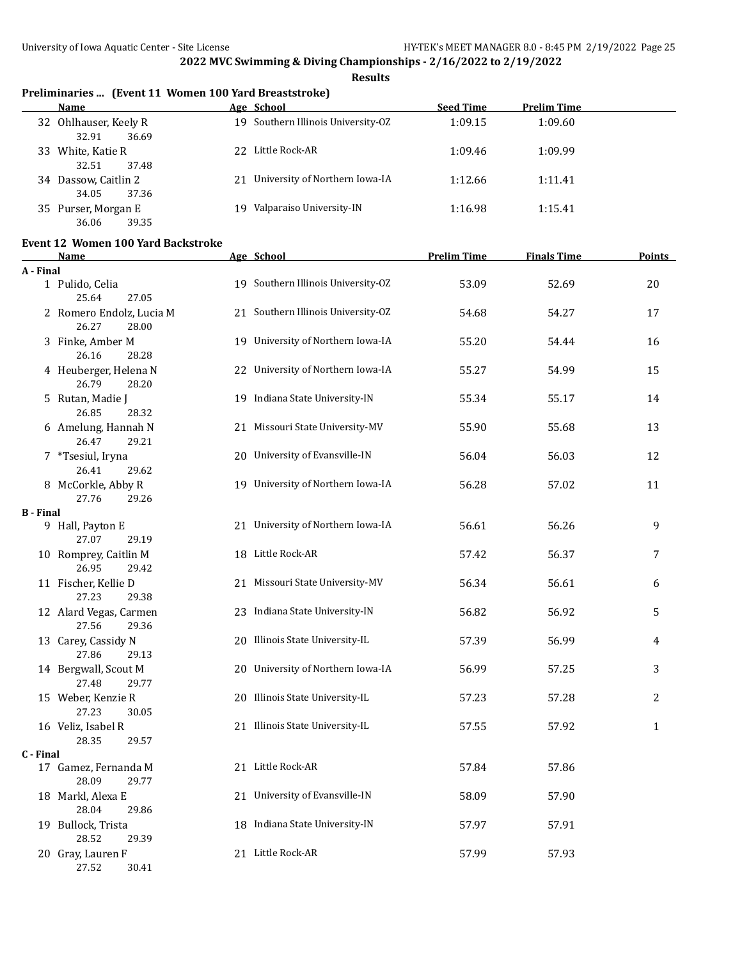**Results**

# **Preliminaries ... (Event 11 Women 100 Yard Breaststroke)**

|    | Name                                    |     | Age School                         | <b>Seed Time</b> | <b>Prelim Time</b> |
|----|-----------------------------------------|-----|------------------------------------|------------------|--------------------|
|    | 32 Ohlhauser, Keely R<br>36.69<br>32.91 |     | 19 Southern Illinois University-OZ | 1:09.15          | 1:09.60            |
| 33 | White, Katie R<br>37.48<br>32.51        | 22. | Little Rock-AR                     | 1:09.46          | 1:09.99            |
| 34 | Dassow, Caitlin 2<br>37.36<br>34.05     | 21  | University of Northern Iowa-IA     | 1:12.66          | 1:11.41            |
|    | 35 Purser, Morgan E<br>39.35<br>36.06   | 19. | Valparaiso University-IN           | 1:16.98          | 1:15.41            |

#### **Event 12 Women 100 Yard Backstroke**

|                  | <b>Name</b>                                | Age School                         | <b>Prelim Time</b> | <b>Finals Time</b> | <u>Points</u> |
|------------------|--------------------------------------------|------------------------------------|--------------------|--------------------|---------------|
| A - Final        |                                            |                                    |                    |                    |               |
|                  | 1 Pulido, Celia<br>25.64<br>27.05          | 19 Southern Illinois University-OZ | 53.09              | 52.69              | 20            |
|                  | 2 Romero Endolz, Lucia M<br>26.27<br>28.00 | 21 Southern Illinois University-OZ | 54.68              | 54.27              | 17            |
|                  | 3 Finke, Amber M<br>26.16<br>28.28         | 19 University of Northern Iowa-IA  | 55.20              | 54.44              | 16            |
|                  | 4 Heuberger, Helena N<br>26.79<br>28.20    | 22 University of Northern Iowa-IA  | 55.27              | 54.99              | 15            |
|                  | 5 Rutan, Madie J<br>26.85<br>28.32         | 19 Indiana State University-IN     | 55.34              | 55.17              | 14            |
|                  | 6 Amelung, Hannah N<br>26.47<br>29.21      | 21 Missouri State University-MV    | 55.90              | 55.68              | 13            |
|                  | 7 *Tsesiul, Iryna<br>26.41<br>29.62        | 20 University of Evansville-IN     | 56.04              | 56.03              | 12            |
|                  | 8 McCorkle, Abby R<br>27.76<br>29.26       | 19 University of Northern Iowa-IA  | 56.28              | 57.02              | 11            |
| <b>B</b> - Final |                                            |                                    |                    |                    |               |
|                  | 9 Hall, Payton E<br>27.07<br>29.19         | 21 University of Northern Iowa-IA  | 56.61              | 56.26              | 9             |
|                  | 10 Romprey, Caitlin M<br>26.95<br>29.42    | 18 Little Rock-AR                  | 57.42              | 56.37              | 7             |
|                  | 11 Fischer, Kellie D<br>27.23<br>29.38     | 21 Missouri State University-MV    | 56.34              | 56.61              | 6             |
|                  | 12 Alard Vegas, Carmen<br>27.56<br>29.36   | 23 Indiana State University-IN     | 56.82              | 56.92              | 5             |
|                  | 13 Carey, Cassidy N<br>27.86<br>29.13      | 20 Illinois State University-IL    | 57.39              | 56.99              | 4             |
|                  | 14 Bergwall, Scout M<br>27.48<br>29.77     | 20 University of Northern Iowa-IA  | 56.99              | 57.25              | 3             |
|                  | 15 Weber, Kenzie R<br>27.23<br>30.05       | 20 Illinois State University-IL    | 57.23              | 57.28              | 2             |
|                  | 16 Veliz, Isabel R<br>28.35<br>29.57       | 21 Illinois State University-IL    | 57.55              | 57.92              | $\mathbf{1}$  |
| C - Final        |                                            |                                    |                    |                    |               |
|                  | 17 Gamez, Fernanda M<br>28.09<br>29.77     | 21 Little Rock-AR                  | 57.84              | 57.86              |               |
|                  | 18 Markl, Alexa E<br>28.04<br>29.86        | 21 University of Evansville-IN     | 58.09              | 57.90              |               |
|                  | 19 Bullock, Trista<br>28.52<br>29.39       | 18 Indiana State University-IN     | 57.97              | 57.91              |               |
|                  | 20 Gray, Lauren F<br>27.52<br>30.41        | 21 Little Rock-AR                  | 57.99              | 57.93              |               |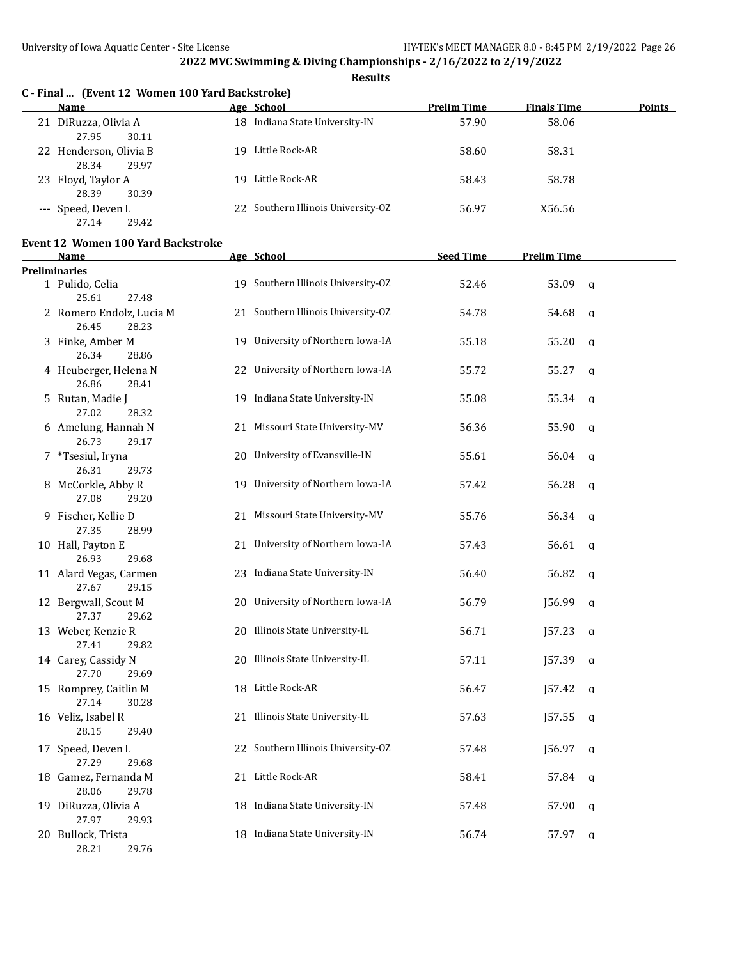**Results**

# **C - Final ... (Event 12 Women 100 Yard Backstroke)**

| Name                                      | Age School                         | <b>Prelim Time</b> | <b>Finals Time</b> | <b>Points</b> |
|-------------------------------------------|------------------------------------|--------------------|--------------------|---------------|
| DiRuzza, Olivia A<br>21<br>27.95<br>30.11 | Indiana State University-IN<br>18  | 57.90              | 58.06              |               |
| 22 Henderson, Olivia B<br>28.34<br>29.97  | Little Rock-AR<br>19.              | 58.60              | 58.31              |               |
| 23 Floyd, Taylor A<br>28.39<br>30.39      | Little Rock-AR<br>19.              | 58.43              | 58.78              |               |
| --- Speed, Deven L<br>29.42<br>27.14      | 22 Southern Illinois University-OZ | 56.97              | X56.56             |               |

#### **Event 12 Women 100 Yard Backstroke**

| <b>Name</b>                                | Age School                         | <b>Seed Time</b> | <b>Prelim Time</b>     |  |
|--------------------------------------------|------------------------------------|------------------|------------------------|--|
| <b>Preliminaries</b>                       |                                    |                  |                        |  |
| 1 Pulido, Celia<br>25.61<br>27.48          | 19 Southern Illinois University-OZ | 52.46            | 53.09<br>$\mathbf{q}$  |  |
| 2 Romero Endolz, Lucia M<br>26.45<br>28.23 | 21 Southern Illinois University-OZ | 54.78            | 54.68<br>$\mathbf{q}$  |  |
| 3 Finke, Amber M<br>26.34<br>28.86         | 19 University of Northern Iowa-IA  | 55.18            | 55.20<br>$\mathbf q$   |  |
| 4 Heuberger, Helena N<br>26.86<br>28.41    | 22 University of Northern Iowa-IA  | 55.72            | 55.27<br>$\mathbf q$   |  |
| 5 Rutan, Madie J<br>27.02<br>28.32         | 19 Indiana State University-IN     | 55.08            | 55.34<br>q             |  |
| 6 Amelung, Hannah N<br>26.73<br>29.17      | 21 Missouri State University-MV    | 56.36            | 55.90<br>$\mathbf q$   |  |
| 7 *Tsesiul, Iryna<br>26.31<br>29.73        | 20 University of Evansville-IN     | 55.61            | 56.04<br>$\mathsf{q}$  |  |
| 8 McCorkle, Abby R<br>27.08<br>29.20       | 19 University of Northern Iowa-IA  | 57.42            | 56.28<br>q             |  |
| 9 Fischer, Kellie D<br>27.35<br>28.99      | 21 Missouri State University-MV    | 55.76            | 56.34<br>$\mathbf{q}$  |  |
| 10 Hall, Payton E<br>26.93<br>29.68        | 21 University of Northern Iowa-IA  | 57.43            | 56.61<br>q             |  |
| 11 Alard Vegas, Carmen<br>27.67<br>29.15   | 23 Indiana State University-IN     | 56.40            | 56.82<br>$\mathbf q$   |  |
| 12 Bergwall, Scout M<br>27.37<br>29.62     | 20 University of Northern Iowa-IA  | 56.79            | J56.99<br>$\mathsf{q}$ |  |
| 13 Weber, Kenzie R<br>27.41<br>29.82       | 20 Illinois State University-IL    | 56.71            | J57.23<br>q            |  |
| 14 Carey, Cassidy N<br>27.70<br>29.69      | 20 Illinois State University-IL    | 57.11            | J57.39<br>q            |  |
| 15 Romprey, Caitlin M<br>27.14<br>30.28    | 18 Little Rock-AR                  | 56.47            | J57.42<br>$\mathbf{q}$ |  |
| 16 Veliz, Isabel R<br>28.15<br>29.40       | 21 Illinois State University-IL    | 57.63            | J57.55<br>q            |  |
| 17 Speed, Deven L<br>27.29<br>29.68        | 22 Southern Illinois University-OZ | 57.48            | J56.97<br>$\mathbf{q}$ |  |
| 18 Gamez, Fernanda M<br>28.06<br>29.78     | 21 Little Rock-AR                  | 58.41            | 57.84<br>q             |  |
| 19 DiRuzza, Olivia A<br>27.97<br>29.93     | 18 Indiana State University-IN     | 57.48            | 57.90<br>q             |  |
| 20 Bullock, Trista<br>28.21<br>29.76       | 18 Indiana State University-IN     | 56.74            | 57.97<br>$\mathbf{q}$  |  |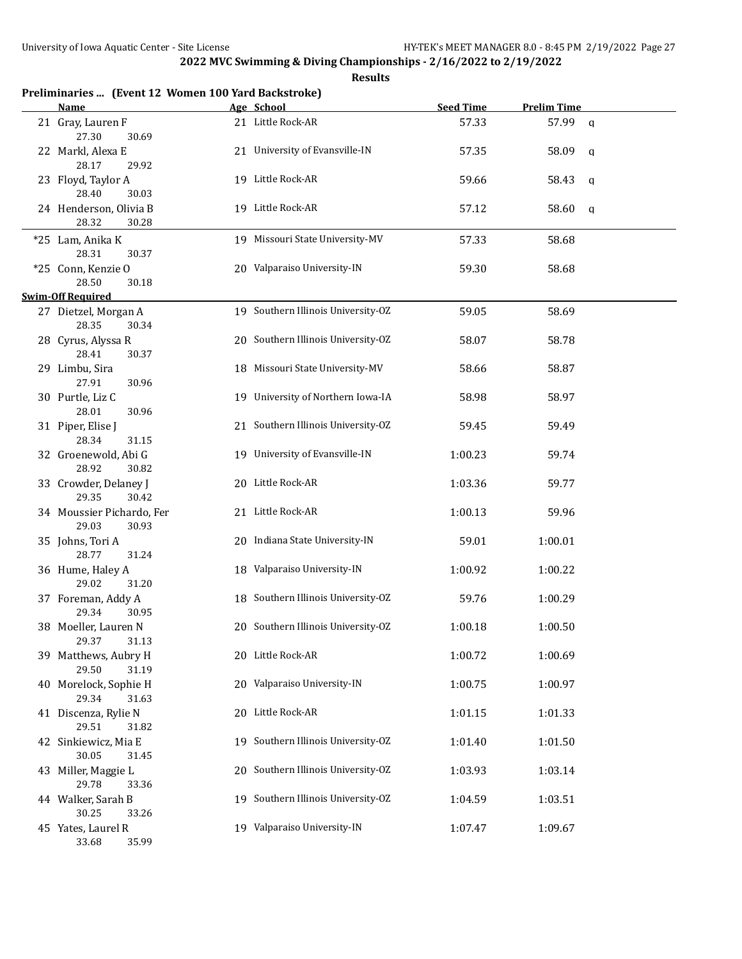| Preliminaries  (Event 12 Women 100 Yard Backstroke)<br>Name | Age School                         | <b>Seed Time</b> | <b>Prelim Time</b> |   |
|-------------------------------------------------------------|------------------------------------|------------------|--------------------|---|
|                                                             | 21 Little Rock-AR                  |                  |                    |   |
| 21 Gray, Lauren F<br>27.30<br>30.69                         |                                    | 57.33            | 57.99              | a |
| 22 Markl, Alexa E<br>28.17<br>29.92                         | 21 University of Evansville-IN     | 57.35            | 58.09              | a |
| 23 Floyd, Taylor A<br>28.40<br>30.03                        | 19 Little Rock-AR                  | 59.66            | 58.43              | a |
| 24 Henderson, Olivia B                                      | 19 Little Rock-AR                  | 57.12            | 58.60              | q |
| 28.32<br>30.28                                              |                                    |                  |                    |   |
|                                                             |                                    |                  |                    |   |
| *25 Lam, Anika K                                            | 19 Missouri State University-MV    | 57.33            | 58.68              |   |
| 28.31<br>30.37                                              |                                    |                  |                    |   |
| *25 Conn, Kenzie O                                          | 20 Valparaiso University-IN        | 59.30            | 58.68              |   |
| 28.50<br>30.18                                              |                                    |                  |                    |   |
| <b>Swim-Off Required</b>                                    | 19 Southern Illinois University-OZ |                  |                    |   |
| 27 Dietzel, Morgan A<br>28.35<br>30.34                      |                                    | 59.05            | 58.69              |   |
| 28 Cyrus, Alyssa R                                          | 20 Southern Illinois University-OZ | 58.07            | 58.78              |   |
| 28.41<br>30.37                                              |                                    |                  |                    |   |
| 29 Limbu, Sira                                              | 18 Missouri State University-MV    | 58.66            | 58.87              |   |
| 27.91<br>30.96                                              |                                    |                  |                    |   |
| 30 Purtle, Liz C                                            | 19 University of Northern Iowa-IA  | 58.98            | 58.97              |   |
| 28.01<br>30.96                                              |                                    |                  |                    |   |
| 31 Piper, Elise J                                           | 21 Southern Illinois University-OZ | 59.45            | 59.49              |   |
| 28.34<br>31.15                                              |                                    |                  |                    |   |
| 32 Groenewold, Abi G                                        | 19 University of Evansville-IN     | 1:00.23          | 59.74              |   |
| 28.92<br>30.82                                              |                                    |                  |                    |   |
| 33 Crowder, Delaney J                                       | 20 Little Rock-AR                  | 1:03.36          | 59.77              |   |
| 29.35<br>30.42                                              |                                    |                  |                    |   |
| 34 Moussier Pichardo, Fer                                   | 21 Little Rock-AR                  | 1:00.13          | 59.96              |   |
| 29.03<br>30.93                                              |                                    |                  |                    |   |
| 35 Johns, Tori A                                            | 20 Indiana State University-IN     | 59.01            | 1:00.01            |   |
| 28.77<br>31.24                                              |                                    |                  |                    |   |
| 36 Hume, Haley A                                            | 18 Valparaiso University-IN        | 1:00.92          | 1:00.22            |   |
| 29.02<br>31.20                                              |                                    |                  |                    |   |
| 37 Foreman, Addy A                                          | 18 Southern Illinois University-OZ | 59.76            | 1:00.29            |   |
| 29.34<br>30.95                                              |                                    |                  |                    |   |
| 38 Moeller, Lauren N                                        | 20 Southern Illinois University-OZ | 1:00.18          | 1:00.50            |   |
| 29.37<br>31.13                                              |                                    |                  |                    |   |
| 39 Matthews, Aubry H                                        | 20 Little Rock-AR                  | 1:00.72          | 1:00.69            |   |
| 29.50<br>31.19                                              |                                    |                  |                    |   |
| 40 Morelock, Sophie H                                       | 20 Valparaiso University-IN        | 1:00.75          | 1:00.97            |   |
| 29.34<br>31.63                                              |                                    |                  |                    |   |
| 41 Discenza, Rylie N                                        | 20 Little Rock-AR                  | 1:01.15          | 1:01.33            |   |
| 29.51<br>31.82                                              |                                    | 1:01.40          |                    |   |
| 42 Sinkiewicz, Mia E                                        | 19 Southern Illinois University-OZ |                  | 1:01.50            |   |
| 30.05<br>31.45                                              | 20 Southern Illinois University-OZ |                  |                    |   |
| 43 Miller, Maggie L<br>29.78<br>33.36                       |                                    | 1:03.93          | 1:03.14            |   |
| 44 Walker, Sarah B                                          | 19 Southern Illinois University-OZ | 1:04.59          | 1:03.51            |   |
| 30.25<br>33.26                                              |                                    |                  |                    |   |
| 45 Yates, Laurel R                                          | 19 Valparaiso University-IN        | 1:07.47          | 1:09.67            |   |
| 33.68<br>35.99                                              |                                    |                  |                    |   |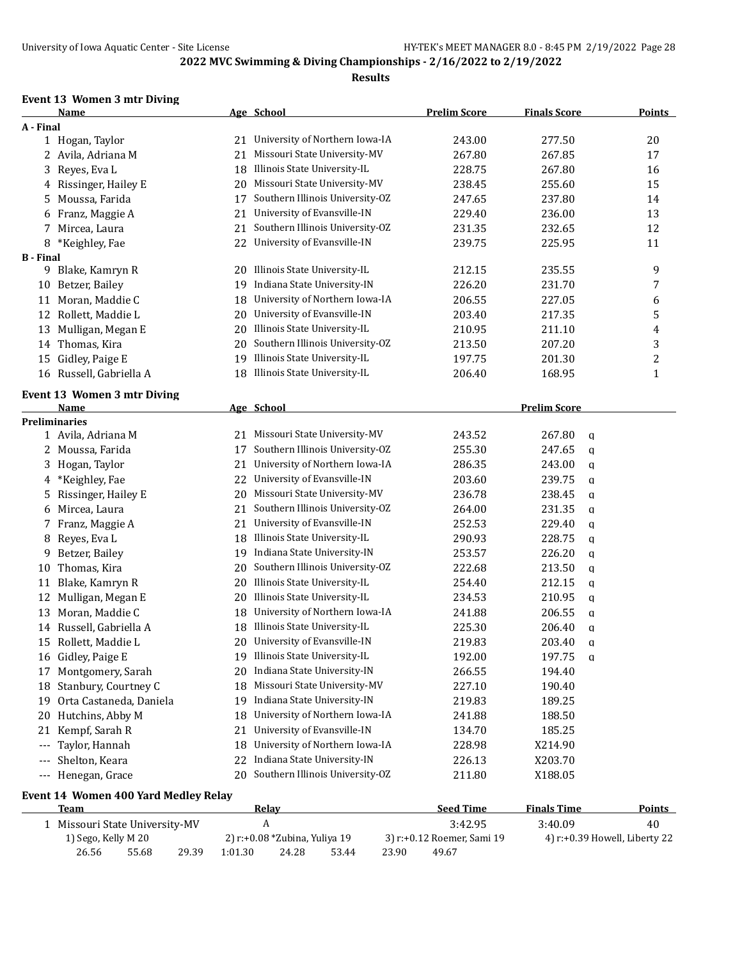#### **Results**

## **Event 13 Women 3 mtr Diving**

|                  | Name                                 |         | Age School                      | <b>Prelim Score</b>        | <b>Finals Score</b>           | <b>Points</b> |
|------------------|--------------------------------------|---------|---------------------------------|----------------------------|-------------------------------|---------------|
| A - Final        |                                      |         |                                 |                            |                               |               |
|                  | 1 Hogan, Taylor                      | 21      | University of Northern Iowa-IA  | 243.00                     | 277.50                        | 20            |
|                  | 2 Avila, Adriana M                   | 21      | Missouri State University-MV    | 267.80                     | 267.85                        | 17            |
| 3                | Reyes, Eva L                         | 18      | Illinois State University-IL    | 228.75                     | 267.80                        | 16            |
|                  | 4 Rissinger, Hailey E                | 20      | Missouri State University-MV    | 238.45                     | 255.60                        | 15            |
| 5.               | Moussa, Farida                       | 17      | Southern Illinois University-OZ | 247.65                     | 237.80                        | 14            |
| 6                | Franz, Maggie A                      | 21      | University of Evansville-IN     | 229.40                     | 236.00                        | 13            |
|                  | 7 Mircea, Laura                      | 21      | Southern Illinois University-OZ | 231.35                     | 232.65                        | 12            |
| 8                | *Keighley, Fae                       | 22      | University of Evansville-IN     | 239.75                     | 225.95                        | 11            |
| <b>B</b> - Final |                                      |         |                                 |                            |                               |               |
|                  | 9 Blake, Kamryn R                    | 20      | Illinois State University-IL    | 212.15                     | 235.55                        | 9             |
|                  | 10 Betzer, Bailey                    | 19      | Indiana State University-IN     | 226.20                     | 231.70                        | 7             |
|                  | 11 Moran, Maddie C                   | 18      | University of Northern Iowa-IA  | 206.55                     | 227.05                        | 6             |
| 12               | Rollett, Maddie L                    | 20      | University of Evansville-IN     | 203.40                     | 217.35                        | 5             |
| 13               | Mulligan, Megan E                    | 20      | Illinois State University-IL    | 210.95                     | 211.10                        | 4             |
| 14               | Thomas, Kira                         | 20      | Southern Illinois University-OZ | 213.50                     | 207.20                        | 3             |
| 15               | Gidley, Paige E                      | 19      | Illinois State University-IL    | 197.75                     | 201.30                        | 2             |
|                  | 16 Russell, Gabriella A              |         | 18 Illinois State University-IL | 206.40                     | 168.95                        | 1             |
|                  |                                      |         |                                 |                            |                               |               |
|                  | Event 13 Women 3 mtr Diving          |         |                                 |                            |                               |               |
|                  | Name                                 |         | Age School                      |                            | <b>Prelim Score</b>           |               |
|                  | <b>Preliminaries</b>                 |         |                                 |                            |                               |               |
|                  | 1 Avila, Adriana M                   |         | 21 Missouri State University-MV | 243.52                     | 267.80<br>a                   |               |
|                  | 2 Moussa, Farida                     | 17      | Southern Illinois University-OZ | 255.30                     | 247.65<br>q                   |               |
|                  | 3 Hogan, Taylor                      | 21      | University of Northern Iowa-IA  | 286.35                     | 243.00<br>a                   |               |
| 4                | *Keighley, Fae                       | 22      | University of Evansville-IN     | 203.60                     | 239.75<br>a                   |               |
| 5.               | Rissinger, Hailey E                  | 20      | Missouri State University-MV    | 236.78                     | 238.45<br>a                   |               |
| 6                | Mircea, Laura                        | 21      | Southern Illinois University-OZ | 264.00                     | 231.35<br>a                   |               |
| 7                | Franz, Maggie A                      | 21      | University of Evansville-IN     | 252.53                     | 229.40<br>q                   |               |
| 8                | Reyes, Eva L                         | 18      | Illinois State University-IL    | 290.93                     | 228.75<br>a                   |               |
| 9                | Betzer, Bailey                       | 19      | Indiana State University-IN     | 253.57                     | 226.20<br>q                   |               |
| 10               | Thomas, Kira                         | 20      | Southern Illinois University-OZ | 222.68                     | 213.50<br>a                   |               |
| 11               | Blake, Kamryn R                      | 20      | Illinois State University-IL    | 254.40                     | 212.15<br>q                   |               |
| 12               | Mulligan, Megan E                    | 20      | Illinois State University-IL    | 234.53                     | 210.95<br>a                   |               |
| 13               | Moran, Maddie C                      | 18      | University of Northern Iowa-IA  | 241.88                     | 206.55<br>q                   |               |
| 14               | Russell, Gabriella A                 | 18      | Illinois State University-IL    | 225.30                     | 206.40<br>a                   |               |
|                  | 15 Rollett, Maddie L                 |         | 20 University of Evansville-IN  | 219.83                     | 203.40<br>q                   |               |
|                  | 16 Gidley, Paige E                   |         | 19 Illinois State University-IL | 192.00                     | 197.75<br>$\mathbf{q}$        |               |
| 17               | Montgomery, Sarah                    | 20      | Indiana State University-IN     | 266.55                     | 194.40                        |               |
| 18               | Stanbury, Courtney C                 | 18      | Missouri State University-MV    | 227.10                     | 190.40                        |               |
| 19               | Orta Castaneda, Daniela              | 19      | Indiana State University-IN     | 219.83                     | 189.25                        |               |
| 20               | Hutchins, Abby M                     | 18      | University of Northern Iowa-IA  | 241.88                     | 188.50                        |               |
| 21               | Kempf, Sarah R                       | 21      | University of Evansville-IN     | 134.70                     | 185.25                        |               |
| $---$            | Taylor, Hannah                       | 18      | University of Northern Iowa-IA  | 228.98                     | X214.90                       |               |
| $---$            | Shelton, Keara                       | 22      | Indiana State University-IN     | 226.13                     | X203.70                       |               |
| $---$            | Henegan, Grace                       | 20      | Southern Illinois University-OZ | 211.80                     | X188.05                       |               |
|                  |                                      |         |                                 |                            |                               |               |
|                  | Event 14 Women 400 Yard Medley Relay |         |                                 |                            |                               |               |
|                  | <b>Team</b>                          |         | Relay                           | <b>Seed Time</b>           | <b>Finals Time</b>            | <b>Points</b> |
|                  | 1 Missouri State University-MV       |         | $\boldsymbol{A}$                | 3:42.95                    | 3:40.09                       | 40            |
|                  | 1) Sego, Kelly M 20                  |         | 2) r:+0.08 *Zubina, Yuliya 19   | 3) r:+0.12 Roemer, Sami 19 | 4) r:+0.39 Howell, Liberty 22 |               |
|                  | 26.56<br>55.68<br>29.39              | 1:01.30 | 53.44<br>24.28<br>23.90         | 49.67                      |                               |               |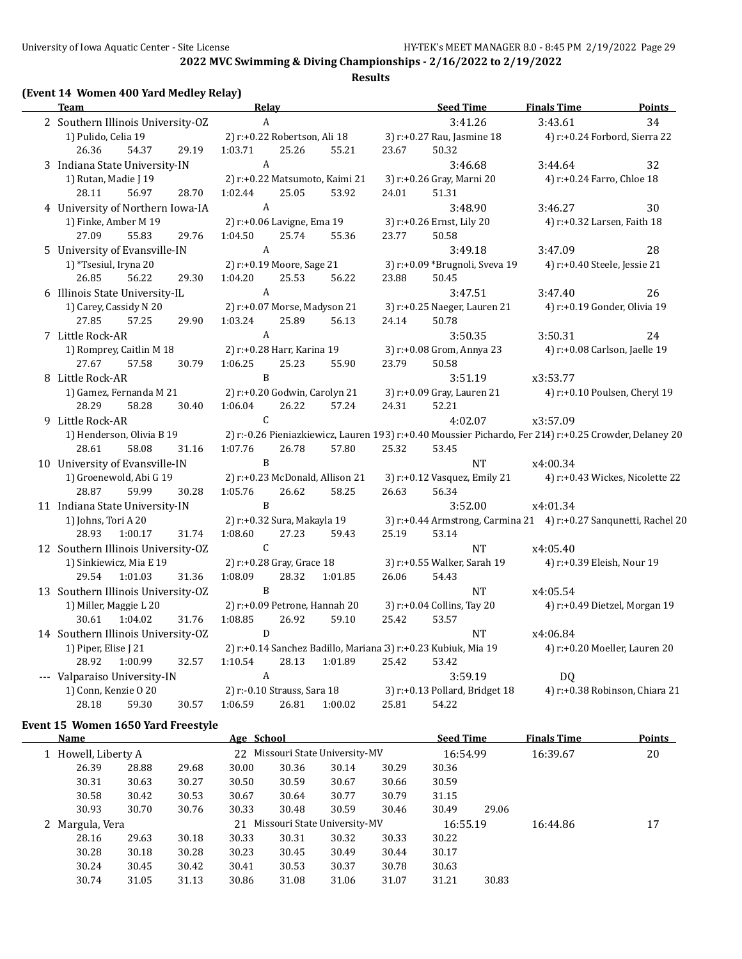## **Results**

# **(Event 14 Women 400 Yard Medley Relay)**

| Team                                        |       | <b>Relay</b>                  |       | <b>Seed Time</b>                | <b>Finals Time</b><br><b>Points</b> |                                                                                                                 |                               |                                 |
|---------------------------------------------|-------|-------------------------------|-------|---------------------------------|-------------------------------------|-----------------------------------------------------------------------------------------------------------------|-------------------------------|---------------------------------|
| 2 Southern Illinois University-OZ           |       | $\mathbf{A}$                  |       |                                 |                                     | 3:41.26                                                                                                         | 3:43.61                       | 34                              |
| 1) Pulido, Celia 19                         |       | 2) r:+0.22 Robertson, Ali 18  |       |                                 |                                     | 3) r:+0.27 Rau, Jasmine 18                                                                                      | 4) r:+0.24 Forbord, Sierra 22 |                                 |
| 26.36<br>54.37                              | 29.19 | 1:03.71                       | 25.26 | 55.21                           | 23.67                               | 50.32                                                                                                           |                               |                                 |
| 3 Indiana State University-IN               |       | $\mathbf{A}$                  |       |                                 |                                     | 3:46.68                                                                                                         | 3:44.64                       | 32                              |
| 1) Rutan, Madie J 19                        |       |                               |       | 2) r:+0.22 Matsumoto, Kaimi 21  |                                     | 3) r:+0.26 Gray, Marni 20                                                                                       | 4) r:+0.24 Farro, Chloe 18    |                                 |
| 56.97<br>28.11                              | 28.70 | 1:02.44                       | 25.05 | 53.92                           | 24.01                               | 51.31                                                                                                           |                               |                                 |
| 4 University of Northern Iowa-IA            |       | $\mathbf{A}$                  |       |                                 |                                     | 3:48.90                                                                                                         | 3:46.27                       | 30                              |
| 1) Finke, Amber M 19                        |       | 2) r:+0.06 Lavigne, Ema 19    |       |                                 |                                     | 3) r:+0.26 Ernst, Lily 20                                                                                       | 4) r:+0.32 Larsen, Faith 18   |                                 |
| 27.09<br>55.83                              | 29.76 | 1:04.50                       | 25.74 | 55.36                           | 23.77                               | 50.58                                                                                                           |                               |                                 |
| 5 University of Evansville-IN               |       | A                             |       |                                 |                                     | 3:49.18                                                                                                         | 3:47.09                       | 28                              |
| 1) *Tsesiul, Iryna 20                       |       | 2) r:+0.19 Moore, Sage 21     |       |                                 |                                     | 3) r:+0.09 *Brugnoli, Sveva 19                                                                                  | 4) r:+0.40 Steele, Jessie 21  |                                 |
| 26.85<br>56.22                              | 29.30 | 1:04.20                       | 25.53 | 56.22                           | 23.88                               | 50.45                                                                                                           |                               |                                 |
| 6 Illinois State University-IL              |       | A                             |       |                                 |                                     | 3:47.51                                                                                                         | 3:47.40                       | 26                              |
| 1) Carey, Cassidy N 20                      |       | 2) r:+0.07 Morse, Madyson 21  |       |                                 |                                     | 3) r:+0.25 Naeger, Lauren 21                                                                                    | 4) r:+0.19 Gonder, Olivia 19  |                                 |
| 27.85<br>57.25                              | 29.90 | 1:03.24                       | 25.89 | 56.13                           | 24.14                               | 50.78                                                                                                           |                               |                                 |
| 7 Little Rock-AR                            |       | A                             |       |                                 |                                     | 3:50.35                                                                                                         | 3:50.31                       | 24                              |
| 1) Romprey, Caitlin M 18                    |       | 2) r:+0.28 Harr, Karina 19    |       |                                 |                                     | 3) r:+0.08 Grom, Annya 23                                                                                       | 4) r:+0.08 Carlson, Jaelle 19 |                                 |
| 27.67<br>57.58                              | 30.79 | 1:06.25                       | 25.23 | 55.90                           | 23.79                               | 50.58                                                                                                           |                               |                                 |
| 8 Little Rock-AR                            |       | B                             |       |                                 |                                     | 3:51.19                                                                                                         | x3:53.77                      |                                 |
| 1) Gamez, Fernanda M 21                     |       | 2) r:+0.20 Godwin, Carolyn 21 |       |                                 |                                     | 3) r:+0.09 Gray, Lauren 21                                                                                      | 4) r:+0.10 Poulsen, Cheryl 19 |                                 |
| 28.29<br>58.28                              | 30.40 | 1:06.04                       | 26.22 | 57.24                           | 24.31                               | 52.21                                                                                                           |                               |                                 |
| 9 Little Rock-AR                            |       | C                             |       |                                 |                                     | 4:02.07                                                                                                         | x3:57.09                      |                                 |
| 1) Henderson, Olivia B 19<br>28.61<br>58.08 | 31.16 | 1:07.76                       | 26.78 | 57.80                           | 25.32                               | 2) r:-0.26 Pieniazkiewicz, Lauren 193) r:+0.40 Moussier Pichardo, Fer 214) r:+0.25 Crowder, Delaney 20<br>53.45 |                               |                                 |
| 10 University of Evansville-IN              |       | B                             |       |                                 |                                     | NT                                                                                                              | x4:00.34                      |                                 |
| 1) Groenewold, Abi G 19                     |       |                               |       | 2) r:+0.23 McDonald, Allison 21 |                                     | 3) r:+0.12 Vasquez, Emily 21                                                                                    |                               | 4) r:+0.43 Wickes, Nicolette 22 |
| 28.87<br>59.99                              | 30.28 | 1:05.76                       | 26.62 | 58.25                           | 26.63                               | 56.34                                                                                                           |                               |                                 |
| 11 Indiana State University-IN              |       | B                             |       |                                 |                                     | 3:52.00                                                                                                         | x4:01.34                      |                                 |
| 1) Johns, Tori A 20                         |       | 2) r:+0.32 Sura, Makayla 19   |       |                                 |                                     | 3) r:+0.44 Armstrong, Carmina 21 4) r:+0.27 Sanqunetti, Rachel 20                                               |                               |                                 |
| 28.93<br>1:00.17                            | 31.74 | 1:08.60                       | 27.23 | 59.43                           | 25.19                               | 53.14                                                                                                           |                               |                                 |
| 12 Southern Illinois University-OZ          |       | $\mathcal{C}$                 |       |                                 |                                     | NT                                                                                                              | x4:05.40                      |                                 |
| 1) Sinkiewicz, Mia E 19                     |       | 2) r:+0.28 Gray, Grace 18     |       |                                 |                                     | 3) r:+0.55 Walker, Sarah 19                                                                                     | 4) r:+0.39 Eleish, Nour 19    |                                 |
| 29.54<br>1:01.03                            | 31.36 | 1:08.09                       | 28.32 | 1:01.85                         | 26.06                               | 54.43                                                                                                           |                               |                                 |
| 13 Southern Illinois University-OZ          |       | $\mathbf{B}$                  |       |                                 |                                     | NT                                                                                                              | x4:05.54                      |                                 |
| 1) Miller, Maggie L 20                      |       | 2) r:+0.09 Petrone, Hannah 20 |       |                                 |                                     | 3) r:+0.04 Collins, Tay 20                                                                                      | 4) r:+0.49 Dietzel, Morgan 19 |                                 |
| 30.61<br>1:04.02                            | 31.76 | 1:08.85                       | 26.92 | 59.10                           | 25.42                               | 53.57                                                                                                           |                               |                                 |
| 14 Southern Illinois University-OZ          |       | D                             |       |                                 |                                     | NT                                                                                                              | x4:06.84                      |                                 |
| 1) Piper, Elise J 21                        |       |                               |       |                                 |                                     | 2) r:+0.14 Sanchez Badillo, Mariana 3) r:+0.23 Kubiuk, Mia 19                                                   | 4) r:+0.20 Moeller, Lauren 20 |                                 |
| 28.92<br>1:00.99                            | 32.57 | 1:10.54                       | 28.13 | 1:01.89                         | 25.42                               | 53.42                                                                                                           |                               |                                 |
| --- Valparaiso University-IN                |       | $\mathbf{A}$                  |       |                                 |                                     | 3:59.19                                                                                                         | DQ                            |                                 |
| 1) Conn, Kenzie O 20                        |       | 2) r:-0.10 Strauss, Sara 18   |       |                                 |                                     | 3) r:+0.13 Pollard, Bridget 18                                                                                  |                               | 4) r:+0.38 Robinson, Chiara 21  |
| 28.18<br>59.30                              | 30.57 | 1:06.59                       | 26.81 | 1:00.02                         | 25.81                               | 54.22                                                                                                           |                               |                                 |

#### **Event 15 Women 1650 Yard Freestyle**

|          | 20       |
|----------|----------|
|          |          |
|          |          |
|          |          |
|          |          |
| 16:44.86 | 17       |
|          |          |
|          |          |
|          |          |
|          |          |
|          | 16:39.67 |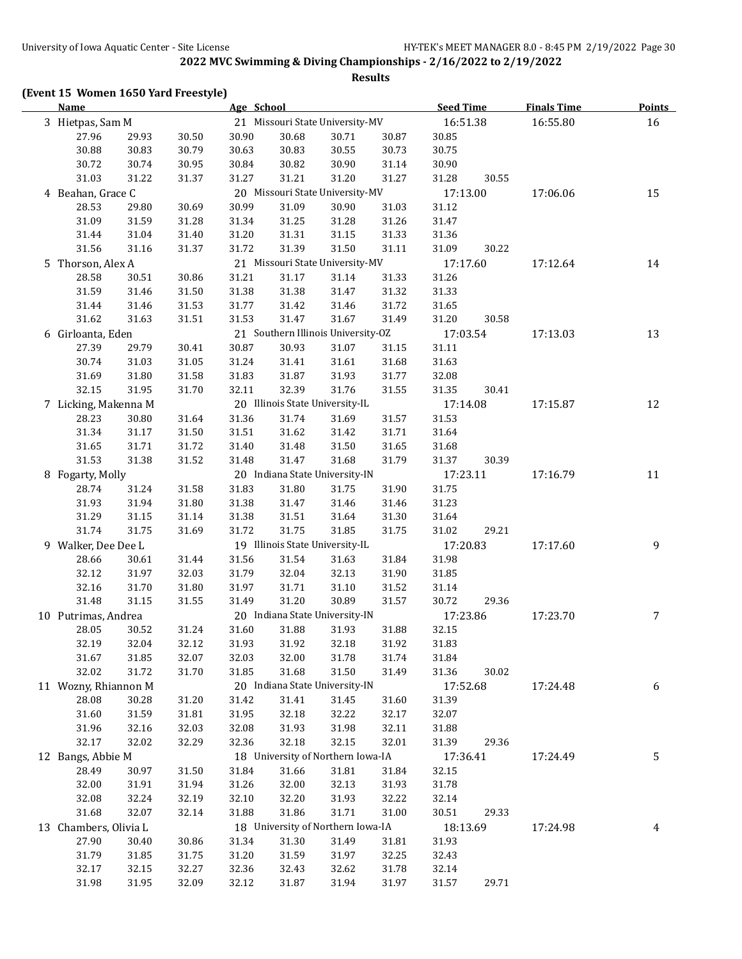**Results**

# **(Event 15 Women 1650 Yard Freestyle)**

| <b>Name</b>           |       |       | Age School |       |                                    |       | <b>Seed Time</b> | <b>Finals Time</b> | <b>Points</b> |    |
|-----------------------|-------|-------|------------|-------|------------------------------------|-------|------------------|--------------------|---------------|----|
| 3 Hietpas, Sam M      |       |       |            |       | 21 Missouri State University-MV    |       | 16:51.38         |                    | 16:55.80      | 16 |
| 27.96                 | 29.93 | 30.50 | 30.90      | 30.68 | 30.71                              | 30.87 | 30.85            |                    |               |    |
| 30.88                 | 30.83 | 30.79 | 30.63      | 30.83 | 30.55                              | 30.73 | 30.75            |                    |               |    |
| 30.72                 | 30.74 | 30.95 | 30.84      | 30.82 | 30.90                              | 31.14 | 30.90            |                    |               |    |
| 31.03                 | 31.22 | 31.37 | 31.27      | 31.21 | 31.20                              | 31.27 | 31.28            | 30.55              |               |    |
| 4 Beahan, Grace C     |       |       |            |       | 20 Missouri State University-MV    |       | 17:13.00         |                    | 17:06.06      | 15 |
| 28.53                 | 29.80 | 30.69 | 30.99      | 31.09 | 30.90                              | 31.03 | 31.12            |                    |               |    |
| 31.09                 | 31.59 | 31.28 | 31.34      | 31.25 | 31.28                              | 31.26 | 31.47            |                    |               |    |
| 31.44                 | 31.04 | 31.40 | 31.20      | 31.31 | 31.15                              | 31.33 | 31.36            |                    |               |    |
| 31.56                 | 31.16 | 31.37 | 31.72      | 31.39 | 31.50                              | 31.11 | 31.09            | 30.22              |               |    |
| 5 Thorson, Alex A     |       |       |            |       | 21 Missouri State University-MV    |       | 17:17.60         |                    | 17:12.64      | 14 |
| 28.58                 | 30.51 | 30.86 | 31.21      | 31.17 | 31.14                              | 31.33 | 31.26            |                    |               |    |
| 31.59                 | 31.46 | 31.50 | 31.38      | 31.38 | 31.47                              | 31.32 | 31.33            |                    |               |    |
| 31.44                 | 31.46 | 31.53 | 31.77      | 31.42 | 31.46                              | 31.72 | 31.65            |                    |               |    |
| 31.62                 | 31.63 | 31.51 | 31.53      | 31.47 | 31.67                              | 31.49 | 31.20            | 30.58              |               |    |
| 6 Girloanta, Eden     |       |       |            |       | 21 Southern Illinois University-OZ |       | 17:03.54         |                    | 17:13.03      | 13 |
| 27.39                 | 29.79 | 30.41 | 30.87      | 30.93 | 31.07                              | 31.15 | 31.11            |                    |               |    |
| 30.74                 | 31.03 | 31.05 | 31.24      | 31.41 | 31.61                              | 31.68 | 31.63            |                    |               |    |
| 31.69                 | 31.80 | 31.58 | 31.83      | 31.87 | 31.93                              | 31.77 | 32.08            |                    |               |    |
| 32.15                 | 31.95 | 31.70 | 32.11      | 32.39 | 31.76                              | 31.55 | 31.35            | 30.41              |               |    |
| 7 Licking, Makenna M  |       |       |            |       | 20 Illinois State University-IL    |       | 17:14.08         |                    | 17:15.87      | 12 |
| 28.23                 | 30.80 | 31.64 | 31.36      | 31.74 | 31.69                              | 31.57 | 31.53            |                    |               |    |
| 31.34                 | 31.17 | 31.50 | 31.51      | 31.62 | 31.42                              | 31.71 | 31.64            |                    |               |    |
| 31.65                 | 31.71 | 31.72 | 31.40      | 31.48 | 31.50                              | 31.65 | 31.68            |                    |               |    |
| 31.53                 | 31.38 | 31.52 | 31.48      | 31.47 | 31.68                              | 31.79 | 31.37            | 30.39              |               |    |
| 8 Fogarty, Molly      |       |       |            |       | 20 Indiana State University-IN     |       | 17:23.11         |                    | 17:16.79      | 11 |
| 28.74                 | 31.24 | 31.58 | 31.83      | 31.80 | 31.75                              | 31.90 | 31.75            |                    |               |    |
| 31.93                 | 31.94 | 31.80 | 31.38      | 31.47 | 31.46                              | 31.46 | 31.23            |                    |               |    |
| 31.29                 | 31.15 | 31.14 | 31.38      | 31.51 | 31.64                              | 31.30 | 31.64            |                    |               |    |
| 31.74                 | 31.75 | 31.69 | 31.72      | 31.75 | 31.85                              | 31.75 | 31.02            | 29.21              |               |    |
| 9 Walker, Dee Dee L   |       |       |            |       | 19 Illinois State University-IL    |       | 17:20.83         |                    | 17:17.60      | 9  |
| 28.66                 | 30.61 | 31.44 | 31.56      | 31.54 | 31.63                              | 31.84 | 31.98            |                    |               |    |
| 32.12                 | 31.97 | 32.03 | 31.79      | 32.04 | 32.13                              | 31.90 | 31.85            |                    |               |    |
| 32.16                 | 31.70 | 31.80 | 31.97      | 31.71 | 31.10                              | 31.52 | 31.14            |                    |               |    |
| 31.48                 | 31.15 | 31.55 | 31.49      | 31.20 | 30.89                              | 31.57 | 30.72            | 29.36              |               |    |
| 10 Putrimas, Andrea   |       |       |            |       | 20 Indiana State University-IN     |       | 17:23.86         |                    | 17:23.70      | 7  |
| 28.05                 | 30.52 | 31.24 | 31.60      | 31.88 | 31.93                              | 31.88 | 32.15            |                    |               |    |
| 32.19                 | 32.04 | 32.12 | 31.93      | 31.92 | 32.18                              | 31.92 | 31.83            |                    |               |    |
| 31.67                 | 31.85 | 32.07 | 32.03      | 32.00 | 31.78                              | 31.74 | 31.84            |                    |               |    |
| 32.02                 | 31.72 | 31.70 | 31.85      | 31.68 | 31.50                              | 31.49 | 31.36            | 30.02              |               |    |
| 11 Wozny, Rhiannon M  |       |       |            |       | 20 Indiana State University-IN     |       | 17:52.68         |                    | 17:24.48      | 6  |
| 28.08                 | 30.28 | 31.20 | 31.42      | 31.41 | 31.45                              | 31.60 | 31.39            |                    |               |    |
| 31.60                 | 31.59 | 31.81 | 31.95      | 32.18 | 32.22                              | 32.17 | 32.07            |                    |               |    |
| 31.96                 | 32.16 | 32.03 | 32.08      | 31.93 | 31.98                              | 32.11 | 31.88            |                    |               |    |
| 32.17                 | 32.02 | 32.29 | 32.36      | 32.18 | 32.15                              | 32.01 | 31.39            | 29.36              |               |    |
| 12 Bangs, Abbie M     |       |       |            |       | 18 University of Northern Iowa-IA  |       | 17:36.41         |                    | 17:24.49      | 5  |
| 28.49                 | 30.97 | 31.50 | 31.84      | 31.66 | 31.81                              | 31.84 | 32.15            |                    |               |    |
| 32.00                 | 31.91 | 31.94 | 31.26      | 32.00 | 32.13                              | 31.93 | 31.78            |                    |               |    |
| 32.08                 | 32.24 | 32.19 | 32.10      | 32.20 | 31.93                              | 32.22 | 32.14            |                    |               |    |
| 31.68                 | 32.07 | 32.14 | 31.88      | 31.86 | 31.71                              | 31.00 | 30.51            | 29.33              |               |    |
| 13 Chambers, Olivia L |       |       |            |       | 18 University of Northern Iowa-IA  |       | 18:13.69         |                    | 17:24.98      | 4  |
| 27.90                 | 30.40 | 30.86 | 31.34      | 31.30 | 31.49                              | 31.81 | 31.93            |                    |               |    |
| 31.79                 | 31.85 | 31.75 | 31.20      | 31.59 | 31.97                              | 32.25 | 32.43            |                    |               |    |
| 32.17                 | 32.15 | 32.27 | 32.36      | 32.43 | 32.62                              | 31.78 | 32.14            |                    |               |    |
| 31.98                 | 31.95 | 32.09 | 32.12      | 31.87 | 31.94                              | 31.97 | 31.57            | 29.71              |               |    |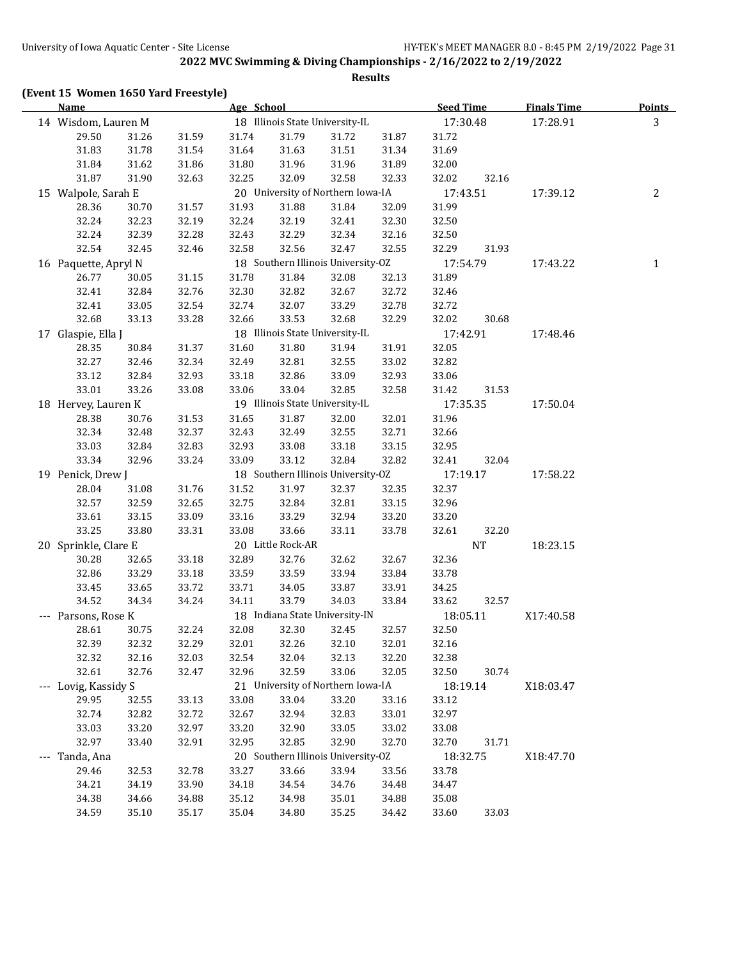**Results**

# **(Event 15 Women 1650 Yard Freestyle)**

| Name                                                 |       |       | Age School |                                 |                                    |          | <b>Seed Time</b> |           | <b>Finals Time</b> | Points       |
|------------------------------------------------------|-------|-------|------------|---------------------------------|------------------------------------|----------|------------------|-----------|--------------------|--------------|
| 14 Wisdom, Lauren M                                  |       |       |            | 18 Illinois State University-IL |                                    | 17:30.48 |                  | 17:28.91  | 3                  |              |
| 29.50                                                | 31.26 | 31.59 | 31.74      | 31.79                           | 31.72                              | 31.87    | 31.72            |           |                    |              |
| 31.83                                                | 31.78 | 31.54 | 31.64      | 31.63                           | 31.51                              | 31.34    | 31.69            |           |                    |              |
| 31.84                                                | 31.62 | 31.86 | 31.80      | 31.96                           | 31.96                              | 31.89    | 32.00            |           |                    |              |
| 31.87                                                | 31.90 | 32.63 | 32.25      | 32.09                           | 32.58                              | 32.33    | 32.02            | 32.16     |                    |              |
| 15 Walpole, Sarah E                                  |       |       |            |                                 | 20 University of Northern Iowa-IA  |          | 17:43.51         |           | 17:39.12           | 2            |
| 28.36                                                | 30.70 | 31.57 | 31.93      | 31.88                           | 31.84                              | 32.09    | 31.99            |           |                    |              |
| 32.24                                                | 32.23 | 32.19 | 32.24      | 32.19                           | 32.41                              | 32.30    | 32.50            |           |                    |              |
| 32.24                                                | 32.39 | 32.28 | 32.43      | 32.29                           | 32.34                              | 32.16    | 32.50            |           |                    |              |
| 32.54                                                | 32.45 | 32.46 | 32.58      | 32.56                           | 32.47                              | 32.55    | 32.29            | 31.93     |                    |              |
| 16 Paquette, Apryl N                                 |       |       |            |                                 | 18 Southern Illinois University-OZ |          | 17:54.79         |           | 17:43.22           | $\mathbf{1}$ |
| 26.77                                                | 30.05 | 31.15 | 31.78      | 31.84                           | 32.08                              | 32.13    | 31.89            |           |                    |              |
| 32.41                                                | 32.84 | 32.76 | 32.30      | 32.82                           | 32.67                              | 32.72    | 32.46            |           |                    |              |
| 32.41                                                | 33.05 | 32.54 | 32.74      | 32.07                           | 33.29                              | 32.78    | 32.72            |           |                    |              |
| 32.68                                                | 33.13 | 33.28 | 32.66      | 33.53                           | 32.68                              | 32.29    | 32.02            | 30.68     |                    |              |
| 17 Glaspie, Ella J                                   |       |       |            |                                 | 18 Illinois State University-IL    |          | 17:42.91         |           | 17:48.46           |              |
| 28.35                                                | 30.84 | 31.37 | 31.60      | 31.80                           | 31.94                              | 31.91    | 32.05            |           |                    |              |
| 32.27                                                | 32.46 | 32.34 | 32.49      | 32.81                           | 32.55                              | 33.02    | 32.82            |           |                    |              |
| 33.12                                                | 32.84 | 32.93 | 33.18      | 32.86                           | 33.09                              | 32.93    | 33.06            |           |                    |              |
| 33.01                                                | 33.26 | 33.08 | 33.06      | 33.04                           | 32.85                              | 32.58    |                  |           |                    |              |
|                                                      |       |       |            |                                 | 19 Illinois State University-IL    |          | 31.42            | 31.53     |                    |              |
| 18 Hervey, Lauren K                                  |       |       |            |                                 |                                    |          | 17:35.35         |           | 17:50.04           |              |
| 28.38                                                | 30.76 | 31.53 | 31.65      | 31.87                           | 32.00                              | 32.01    | 31.96            |           |                    |              |
| 32.34                                                | 32.48 | 32.37 | 32.43      | 32.49                           | 32.55                              | 32.71    | 32.66            |           |                    |              |
| 33.03                                                | 32.84 | 32.83 | 32.93      | 33.08                           | 33.18                              | 33.15    | 32.95            |           |                    |              |
| 33.34                                                | 32.96 | 33.24 | 33.09      | 33.12                           | 32.84                              | 32.82    | 32.41            | 32.04     |                    |              |
| 19 Penick, Drew J                                    |       |       |            |                                 | 18 Southern Illinois University-OZ |          | 17:19.17         |           | 17:58.22           |              |
| 28.04                                                | 31.08 | 31.76 | 31.52      | 31.97                           | 32.37                              | 32.35    | 32.37            |           |                    |              |
| 32.57                                                | 32.59 | 32.65 | 32.75      | 32.84                           | 32.81                              | 33.15    | 32.96            |           |                    |              |
| 33.61                                                | 33.15 | 33.09 | 33.16      | 33.29                           | 32.94                              | 33.20    | 33.20            |           |                    |              |
| 33.25                                                | 33.80 | 33.31 | 33.08      | 33.66                           | 33.11                              | 33.78    | 32.61            | 32.20     |                    |              |
| 20 Sprinkle, Clare E                                 |       |       |            | 20 Little Rock-AR               |                                    |          |                  | <b>NT</b> | 18:23.15           |              |
| 30.28                                                | 32.65 | 33.18 | 32.89      | 32.76                           | 32.62                              | 32.67    | 32.36            |           |                    |              |
| 32.86                                                | 33.29 | 33.18 | 33.59      | 33.59                           | 33.94                              | 33.84    | 33.78            |           |                    |              |
| 33.45                                                | 33.65 | 33.72 | 33.71      | 34.05                           | 33.87                              | 33.91    | 34.25            |           |                    |              |
| 34.52                                                | 34.34 | 34.24 | 34.11      | 33.79                           | 34.03                              | 33.84    | 33.62            | 32.57     |                    |              |
| --- Parsons, Rose K                                  |       |       |            |                                 | 18 Indiana State University-IN     |          | 18:05.11         |           | X17:40.58          |              |
| 28.61                                                | 30.75 | 32.24 | 32.08      | 32.30                           | 32.45                              | 32.57    | 32.50            |           |                    |              |
| 32.39                                                | 32.32 | 32.29 | 32.01      | 32.26                           | 32.10                              | 32.01    | 32.16            |           |                    |              |
| 32.32                                                | 32.16 | 32.03 | 32.54      | 32.04                           | 32.13                              | 32.20    | 32.38            |           |                    |              |
| 32.61                                                | 32.76 | 32.47 | 32.96      | 32.59                           | 33.06                              | 32.05    | 32.50            | 30.74     |                    |              |
| --- Lovig, Kassidy S                                 |       |       |            |                                 | 21 University of Northern Iowa-IA  |          | 18:19.14         |           | X18:03.47          |              |
| 29.95                                                | 32.55 | 33.13 | 33.08      | 33.04                           | 33.20                              | 33.16    | 33.12            |           |                    |              |
| 32.74                                                | 32.82 | 32.72 | 32.67      | 32.94                           | 32.83                              | 33.01    | 32.97            |           |                    |              |
| 33.03                                                | 33.20 | 32.97 | 33.20      | 32.90                           | 33.05                              | 33.02    | 33.08            |           |                    |              |
| 32.97                                                | 33.40 | 32.91 | 32.95      | 32.85                           | 32.90                              | 32.70    | 32.70            | 31.71     |                    |              |
| 20 Southern Illinois University-OZ<br>--- Tanda, Ana |       |       | 18:32.75   |                                 | X18:47.70                          |          |                  |           |                    |              |
| 29.46                                                | 32.53 | 32.78 | 33.27      | 33.66                           | 33.94                              | 33.56    | 33.78            |           |                    |              |
| 34.21                                                | 34.19 | 33.90 | 34.18      | 34.54                           | 34.76                              | 34.48    | 34.47            |           |                    |              |
| 34.38                                                | 34.66 | 34.88 | 35.12      | 34.98                           | 35.01                              | 34.88    | 35.08            |           |                    |              |
| 34.59                                                | 35.10 | 35.17 | 35.04      | 34.80                           | 35.25                              | 34.42    | 33.60            | 33.03     |                    |              |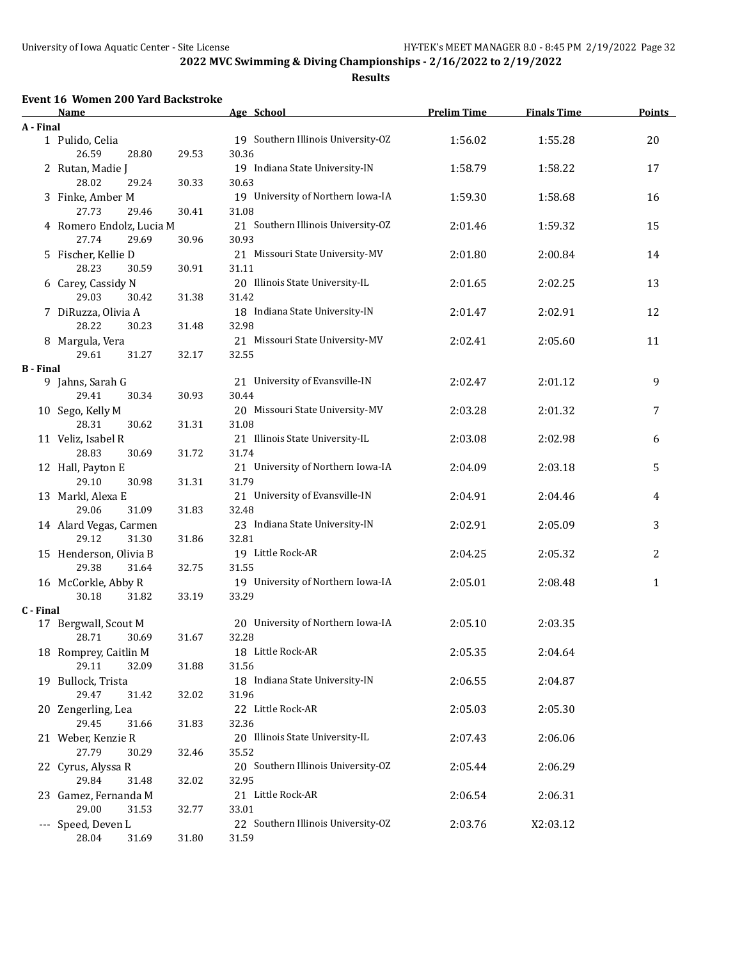**Results**

## **Event 16 Women 200 Yard Backstroke**

|                  | <b>Name</b>                       |       | Age School                                  | <b>Prelim Time</b> | <b>Finals Time</b> | <b>Points</b> |
|------------------|-----------------------------------|-------|---------------------------------------------|--------------------|--------------------|---------------|
| A - Final        |                                   |       |                                             |                    |                    |               |
|                  | 1 Pulido, Celia<br>26.59<br>28.80 | 29.53 | 19 Southern Illinois University-OZ<br>30.36 | 1:56.02            | 1:55.28            | 20            |
|                  | 2 Rutan, Madie J                  |       | 19 Indiana State University-IN              | 1:58.79            | 1:58.22            | 17            |
|                  | 28.02<br>29.24                    | 30.33 | 30.63                                       |                    |                    |               |
|                  | 3 Finke, Amber M                  |       | 19 University of Northern Iowa-IA           | 1:59.30            | 1:58.68            | 16            |
|                  | 27.73<br>29.46                    | 30.41 | 31.08                                       |                    |                    |               |
|                  | 4 Romero Endolz, Lucia M          |       | 21 Southern Illinois University-OZ          | 2:01.46            | 1:59.32            | 15            |
|                  | 27.74<br>29.69                    | 30.96 | 30.93                                       |                    |                    |               |
|                  | 5 Fischer, Kellie D               |       | 21 Missouri State University-MV             | 2:01.80            | 2:00.84            | 14            |
|                  | 28.23<br>30.59                    | 30.91 | 31.11                                       |                    |                    |               |
|                  | 6 Carey, Cassidy N                |       | 20 Illinois State University-IL             | 2:01.65            | 2:02.25            | 13            |
|                  | 29.03<br>30.42                    | 31.38 | 31.42                                       |                    |                    |               |
|                  | 7 DiRuzza, Olivia A               |       | 18 Indiana State University-IN              | 2:01.47            | 2:02.91            | 12            |
|                  | 28.22<br>30.23                    | 31.48 | 32.98                                       |                    |                    |               |
|                  | 8 Margula, Vera                   |       | 21 Missouri State University-MV             | 2:02.41            | 2:05.60            | 11            |
|                  | 29.61<br>31.27                    | 32.17 | 32.55                                       |                    |                    |               |
| <b>B</b> - Final |                                   |       |                                             |                    |                    |               |
|                  | 9 Jahns, Sarah G                  |       | 21 University of Evansville-IN              | 2:02.47            | 2:01.12            | 9             |
|                  | 29.41<br>30.34                    | 30.93 | 30.44                                       |                    |                    |               |
|                  | 10 Sego, Kelly M                  |       | 20 Missouri State University-MV             | 2:03.28            | 2:01.32            | 7             |
|                  | 28.31<br>30.62                    | 31.31 | 31.08                                       |                    |                    |               |
|                  | 11 Veliz, Isabel R                |       | 21 Illinois State University-IL             | 2:03.08            | 2:02.98            | 6             |
|                  | 28.83<br>30.69                    | 31.72 | 31.74                                       |                    |                    |               |
|                  | 12 Hall, Payton E                 |       | 21 University of Northern Iowa-IA           | 2:04.09            | 2:03.18            | 5             |
|                  | 29.10<br>30.98                    | 31.31 | 31.79                                       |                    |                    |               |
|                  | 13 Markl, Alexa E                 |       | 21 University of Evansville-IN              | 2:04.91            | 2:04.46            | 4             |
|                  | 29.06<br>31.09                    | 31.83 | 32.48                                       |                    |                    |               |
|                  | 14 Alard Vegas, Carmen            |       | 23 Indiana State University-IN              | 2:02.91            | 2:05.09            | 3             |
|                  | 29.12<br>31.30                    | 31.86 | 32.81                                       |                    |                    |               |
|                  | 15 Henderson, Olivia B            |       | 19 Little Rock-AR                           | 2:04.25            | 2:05.32            | 2             |
|                  | 29.38<br>31.64                    | 32.75 | 31.55                                       |                    |                    |               |
|                  | 16 McCorkle, Abby R               |       | 19 University of Northern Iowa-IA           | 2:05.01            | 2:08.48            | $\mathbf{1}$  |
| C - Final        | 30.18<br>31.82                    | 33.19 | 33.29                                       |                    |                    |               |
|                  | 17 Bergwall, Scout M              |       | 20 University of Northern Iowa-IA           | 2:05.10            | 2:03.35            |               |
|                  | 28.71<br>30.69                    | 31.67 | 32.28                                       |                    |                    |               |
|                  | 18 Romprey, Caitlin M             |       | 18 Little Rock-AR                           | 2:05.35            | 2:04.64            |               |
|                  | 29.11<br>32.09                    | 31.88 | 31.56                                       |                    |                    |               |
|                  | 19 Bullock, Trista                |       | 18 Indiana State University-IN              | 2:06.55            | 2:04.87            |               |
|                  | 29.47<br>31.42                    | 32.02 | 31.96                                       |                    |                    |               |
|                  | 20 Zengerling, Lea                |       | 22 Little Rock-AR                           | 2:05.03            | 2:05.30            |               |
|                  | 29.45<br>31.66                    | 31.83 | 32.36                                       |                    |                    |               |
|                  | 21 Weber, Kenzie R                |       | 20 Illinois State University-IL             | 2:07.43            | 2:06.06            |               |
|                  | 27.79<br>30.29                    | 32.46 | 35.52                                       |                    |                    |               |
|                  | 22 Cyrus, Alyssa R                |       | 20 Southern Illinois University-OZ          | 2:05.44            | 2:06.29            |               |
|                  | 29.84<br>31.48                    | 32.02 | 32.95                                       |                    |                    |               |
|                  | 23 Gamez, Fernanda M              |       | 21 Little Rock-AR                           | 2:06.54            | 2:06.31            |               |
|                  | 29.00<br>31.53                    | 32.77 | 33.01                                       |                    |                    |               |
|                  | --- Speed, Deven L                |       | 22 Southern Illinois University-OZ          | 2:03.76            | X2:03.12           |               |
|                  | 28.04<br>31.69                    | 31.80 | 31.59                                       |                    |                    |               |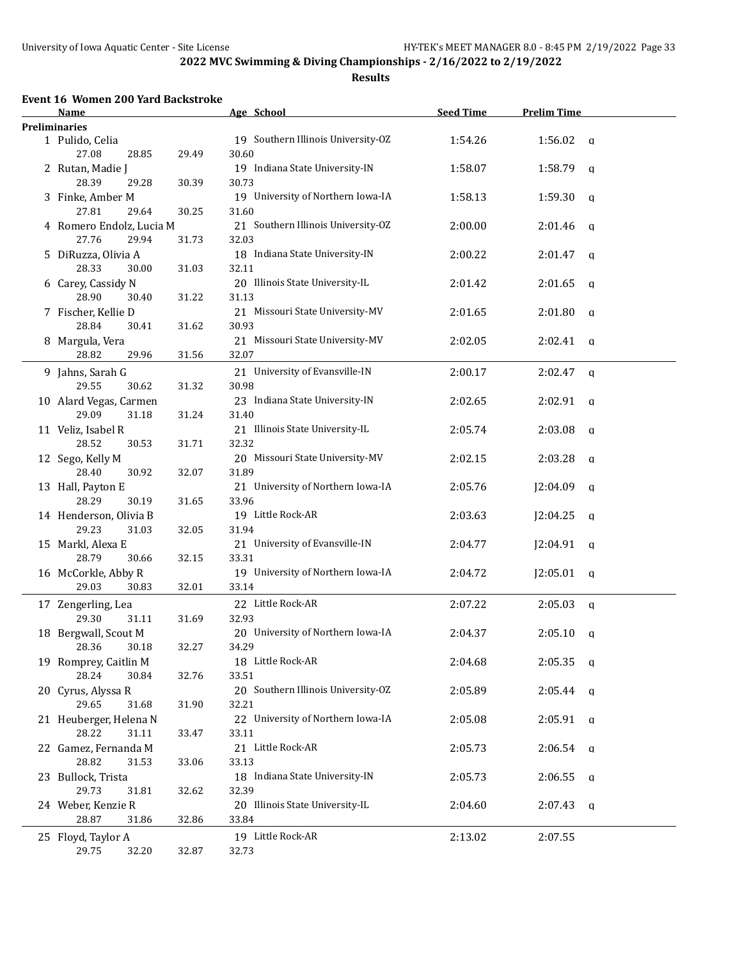**Results**

## **Event 16 Women 200 Yard Backstroke**

| <b>Name</b>                        |       | Age School                                  | <b>Seed Time</b> | <b>Prelim Time</b> |                |
|------------------------------------|-------|---------------------------------------------|------------------|--------------------|----------------|
| <b>Preliminaries</b>               |       |                                             |                  |                    |                |
| 1 Pulido, Celia<br>27.08<br>28.85  | 29.49 | 19 Southern Illinois University-OZ<br>30.60 | 1:54.26          | 1:56.02            | q              |
| 2 Rutan, Madie J                   |       | 19 Indiana State University-IN              | 1:58.07          | 1:58.79            | q              |
| 28.39<br>29.28<br>3 Finke, Amber M | 30.39 | 30.73<br>19 University of Northern Iowa-IA  | 1:58.13          | 1:59.30            | q              |
| 27.81<br>29.64                     | 30.25 | 31.60                                       |                  |                    |                |
| 4 Romero Endolz, Lucia M           |       | 21 Southern Illinois University-OZ          | 2:00.00          | 2:01.46            | q              |
| 27.76<br>29.94                     | 31.73 | 32.03                                       |                  |                    |                |
| 5 DiRuzza, Olivia A                |       | 18 Indiana State University-IN              | 2:00.22          | 2:01.47            | q              |
| 28.33<br>30.00                     | 31.03 | 32.11                                       |                  |                    |                |
| 6 Carey, Cassidy N                 |       | 20 Illinois State University-IL             | 2:01.42          | 2:01.65            | a              |
| 28.90<br>30.40                     | 31.22 | 31.13                                       |                  |                    |                |
| 7 Fischer, Kellie D                |       | 21 Missouri State University-MV             | 2:01.65          | 2:01.80            | q              |
| 28.84<br>30.41                     | 31.62 | 30.93                                       |                  |                    |                |
| 8 Margula, Vera                    |       | 21 Missouri State University-MV             | 2:02.05          | 2:02.41            | q              |
| 28.82<br>29.96                     | 31.56 | 32.07                                       |                  |                    |                |
| 9 Jahns, Sarah G                   |       | 21 University of Evansville-IN              | 2:00.17          | 2:02.47            | q              |
| 29.55<br>30.62                     | 31.32 | 30.98                                       |                  |                    |                |
| 10 Alard Vegas, Carmen             |       | 23 Indiana State University-IN              | 2:02.65          | 2:02.91            | q              |
| 29.09<br>31.18                     | 31.24 | 31.40                                       |                  |                    |                |
| 11 Veliz, Isabel R                 |       | 21 Illinois State University-IL             | 2:05.74          | 2:03.08            | q              |
| 28.52<br>30.53                     | 31.71 | 32.32                                       |                  |                    |                |
| 12 Sego, Kelly M                   |       | 20 Missouri State University-MV             | 2:02.15          | 2:03.28            | q              |
| 28.40<br>30.92                     | 32.07 | 31.89                                       |                  |                    |                |
| 13 Hall, Payton E                  |       | 21 University of Northern Iowa-IA           | 2:05.76          | J2:04.09           | q              |
| 28.29<br>30.19                     | 31.65 | 33.96                                       |                  |                    |                |
| 14 Henderson, Olivia B             |       | 19 Little Rock-AR                           | 2:03.63          | J2:04.25           | q              |
| 29.23<br>31.03                     | 32.05 | 31.94                                       |                  |                    |                |
| 15 Markl, Alexa E                  |       | 21 University of Evansville-IN              | 2:04.77          | J2:04.91           | $\alpha$       |
| 28.79<br>30.66                     | 32.15 | 33.31                                       |                  |                    |                |
| 16 McCorkle, Abby R                |       | 19 University of Northern Iowa-IA           | 2:04.72          | J2:05.01           | q              |
| 29.03<br>30.83                     | 32.01 | 33.14                                       |                  |                    |                |
|                                    |       |                                             |                  |                    |                |
| 17 Zengerling, Lea                 |       | 22 Little Rock-AR                           | 2:07.22          | 2:05.03            | $\mathfrak{a}$ |
| 29.30<br>31.11                     | 31.69 | 32.93                                       |                  |                    |                |
| 18 Bergwall, Scout M               |       | 20 University of Northern Iowa-IA           | 2:04.37          | 2:05.10            | q              |
| 28.36 30.18                        | 32.27 | 34.29                                       |                  |                    |                |
| 19 Romprey, Caitlin M              |       | 18 Little Rock-AR                           | 2:04.68          | $2:05.35$ q        |                |
| 28.24<br>30.84                     | 32.76 | 33.51                                       |                  |                    |                |
| 20 Cyrus, Alyssa R                 |       | 20 Southern Illinois University-OZ          | 2:05.89          | $2:05.44$ a        |                |
| 29.65<br>31.68                     | 31.90 | 32.21                                       |                  |                    |                |
| 21 Heuberger, Helena N             |       | 22 University of Northern Iowa-IA           | 2:05.08          | $2:05.91$ a        |                |
| 28.22<br>31.11                     | 33.47 | 33.11                                       |                  |                    |                |
| 22 Gamez, Fernanda M               |       | 21 Little Rock-AR                           | 2:05.73          | $2:06.54$ a        |                |
| 28.82<br>31.53                     | 33.06 | 33.13                                       |                  |                    |                |
| 23 Bullock, Trista                 |       | 18 Indiana State University-IN              | 2:05.73          | $2:06.55$ q        |                |
| 29.73<br>31.81                     | 32.62 | 32.39                                       |                  |                    |                |
| 24 Weber, Kenzie R                 |       | 20 Illinois State University-IL             | 2:04.60          | $2:07.43$ q        |                |
| 28.87<br>31.86                     | 32.86 | 33.84                                       |                  |                    |                |
| 25 Floyd, Taylor A                 |       | 19 Little Rock-AR                           | 2:13.02          | 2:07.55            |                |
| 29.75<br>32.20                     | 32.87 | 32.73                                       |                  |                    |                |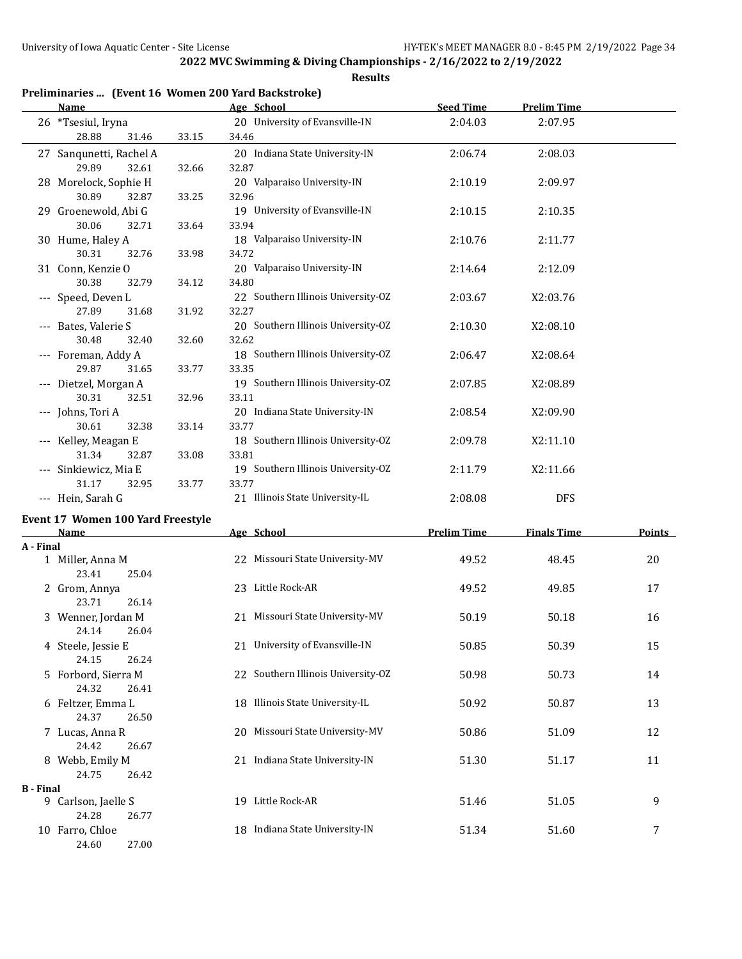**Results**

| Preliminaries  (Event 16 Women 200 Yard Backstroke) |  |  |  |  |  |
|-----------------------------------------------------|--|--|--|--|--|
|                                                     |  |  |  |  |  |

|                  | <b>Name</b>                               |       | Age School                                  | <b>Seed Time</b>   | <b>Prelim Time</b> |        |
|------------------|-------------------------------------------|-------|---------------------------------------------|--------------------|--------------------|--------|
|                  | 26 *Tsesiul, Iryna<br>28.88<br>31.46      | 33.15 | 20 University of Evansville-IN<br>34.46     | 2:04.03            | 2:07.95            |        |
|                  | 27 Sanqunetti, Rachel A<br>29.89<br>32.61 | 32.66 | 20 Indiana State University-IN<br>32.87     | 2:06.74            | 2:08.03            |        |
|                  | 28 Morelock, Sophie H<br>30.89<br>32.87   | 33.25 | 20 Valparaiso University-IN<br>32.96        | 2:10.19            | 2:09.97            |        |
|                  | 29 Groenewold, Abi G<br>30.06<br>32.71    | 33.64 | 19 University of Evansville-IN<br>33.94     | 2:10.15            | 2:10.35            |        |
|                  | 30 Hume, Haley A<br>30.31<br>32.76        | 33.98 | 18 Valparaiso University-IN<br>34.72        | 2:10.76            | 2:11.77            |        |
|                  | 31 Conn, Kenzie O<br>30.38<br>32.79       | 34.12 | 20 Valparaiso University-IN<br>34.80        | 2:14.64            | 2:12.09            |        |
|                  | --- Speed, Deven L<br>27.89<br>31.68      | 31.92 | 22 Southern Illinois University-OZ<br>32.27 | 2:03.67            | X2:03.76           |        |
|                  | --- Bates, Valerie S<br>30.48<br>32.40    | 32.60 | 20 Southern Illinois University-OZ<br>32.62 | 2:10.30            | X2:08.10           |        |
|                  | --- Foreman, Addy A<br>29.87<br>31.65     | 33.77 | 18 Southern Illinois University-OZ<br>33.35 | 2:06.47            | X2:08.64           |        |
|                  | --- Dietzel, Morgan A<br>30.31<br>32.51   | 32.96 | 19 Southern Illinois University-OZ<br>33.11 | 2:07.85            | X2:08.89           |        |
|                  | --- Johns, Tori A<br>30.61<br>32.38       | 33.14 | 20 Indiana State University-IN<br>33.77     | 2:08.54            | X2:09.90           |        |
|                  | --- Kelley, Meagan E<br>31.34<br>32.87    | 33.08 | 18 Southern Illinois University-OZ<br>33.81 | 2:09.78            | X2:11.10           |        |
|                  | --- Sinkiewicz, Mia E<br>31.17<br>32.95   | 33.77 | 19 Southern Illinois University-OZ<br>33.77 | 2:11.79            | X2:11.66           |        |
|                  | --- Hein, Sarah G                         |       | 21 Illinois State University-IL             | 2:08.08            | <b>DFS</b>         |        |
|                  | Event 17 Women 100 Yard Freestyle<br>Name |       | Age School                                  | <b>Prelim Time</b> | <b>Finals Time</b> | Points |
| A - Final        |                                           |       |                                             |                    |                    |        |
|                  | 1 Miller, Anna M<br>23.41<br>25.04        |       | 22 Missouri State University-MV             | 49.52              | 48.45              | 20     |
|                  | 2 Grom, Annya<br>23.71<br>26.14           |       | 23 Little Rock-AR                           | 49.52              | 49.85              | 17     |
|                  | 3 Wenner, Jordan M<br>24.14<br>26.04      |       | 21 Missouri State University-MV             | 50.19              | 50.18              | 16     |
|                  | 4 Steele, Jessie E<br>24.15<br>26.24      |       | 21 University of Evansville-IN              | 50.85              | 50.39              | 15     |
|                  | 5 Forbord, Sierra M<br>24.32<br>26.41     |       | 22 Southern Illinois University-OZ          | 50.98              | 50.73              | 14     |
|                  | 6 Feltzer, Emma L<br>24.37<br>26.50       |       | 18 Illinois State University-IL             | 50.92              | 50.87              | 13     |
|                  | 7 Lucas, Anna R<br>24.42<br>26.67         |       | 20 Missouri State University-MV             | 50.86              | 51.09              | 12     |
|                  | 8 Webb, Emily M<br>24.75<br>26.42         |       | 21 Indiana State University-IN              | 51.30              | 51.17              | 11     |
| <b>B</b> - Final |                                           |       |                                             |                    |                    |        |
|                  | 9 Carlson, Jaelle S<br>24.28<br>26.77     |       | 19 Little Rock-AR                           | 51.46              | 51.05              | 9      |
|                  | 10 Farro, Chloe                           |       | 18 Indiana State University-IN              | 51.34              | 51.60              | 7      |

24.60 27.00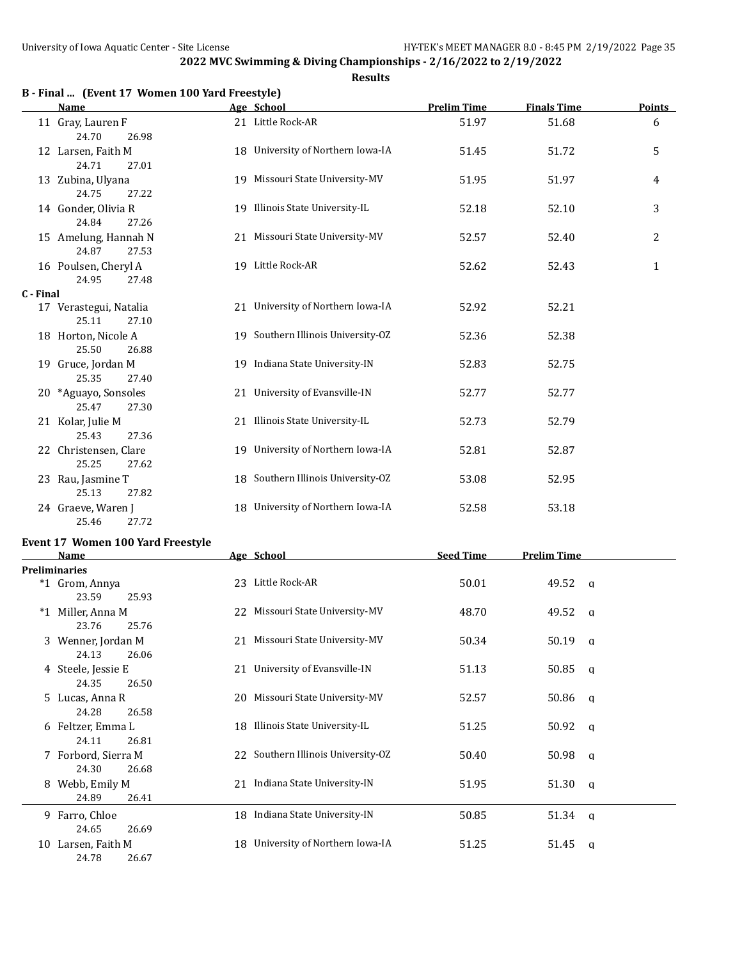## **Results**

|  | B - Final  (Event 17 Women 100 Yard Freestyle) |  |  |  |
|--|------------------------------------------------|--|--|--|
|  |                                                |  |  |  |

|           | <b>Name</b>                              | Age School                         | <b>Prelim Time</b> | <b>Finals Time</b> | Points         |
|-----------|------------------------------------------|------------------------------------|--------------------|--------------------|----------------|
|           | 11 Gray, Lauren F<br>24.70<br>26.98      | 21 Little Rock-AR                  | 51.97              | 51.68              | 6              |
|           | 12 Larsen, Faith M<br>24.71<br>27.01     | 18 University of Northern Iowa-IA  | 51.45              | 51.72              | 5              |
|           | 13 Zubina, Ulyana<br>24.75<br>27.22      | 19 Missouri State University-MV    | 51.95              | 51.97              | 4              |
|           | 14 Gonder, Olivia R<br>24.84<br>27.26    | 19 Illinois State University-IL    | 52.18              | 52.10              | 3              |
|           | 15 Amelung, Hannah N<br>24.87<br>27.53   | 21 Missouri State University-MV    | 52.57              | 52.40              | $\overline{2}$ |
|           | 16 Poulsen, Cheryl A<br>24.95<br>27.48   | 19 Little Rock-AR                  | 52.62              | 52.43              | $\mathbf{1}$   |
| C - Final |                                          |                                    |                    |                    |                |
|           | 17 Verastegui, Natalia<br>25.11<br>27.10 | 21 University of Northern Iowa-IA  | 52.92              | 52.21              |                |
|           | 18 Horton, Nicole A<br>25.50<br>26.88    | 19 Southern Illinois University-OZ | 52.36              | 52.38              |                |
|           | 19 Gruce, Jordan M<br>25.35<br>27.40     | 19 Indiana State University-IN     | 52.83              | 52.75              |                |
|           | 20 *Aguayo, Sonsoles<br>25.47<br>27.30   | 21 University of Evansville-IN     | 52.77              | 52.77              |                |
|           | 21 Kolar, Julie M<br>25.43<br>27.36      | 21 Illinois State University-IL    | 52.73              | 52.79              |                |
|           | 22 Christensen, Clare<br>25.25<br>27.62  | 19 University of Northern Iowa-IA  | 52.81              | 52.87              |                |
|           | 23 Rau, Jasmine T<br>25.13<br>27.82      | 18 Southern Illinois University-OZ | 53.08              | 52.95              |                |
|           | 24 Graeve, Waren J<br>25.46<br>27.72     | 18 University of Northern Iowa-IA  | 52.58              | 53.18              |                |

## **Event 17 Women 100 Yard Freestyle**

| Name                 |    | Age School                         | <b>Seed Time</b> | <b>Prelim Time</b> |  |
|----------------------|----|------------------------------------|------------------|--------------------|--|
| <b>Preliminaries</b> |    |                                    |                  |                    |  |
| *1 Grom, Annya       |    | 23 Little Rock-AR                  | 50.01            | 49.52<br>$\alpha$  |  |
| 23.59<br>25.93       |    |                                    |                  |                    |  |
| *1 Miller, Anna M    |    | 22 Missouri State University-MV    | 48.70            | 49.52<br>a         |  |
| 23.76<br>25.76       |    |                                    |                  |                    |  |
| 3 Wenner, Jordan M   |    | 21 Missouri State University-MV    | 50.34            | 50.19<br>q         |  |
| 24.13<br>26.06       |    |                                    |                  |                    |  |
| 4 Steele, Jessie E   |    | 21 University of Evansville-IN     | 51.13            | 50.85<br>a         |  |
| 24.35<br>26.50       |    |                                    |                  |                    |  |
| 5 Lucas, Anna R      |    | 20 Missouri State University-MV    | 52.57            | 50.86<br>a         |  |
| 24.28<br>26.58       |    |                                    |                  |                    |  |
| 6 Feltzer, Emma L    |    | 18 Illinois State University-IL    | 51.25            | 50.92<br>a         |  |
| 24.11<br>26.81       |    |                                    |                  |                    |  |
| 7 Forbord, Sierra M  |    | 22 Southern Illinois University-OZ | 50.40            | 50.98<br>q         |  |
| 24.30<br>26.68       |    |                                    |                  |                    |  |
| 8 Webb, Emily M      |    | 21 Indiana State University-IN     | 51.95            | 51.30<br>a         |  |
| 24.89<br>26.41       |    |                                    |                  |                    |  |
| 9 Farro, Chloe       |    | 18 Indiana State University-IN     | 50.85            | $51.34 \quad a$    |  |
| 24.65<br>26.69       |    |                                    |                  |                    |  |
| 10 Larsen, Faith M   | 18 | University of Northern Iowa-IA     | 51.25            | 51.45<br>a         |  |
| 24.78<br>26.67       |    |                                    |                  |                    |  |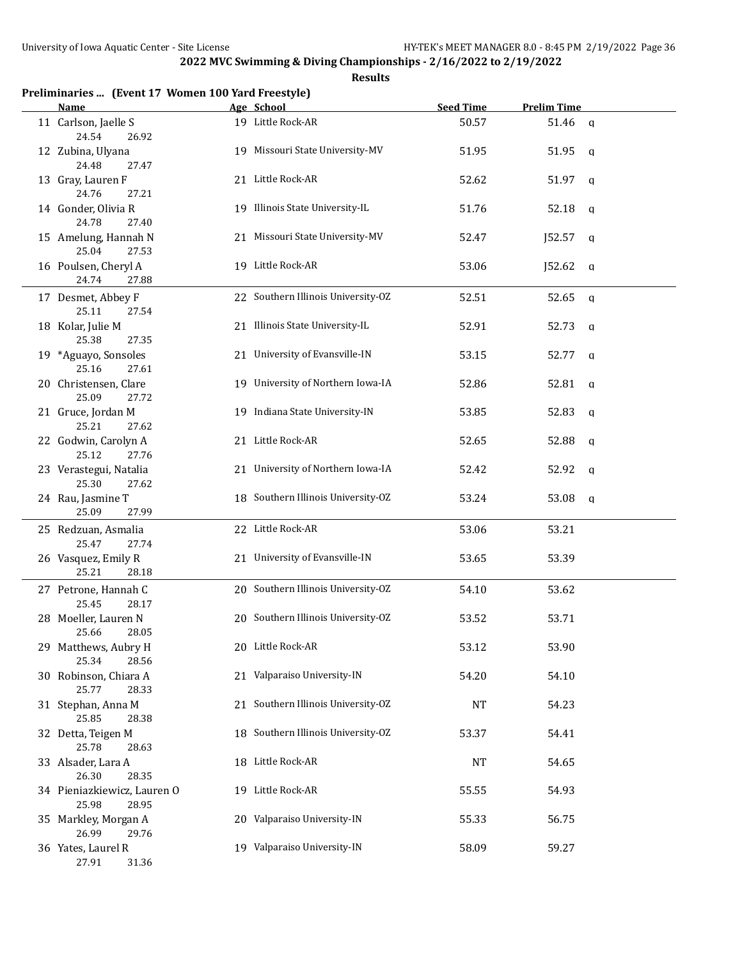| Preliminaries  (Event 17 Women 100 Yard Freestyle)<br><b>Name</b> | Age School                         | <b>Seed Time</b> | <b>Prelim Time</b> |   |
|-------------------------------------------------------------------|------------------------------------|------------------|--------------------|---|
| 11 Carlson, Jaelle S<br>24.54<br>26.92                            | 19 Little Rock-AR                  | 50.57            | 51.46 a            |   |
| 12 Zubina, Ulyana<br>24.48<br>27.47                               | 19 Missouri State University-MV    | 51.95            | 51.95              | q |
| 13 Gray, Lauren F<br>24.76<br>27.21                               | 21 Little Rock-AR                  | 52.62            | 51.97              | q |
| 14 Gonder, Olivia R<br>24.78<br>27.40                             | 19 Illinois State University-IL    | 51.76            | 52.18              | q |
| 15 Amelung, Hannah N<br>25.04<br>27.53                            | 21 Missouri State University-MV    | 52.47            | J52.57             | q |
| 16 Poulsen, Cheryl A<br>24.74<br>27.88                            | 19 Little Rock-AR                  | 53.06            | J52.62             | q |
| 17 Desmet, Abbey F<br>25.11<br>27.54                              | 22 Southern Illinois University-OZ | 52.51            | 52.65              | q |
| 18 Kolar, Julie M<br>25.38<br>27.35                               | 21 Illinois State University-IL    | 52.91            | 52.73              | q |
| 19 *Aguayo, Sonsoles<br>25.16<br>27.61                            | 21 University of Evansville-IN     | 53.15            | 52.77              | q |
| 20 Christensen, Clare<br>25.09<br>27.72                           | 19 University of Northern Iowa-IA  | 52.86            | 52.81              | q |
| 21 Gruce, Jordan M<br>25.21<br>27.62                              | 19 Indiana State University-IN     | 53.85            | 52.83              | q |
| 22 Godwin, Carolyn A<br>25.12<br>27.76                            | 21 Little Rock-AR                  | 52.65            | 52.88              | q |
| 23 Verastegui, Natalia<br>25.30<br>27.62                          | 21 University of Northern Iowa-IA  | 52.42            | 52.92              | q |
| 24 Rau, Jasmine T<br>25.09<br>27.99                               | 18 Southern Illinois University-OZ | 53.24            | 53.08              | q |
| 25 Redzuan, Asmalia<br>25.47<br>27.74                             | 22 Little Rock-AR                  | 53.06            | 53.21              |   |
| 26 Vasquez, Emily R<br>25.21<br>28.18                             | 21 University of Evansville-IN     | 53.65            | 53.39              |   |
| 27 Petrone, Hannah C<br>25.45<br>28.17                            | 20 Southern Illinois University-OZ | 54.10            | 53.62              |   |
| 28 Moeller, Lauren N<br>25.66<br>28.05                            | 20 Southern Illinois University-OZ | 53.52            | 53.71              |   |
| 29 Matthews, Aubry H<br>25.34<br>28.56                            | 20 Little Rock-AR                  | 53.12            | 53.90              |   |
| 30 Robinson, Chiara A<br>25.77<br>28.33                           | 21 Valparaiso University-IN        | 54.20            | 54.10              |   |
| 31 Stephan, Anna M<br>25.85<br>28.38                              | 21 Southern Illinois University-OZ | <b>NT</b>        | 54.23              |   |
| 32 Detta, Teigen M<br>25.78<br>28.63                              | 18 Southern Illinois University-OZ | 53.37            | 54.41              |   |
| 33 Alsader, Lara A<br>26.30<br>28.35                              | 18 Little Rock-AR                  | <b>NT</b>        | 54.65              |   |
| 34 Pieniazkiewicz, Lauren O<br>25.98<br>28.95                     | 19 Little Rock-AR                  | 55.55            | 54.93              |   |
| 35 Markley, Morgan A<br>26.99<br>29.76                            | 20 Valparaiso University-IN        | 55.33            | 56.75              |   |
| 36 Yates, Laurel R<br>27.91<br>31.36                              | 19 Valparaiso University-IN        | 58.09            | 59.27              |   |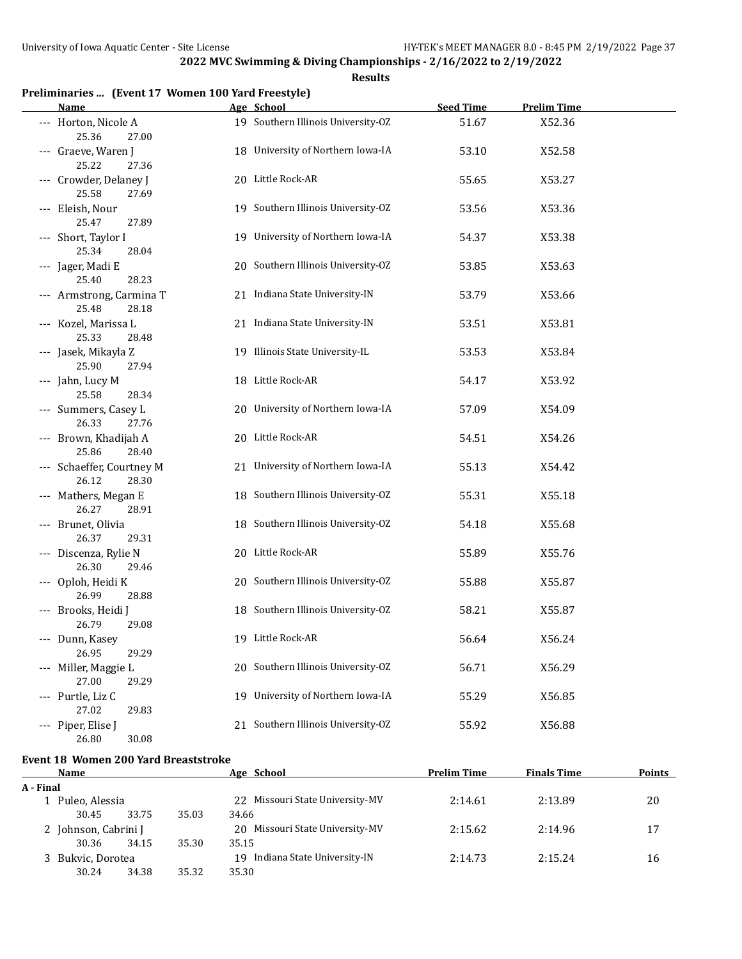**Results**

|  |  | Preliminaries  (Event 17 Women 100 Yard Freestyle) |  |
|--|--|----------------------------------------------------|--|
|--|--|----------------------------------------------------|--|

| <b>Name</b>                        |       | Age School                         | <b>Seed Time</b> | <b>Prelim Time</b> |  |
|------------------------------------|-------|------------------------------------|------------------|--------------------|--|
| --- Horton, Nicole A<br>25.36      | 27.00 | 19 Southern Illinois University-OZ | 51.67            | X52.36             |  |
| --- Graeve, Waren J<br>25.22       | 27.36 | 18 University of Northern Iowa-IA  | 53.10            | X52.58             |  |
| --- Crowder, Delaney J<br>25.58    | 27.69 | 20 Little Rock-AR                  | 55.65            | X53.27             |  |
| --- Eleish, Nour<br>25.47          | 27.89 | 19 Southern Illinois University-OZ | 53.56            | X53.36             |  |
| --- Short, Taylor I<br>25.34       | 28.04 | 19 University of Northern Iowa-IA  | 54.37            | X53.38             |  |
| --- Jager, Madi E<br>25.40         | 28.23 | 20 Southern Illinois University-OZ | 53.85            | X53.63             |  |
| --- Armstrong, Carmina T<br>25.48  | 28.18 | 21 Indiana State University-IN     | 53.79            | X53.66             |  |
| --- Kozel, Marissa L<br>25.33      | 28.48 | 21 Indiana State University-IN     | 53.51            | X53.81             |  |
| --- Jasek, Mikayla Z<br>25.90      | 27.94 | 19 Illinois State University-IL    | 53.53            | X53.84             |  |
| --- Jahn, Lucy M<br>25.58          | 28.34 | 18 Little Rock-AR                  | 54.17            | X53.92             |  |
| --- Summers, Casey L<br>26.33      | 27.76 | 20 University of Northern Iowa-IA  | 57.09            | X54.09             |  |
| --- Brown, Khadijah A<br>25.86     | 28.40 | 20 Little Rock-AR                  | 54.51            | X54.26             |  |
| --- Schaeffer, Courtney M<br>26.12 | 28.30 | 21 University of Northern Iowa-IA  | 55.13            | X54.42             |  |
| --- Mathers, Megan E<br>26.27      | 28.91 | 18 Southern Illinois University-OZ | 55.31            | X55.18             |  |
| --- Brunet, Olivia<br>26.37        | 29.31 | 18 Southern Illinois University-OZ | 54.18            | X55.68             |  |
| --- Discenza, Rylie N<br>26.30     | 29.46 | 20 Little Rock-AR                  | 55.89            | X55.76             |  |
| --- Oploh, Heidi K<br>26.99        | 28.88 | 20 Southern Illinois University-OZ | 55.88            | X55.87             |  |
| --- Brooks, Heidi J<br>26.79       | 29.08 | 18 Southern Illinois University-OZ | 58.21            | X55.87             |  |
| --- Dunn, Kasey<br>26.95           | 29.29 | 19 Little Rock-AR                  | 56.64            | X56.24             |  |
| Miller, Maggie L<br>27.00          | 29.29 | 20 Southern Illinois University-OZ | 56.71            | X56.29             |  |
| --- Purtle, Liz C<br>27.02         | 29.83 | 19 University of Northern Iowa-IA  | 55.29            | X56.85             |  |
| --- Piper, Elise J<br>26.80        | 30.08 | 21 Southern Illinois University-OZ | 55.92            | X56.88             |  |

# **Event 18 Women 200 Yard Breaststroke**

| Name                 |       |       | Age School                         | <b>Prelim Time</b> | <b>Finals Time</b> | <b>Points</b> |
|----------------------|-------|-------|------------------------------------|--------------------|--------------------|---------------|
| A - Final            |       |       |                                    |                    |                    |               |
| 1 Puleo, Alessia     |       |       | 22 Missouri State University-MV    | 2:14.61            | 2:13.89            | 20            |
| 30.45                | 33.75 | 35.03 | 34.66                              |                    |                    |               |
| 2 Johnson, Cabrini J |       |       | 20 Missouri State University-MV    | 2:15.62            | 2:14.96            | 17            |
| 30.36                | 34.15 | 35.30 | 35.15                              |                    |                    |               |
| 3 Bukvic, Dorotea    |       |       | Indiana State University-IN<br>19. | 2:14.73            | 2:15.24            | 16            |
| 30.24                | 34.38 | 35.32 | 35.30                              |                    |                    |               |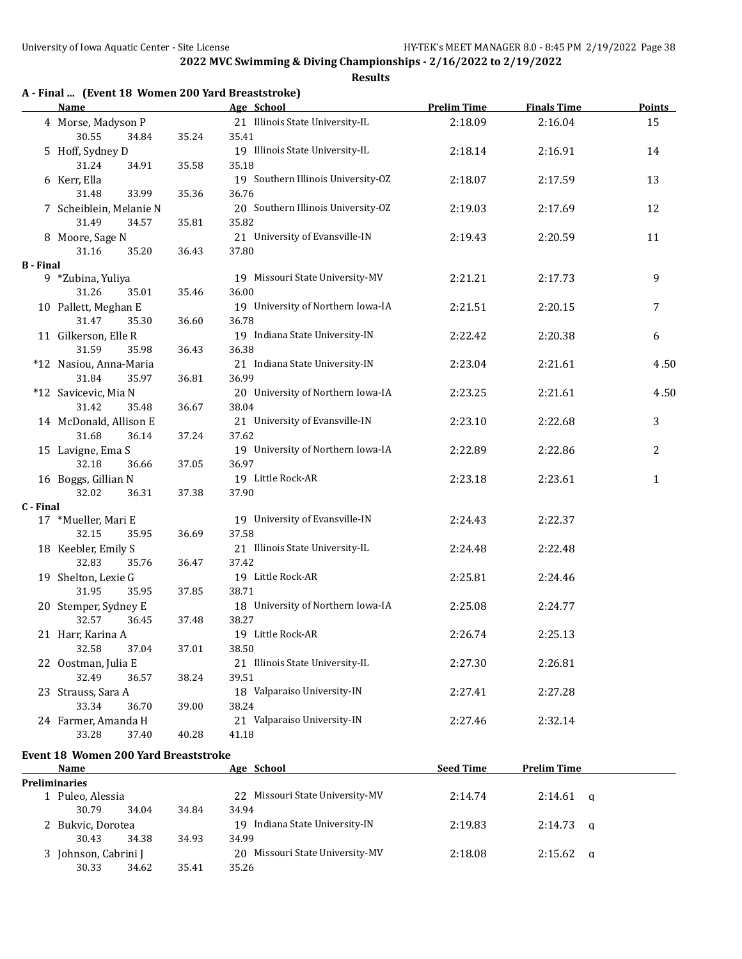## **Results**

|  | A - Final  (Event 18 Women 200 Yard Breaststroke) |
|--|---------------------------------------------------|
|  |                                                   |

|                    | <b>Name</b>                              |       | Age School                                 | <b>Prelim Time</b> | <b>Finals Time</b> | <b>Points</b> |
|--------------------|------------------------------------------|-------|--------------------------------------------|--------------------|--------------------|---------------|
| 4 Morse, Madyson P |                                          |       | 21 Illinois State University-IL            | 2:18.09            | 2:16.04            | 15            |
|                    | 30.55<br>34.84                           | 35.24 | 35.41                                      |                    |                    |               |
|                    | 5 Hoff, Sydney D                         |       | 19 Illinois State University-IL            | 2:18.14            | 2:16.91            | 14            |
|                    | 31.24<br>34.91                           | 35.58 | 35.18                                      |                    |                    |               |
|                    | 6 Kerr, Ella                             |       | 19 Southern Illinois University-OZ         | 2:18.07            | 2:17.59            | 13            |
|                    | 31.48<br>33.99                           | 35.36 | 36.76                                      |                    |                    |               |
|                    | 7 Scheiblein, Melanie N                  |       | 20 Southern Illinois University-OZ         | 2:19.03            | 2:17.69            | 12            |
|                    | 31.49<br>34.57                           | 35.81 | 35.82                                      |                    |                    |               |
|                    | 8 Moore, Sage N                          |       | 21 University of Evansville-IN             | 2:19.43            | 2:20.59            | 11            |
|                    | 35.20<br>31.16                           | 36.43 | 37.80                                      |                    |                    |               |
| <b>B</b> - Final   |                                          |       |                                            |                    |                    |               |
|                    | 9 *Zubina, Yuliya                        |       | 19 Missouri State University-MV            | 2:21.21            | 2:17.73            | 9             |
|                    | 31.26<br>35.01                           | 35.46 | 36.00                                      |                    |                    |               |
|                    | 10 Pallett, Meghan E                     |       | 19 University of Northern Iowa-IA          | 2:21.51            | 2:20.15            | 7             |
|                    | 31.47<br>35.30<br>36.60                  |       | 36.78                                      |                    |                    |               |
|                    | 11 Gilkerson, Elle R                     |       | 19 Indiana State University-IN             | 2:22.42            | 2:20.38            | 6             |
|                    | 31.59<br>35.98<br>36.43                  |       | 36.38                                      |                    |                    |               |
|                    | *12 Nasiou, Anna-Maria                   |       | 21 Indiana State University-IN             | 2:23.04            | 2:21.61            | 4.50          |
|                    | 31.84<br>35.97                           | 36.81 | 36.99                                      |                    |                    |               |
|                    | *12 Savicevic, Mia N                     |       | 20 University of Northern Iowa-IA          | 2:23.25            | 2:21.61            | 4.50          |
|                    | 31.42<br>35.48                           | 36.67 | 38.04                                      |                    |                    |               |
|                    | 14 McDonald, Allison E<br>31.68<br>36.14 |       | 21 University of Evansville-IN             | 2:23.10            | 2:22.68            | 3             |
|                    |                                          | 37.24 | 37.62                                      |                    |                    |               |
|                    | 15 Lavigne, Ema S<br>32.18<br>36.66      | 37.05 | 19 University of Northern Iowa-IA<br>36.97 | 2:22.89            | 2:22.86            | 2             |
|                    | 16 Boggs, Gillian N                      |       | 19 Little Rock-AR                          | 2:23.18            | 2:23.61            | $\mathbf{1}$  |
|                    | 32.02<br>37.38<br>36.31                  |       | 37.90                                      |                    |                    |               |
| C - Final          |                                          |       |                                            |                    |                    |               |
|                    | 17 *Mueller, Mari E                      |       | 19 University of Evansville-IN             | 2:24.43            | 2:22.37            |               |
|                    | 32.15<br>35.95                           | 36.69 | 37.58                                      |                    |                    |               |
|                    | 18 Keebler, Emily S                      |       | 21 Illinois State University-IL            | 2:24.48            | 2:22.48            |               |
|                    | 32.83<br>35.76                           | 36.47 | 37.42                                      |                    |                    |               |
|                    | 19 Shelton, Lexie G                      |       | 19 Little Rock-AR                          | 2:25.81            | 2:24.46            |               |
|                    | 31.95<br>35.95                           | 37.85 | 38.71                                      |                    |                    |               |
|                    | 20 Stemper, Sydney E                     |       | 18 University of Northern Iowa-IA          | 2:25.08            | 2:24.77            |               |
|                    | 32.57<br>36.45                           | 37.48 | 38.27                                      |                    |                    |               |
|                    | 21 Harr, Karina A                        |       | 19 Little Rock-AR                          | 2:26.74            | 2:25.13            |               |
|                    | 32.58<br>37.04                           | 37.01 | 38.50                                      |                    |                    |               |
|                    | 22 Oostman, Julia E                      |       | 21 Illinois State University-IL            | 2:27.30            | 2:26.81            |               |
|                    | 32.49<br>36.57                           | 38.24 | 39.51                                      |                    |                    |               |
|                    | 23 Strauss, Sara A                       |       | 18 Valparaiso University-IN                | 2:27.41            | 2:27.28            |               |
|                    | 33.34<br>36.70                           | 39.00 | 38.24                                      |                    |                    |               |
|                    | 24 Farmer, Amanda H                      |       | 21 Valparaiso University-IN                | 2:27.46            | 2:32.14            |               |
|                    | 33.28<br>37.40                           | 40.28 | 41.18                                      |                    |                    |               |

## **Event 18 Women 200 Yard Breaststroke**

| Name                 |                      |       | Age School                      | <b>Seed Time</b> | <b>Prelim Time</b>  |  |
|----------------------|----------------------|-------|---------------------------------|------------------|---------------------|--|
| <b>Preliminaries</b> |                      |       |                                 |                  |                     |  |
| 1 Puleo, Alessia     |                      |       | 22 Missouri State University-MV | 2:14.74          | 2:14.61<br>$\alpha$ |  |
| 30.79                | 34.04                | 34.84 | 34.94                           |                  |                     |  |
|                      | 2 Bukvic, Dorotea    |       | 19 Indiana State University-IN  | 2:19.83          | 2:14.73<br>$\alpha$ |  |
| 30.43                | 34.38                | 34.93 | 34.99                           |                  |                     |  |
|                      | 3 Johnson, Cabrini J |       | 20 Missouri State University-MV | 2:18.08          | 2:15.62<br>$\alpha$ |  |
| 30.33                | 34.62                | 35.41 | 35.26                           |                  |                     |  |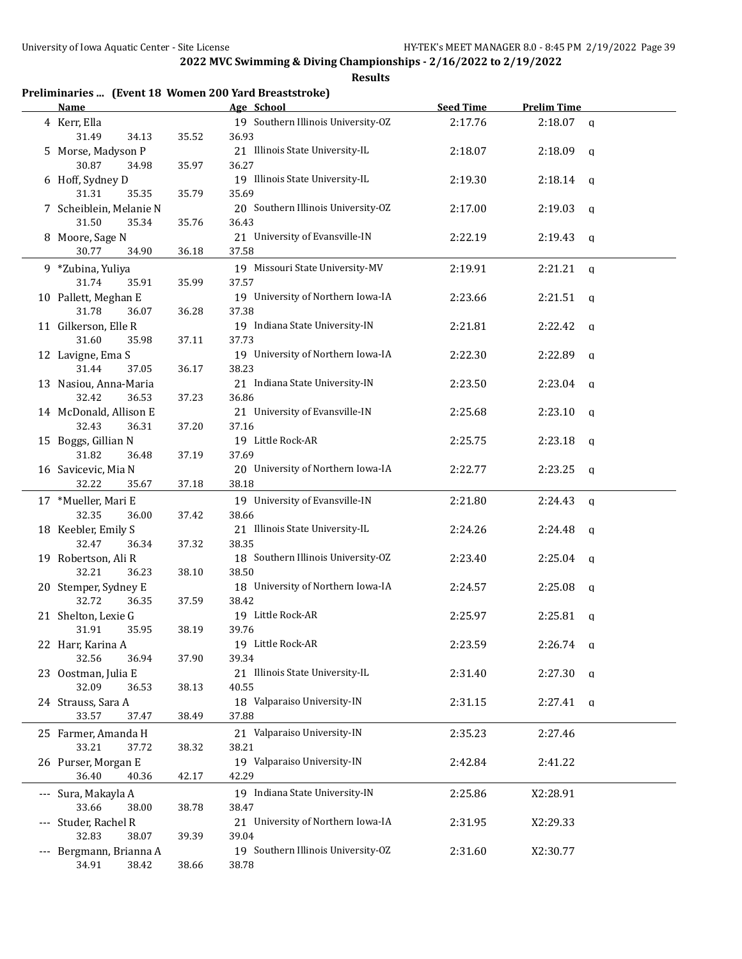| Preliminaries  (Event 18 Women 200 Yard Breaststroke) |       |                                            |                  |                    |              |
|-------------------------------------------------------|-------|--------------------------------------------|------------------|--------------------|--------------|
| Name                                                  |       | Age School                                 | <b>Seed Time</b> | <b>Prelim Time</b> |              |
| 4 Kerr, Ella                                          |       | 19 Southern Illinois University-OZ         | 2:17.76          | $2:18.07$ a        |              |
| 31.49<br>34.13                                        | 35.52 | 36.93                                      |                  |                    |              |
| 5 Morse, Madyson P                                    |       | 21 Illinois State University-IL            | 2:18.07          | 2:18.09            | a            |
| 30.87<br>34.98                                        | 35.97 | 36.27                                      |                  |                    |              |
| 6 Hoff, Sydney D                                      |       | 19 Illinois State University-IL            | 2:19.30          | $2:18.14$ q        |              |
| 31.31<br>35.35                                        | 35.79 | 35.69                                      |                  |                    |              |
| 7 Scheiblein, Melanie N                               |       | 20 Southern Illinois University-OZ         | 2:17.00          | 2:19.03            | q            |
| 31.50<br>35.34                                        | 35.76 | 36.43                                      |                  |                    |              |
| 8 Moore, Sage N                                       |       | 21 University of Evansville-IN             | 2:22.19          | 2:19.43            | q            |
| 30.77<br>34.90                                        | 36.18 | 37.58                                      |                  |                    |              |
| 9 *Zubina, Yuliya                                     |       | 19 Missouri State University-MV            | 2:19.91          | 2:21.21            | q            |
| 31.74<br>35.91                                        | 35.99 | 37.57                                      |                  |                    |              |
| 10 Pallett, Meghan E                                  |       | 19 University of Northern Iowa-IA          | 2:23.66          | 2:21.51            | $\mathbf{q}$ |
| 31.78<br>36.07                                        | 36.28 | 37.38                                      |                  |                    |              |
| 11 Gilkerson, Elle R                                  |       | 19 Indiana State University-IN             | 2:21.81          | 2:22.42            | q            |
| 31.60<br>35.98                                        | 37.11 | 37.73                                      |                  |                    |              |
| 12 Lavigne, Ema S                                     |       | 19 University of Northern Iowa-IA          | 2:22.30          | 2:22.89            | q            |
| 31.44<br>37.05                                        | 36.17 | 38.23                                      |                  |                    |              |
| 13 Nasiou, Anna-Maria                                 |       | 21 Indiana State University-IN             | 2:23.50          | 2:23.04            | q            |
| 32.42<br>36.53                                        | 37.23 | 36.86                                      |                  |                    |              |
| 14 McDonald, Allison E                                |       | 21 University of Evansville-IN             | 2:25.68          | 2:23.10            | q            |
| 32.43<br>36.31<br>37.20                               |       | 37.16                                      |                  |                    |              |
| 15 Boggs, Gillian N                                   |       | 19 Little Rock-AR                          | 2:25.75          | 2:23.18            | $\mathbf{q}$ |
| 31.82<br>36.48                                        | 37.19 | 37.69                                      |                  |                    |              |
| 16 Savicevic, Mia N                                   |       | 20 University of Northern Iowa-IA          | 2:22.77          | 2:23.25            | q            |
| 32.22<br>35.67                                        | 37.18 | 38.18                                      |                  |                    |              |
| 17 *Mueller, Mari E                                   |       | 19 University of Evansville-IN             | 2:21.80          | 2:24.43            | q            |
| 32.35<br>36.00                                        | 37.42 | 38.66                                      |                  |                    |              |
| 18 Keebler, Emily S                                   |       | 21 Illinois State University-IL<br>2:24.26 |                  | 2:24.48            | q            |
| 32.47<br>36.34                                        | 37.32 | 38.35                                      |                  |                    |              |
| 19 Robertson, Ali R                                   |       | 18 Southern Illinois University-OZ         | 2:23.40          | 2:25.04            | - a          |
| 32.21<br>36.23                                        | 38.10 | 38.50                                      |                  |                    |              |
| 20 Stemper, Sydney E                                  |       | 18 University of Northern Iowa-IA          | 2:24.57          | 2:25.08            | a            |
| 32.72<br>36.35                                        | 37.59 | 38.42                                      |                  |                    |              |
| 21 Shelton, Lexie G                                   |       | 19 Little Rock-AR                          | 2:25.97          | 2:25.81            | - a          |
| 31.91<br>35.95                                        | 38.19 | 39.76                                      |                  |                    |              |
| 22 Harr, Karina A                                     |       | 19 Little Rock-AR                          | 2:23.59          | $2:26.74$ q        |              |
| 32.56<br>36.94                                        | 37.90 | 39.34                                      |                  |                    |              |
| 23 Oostman, Julia E                                   |       | 21 Illinois State University-IL            | 2:31.40          | $2:27.30$ q        |              |
| 32.09<br>36.53                                        | 38.13 | 40.55                                      |                  |                    |              |
| 24 Strauss, Sara A                                    |       | 18 Valparaiso University-IN                | 2:31.15          | $2:27.41$ q        |              |
| 33.57<br>37.47                                        | 38.49 | 37.88                                      |                  |                    |              |
| 25 Farmer, Amanda H                                   |       | 21 Valparaiso University-IN                | 2:35.23          | 2:27.46            |              |
| 33.21<br>37.72                                        | 38.32 | 38.21                                      |                  |                    |              |
| 26 Purser, Morgan E                                   |       | 19 Valparaiso University-IN                | 2:42.84          | 2:41.22            |              |
| 36.40<br>40.36                                        | 42.17 | 42.29                                      |                  |                    |              |
| --- Sura, Makayla A                                   |       | 19 Indiana State University-IN             | 2:25.86          | X2:28.91           |              |
| 33.66<br>38.00                                        | 38.78 | 38.47                                      |                  |                    |              |
| --- Studer, Rachel R                                  |       | 21 University of Northern Iowa-IA          | 2:31.95          | X2:29.33           |              |
| 32.83<br>38.07                                        | 39.39 | 39.04                                      |                  |                    |              |
| --- Bergmann, Brianna A                               |       | 19 Southern Illinois University-OZ         | 2:31.60          | X2:30.77           |              |
| 34.91<br>38.42                                        | 38.66 | 38.78                                      |                  |                    |              |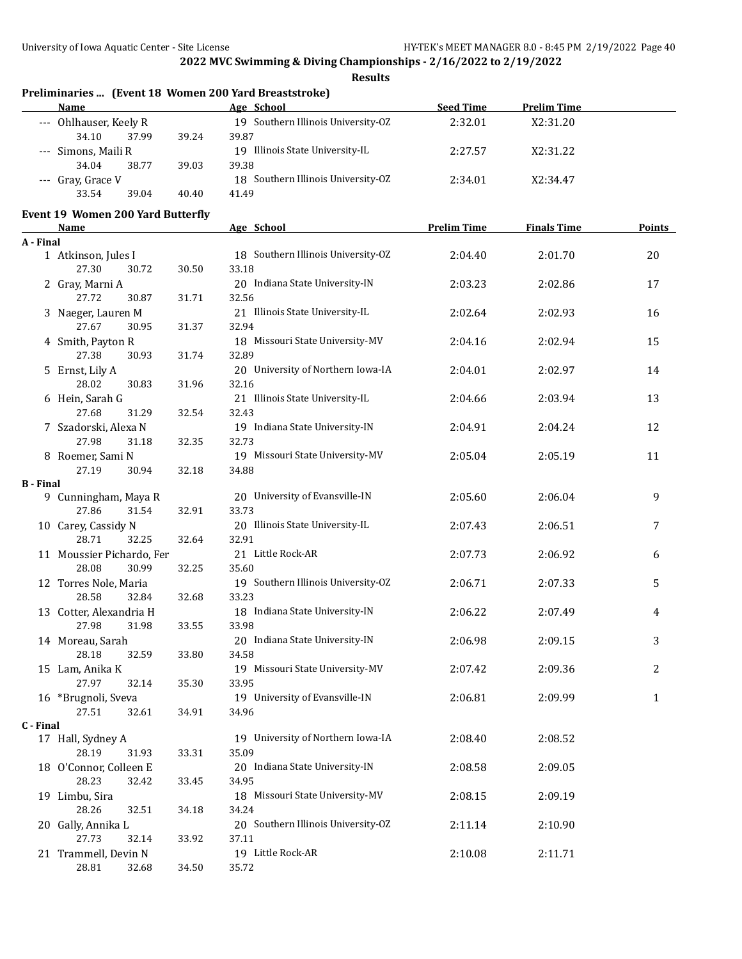|                  |                                          |       | Preliminaries  (Event 18 Women 200 Yard Breaststroke) |                    |                    |               |
|------------------|------------------------------------------|-------|-------------------------------------------------------|--------------------|--------------------|---------------|
|                  | <b>Name</b>                              |       | Age School                                            | <b>Seed Time</b>   | <b>Prelim Time</b> |               |
|                  | --- Ohlhauser, Keely R<br>34.10<br>37.99 | 39.24 | 19 Southern Illinois University-OZ<br>39.87           | 2:32.01            | X2:31.20           |               |
|                  | --- Simons, Maili R                      |       | 19 Illinois State University-IL                       | 2:27.57            | X2:31.22           |               |
|                  | 34.04<br>38.77<br>--- Gray, Grace V      | 39.03 | 39.38<br>18 Southern Illinois University-OZ           | 2:34.01            | X2:34.47           |               |
|                  | 33.54<br>39.04                           | 40.40 | 41.49                                                 |                    |                    |               |
|                  | <b>Event 19 Women 200 Yard Butterfly</b> |       |                                                       |                    |                    |               |
|                  | <b>Name</b>                              |       | Age School                                            | <b>Prelim Time</b> | <b>Finals Time</b> | <b>Points</b> |
| A - Final        | 1 Atkinson, Jules I<br>27.30<br>30.72    |       | 18 Southern Illinois University-OZ<br>33.18           | 2:04.40            | 2:01.70            | 20            |
|                  | 2 Gray, Marni A                          | 30.50 | 20 Indiana State University-IN                        | 2:03.23            | 2:02.86            | 17            |
|                  | 27.72<br>30.87                           | 31.71 | 32.56                                                 |                    |                    |               |
|                  | 3 Naeger, Lauren M<br>27.67<br>30.95     |       | 21 Illinois State University-IL<br>32.94              | 2:02.64            | 2:02.93            | 16            |
|                  | 4 Smith, Payton R                        | 31.37 | 18 Missouri State University-MV                       | 2:04.16            | 2:02.94            | 15            |
|                  | 27.38<br>30.93                           | 31.74 | 32.89                                                 |                    |                    |               |
|                  | 5 Ernst, Lily A                          |       | 20 University of Northern Iowa-IA                     | 2:04.01            | 2:02.97            | 14            |
|                  | 28.02<br>30.83<br>6 Hein, Sarah G        | 31.96 | 32.16<br>21 Illinois State University-IL              | 2:04.66            | 2:03.94            | 13            |
|                  | 27.68<br>31.29                           | 32.54 | 32.43                                                 |                    |                    |               |
|                  | 7 Szadorski, Alexa N                     |       | 19 Indiana State University-IN                        | 2:04.91            | 2:04.24            | 12            |
|                  | 27.98<br>31.18                           | 32.35 | 32.73                                                 |                    |                    |               |
|                  | 8 Roemer, Sami N                         |       | 19 Missouri State University-MV                       | 2:05.04            | 2:05.19            | 11            |
|                  | 27.19<br>30.94                           | 32.18 | 34.88                                                 |                    |                    |               |
| <b>B</b> - Final |                                          |       | 20 University of Evansville-IN                        | 2:05.60            | 2:06.04            | 9             |
|                  | 9 Cunningham, Maya R<br>27.86<br>31.54   | 32.91 | 33.73                                                 |                    |                    |               |
|                  | 10 Carey, Cassidy N                      |       | 20 Illinois State University-IL                       | 2:07.43            | 2:06.51            | 7             |
|                  | 28.71<br>32.25<br>32.64                  |       | 32.91                                                 |                    |                    |               |
|                  | 11 Moussier Pichardo, Fer                |       | 21 Little Rock-AR                                     | 2:07.73            | 2:06.92            | 6             |
|                  | 28.08<br>30.99                           | 32.25 | 35.60                                                 |                    |                    |               |
|                  | 12 Torres Nole, Maria                    |       | 19 Southern Illinois University-OZ                    | 2:06.71            | 2:07.33            | 5             |
|                  | 28.58<br>32.84                           | 32.68 | 33.23                                                 |                    |                    |               |
|                  | 13 Cotter, Alexandria H                  |       | 18 Indiana State University-IN                        | 2:06.22            | 2:07.49            | 4             |
|                  | 27.98<br>31.98                           | 33.55 | 33.98<br>20 Indiana State University-IN               |                    |                    | 3             |
|                  | 14 Moreau, Sarah<br>28.18<br>32.59       | 33.80 | 34.58                                                 | 2:06.98            | 2:09.15            |               |
|                  | 15 Lam, Anika K                          |       | 19 Missouri State University-MV                       | 2:07.42            | 2:09.36            | 2             |
|                  | 27.97<br>32.14                           | 35.30 | 33.95                                                 |                    |                    |               |
|                  | 16 *Brugnoli, Sveva                      |       | 19 University of Evansville-IN                        | 2:06.81            | 2:09.99            | 1             |
|                  | 27.51<br>32.61                           | 34.91 | 34.96                                                 |                    |                    |               |
| C - Final        |                                          |       |                                                       |                    |                    |               |
|                  | 17 Hall, Sydney A                        |       | 19 University of Northern Iowa-IA                     | 2:08.40            | 2:08.52            |               |
|                  | 28.19<br>31.93                           | 33.31 | 35.09<br>20 Indiana State University-IN               |                    |                    |               |
|                  | 18 O'Connor, Colleen E<br>28.23<br>32.42 | 33.45 | 34.95                                                 | 2:08.58            | 2:09.05            |               |
|                  | 19 Limbu, Sira                           |       | 18 Missouri State University-MV                       | 2:08.15            | 2:09.19            |               |
|                  | 28.26<br>32.51                           | 34.18 | 34.24                                                 |                    |                    |               |
|                  | 20 Gally, Annika L                       |       | 20 Southern Illinois University-OZ                    | 2:11.14            | 2:10.90            |               |
|                  | 27.73<br>32.14                           | 33.92 | 37.11                                                 |                    |                    |               |
|                  | 21 Trammell, Devin N                     |       | 19 Little Rock-AR                                     | 2:10.08            | 2:11.71            |               |
|                  | 28.81<br>32.68                           | 34.50 | 35.72                                                 |                    |                    |               |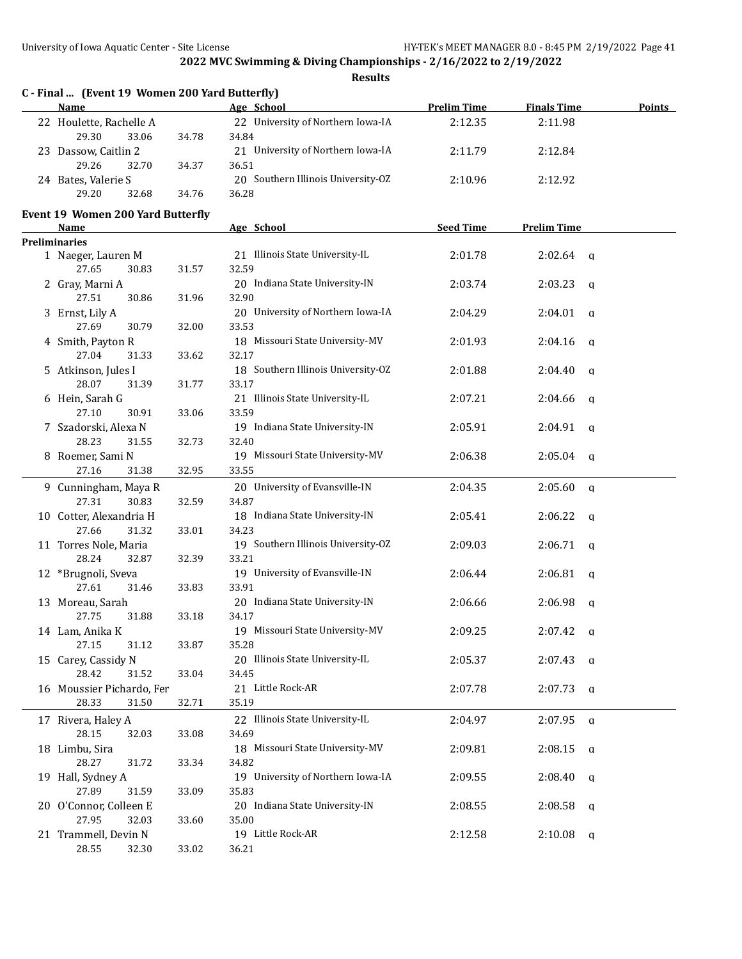| C - Final  (Event 19 Women 200 Yard Butterfly)<br>Name |       | Age School                         | <b>Prelim Time</b> | <b>Finals Time</b>      | Points |
|--------------------------------------------------------|-------|------------------------------------|--------------------|-------------------------|--------|
| 22 Houlette, Rachelle A                                |       | 22 University of Northern Iowa-IA  | 2:12.35            | 2:11.98                 |        |
| 29.30<br>33.06                                         | 34.78 | 34.84                              |                    |                         |        |
| 23 Dassow, Caitlin 2                                   |       | 21 University of Northern Iowa-IA  | 2:11.79            | 2:12.84                 |        |
| 29.26<br>32.70                                         | 34.37 | 36.51                              |                    |                         |        |
| 24 Bates, Valerie S                                    |       | 20 Southern Illinois University-OZ | 2:10.96            | 2:12.92                 |        |
| 29.20<br>32.68                                         | 34.76 | 36.28                              |                    |                         |        |
|                                                        |       |                                    |                    |                         |        |
| <b>Event 19 Women 200 Yard Butterfly</b><br>Name       |       | Age School                         | <b>Seed Time</b>   | <b>Prelim Time</b>      |        |
| <b>Preliminaries</b>                                   |       |                                    |                    |                         |        |
| 1 Naeger, Lauren M                                     |       | 21 Illinois State University-IL    | 2:01.78            | $2:02.64$ q             |        |
| 27.65<br>30.83                                         | 31.57 | 32.59                              |                    |                         |        |
| 2 Gray, Marni A                                        |       | 20 Indiana State University-IN     | 2:03.74            | 2:03.23<br>q            |        |
| 27.51<br>30.86                                         | 31.96 | 32.90                              |                    |                         |        |
| 3 Ernst, Lily A                                        |       | 20 University of Northern Iowa-IA  | 2:04.29            | 2:04.01<br>q            |        |
| 27.69<br>30.79                                         | 32.00 | 33.53                              |                    |                         |        |
| 4 Smith, Payton R                                      |       | 18 Missouri State University-MV    | 2:01.93            | 2:04.16<br>q            |        |
| 27.04<br>31.33                                         | 33.62 | 32.17                              |                    |                         |        |
| 5 Atkinson, Jules I                                    |       | 18 Southern Illinois University-OZ | 2:01.88            | 2:04.40<br>q            |        |
| 28.07<br>31.39                                         | 31.77 | 33.17                              |                    |                         |        |
| 6 Hein, Sarah G                                        |       | 21 Illinois State University-IL    | 2:07.21            | 2:04.66<br>q            |        |
| 27.10<br>30.91                                         | 33.06 | 33.59                              |                    |                         |        |
| 7 Szadorski, Alexa N                                   |       | 19 Indiana State University-IN     | 2:05.91            | $2:04.91$ q             |        |
| 28.23<br>31.55                                         | 32.73 | 32.40                              |                    |                         |        |
| 8 Roemer, Sami N                                       |       | 19 Missouri State University-MV    | 2:06.38            | 2:05.04<br>q            |        |
| 27.16<br>31.38                                         | 32.95 | 33.55                              |                    |                         |        |
| 9 Cunningham, Maya R                                   |       | 20 University of Evansville-IN     | 2:04.35            | 2:05.60<br>q            |        |
| 27.31<br>30.83                                         | 32.59 | 34.87                              |                    |                         |        |
| 10 Cotter, Alexandria H                                |       | 18 Indiana State University-IN     | 2:05.41            | 2:06.22<br>$\alpha$     |        |
| 27.66<br>31.32                                         | 33.01 | 34.23                              |                    |                         |        |
| 11 Torres Nole, Maria                                  |       | 19 Southern Illinois University-OZ | 2:09.03            | 2:06.71<br>$\mathbf{q}$ |        |
| 28.24<br>32.87                                         | 32.39 | 33.21                              |                    |                         |        |
| 12 *Brugnoli, Sveva                                    |       | 19 University of Evansville-IN     | 2:06.44            | 2:06.81<br>q            |        |
| 27.61<br>31.46                                         | 33.83 | 33.91                              |                    |                         |        |
| 13 Moreau, Sarah                                       |       | 20 Indiana State University-IN     | 2:06.66            | 2:06.98<br>q            |        |
| 27.75<br>31.88                                         | 33.18 | 34.17                              |                    |                         |        |
| 14 Lam, Anika K                                        |       | 19 Missouri State University-MV    | 2:09.25            | $2:07.42$ q             |        |
| 27.15<br>31.12                                         | 33.87 | 35.28                              |                    |                         |        |
| 15 Carey, Cassidy N                                    |       | 20 Illinois State University-IL    | 2:05.37            | $2:07.43$ a             |        |
| 28.42<br>31.52                                         | 33.04 | 34.45                              |                    |                         |        |
| 16 Moussier Pichardo, Fer                              |       | 21 Little Rock-AR                  | 2:07.78            | 2:07.73<br>a            |        |
| 28.33<br>31.50                                         | 32.71 | 35.19                              |                    |                         |        |
|                                                        |       |                                    |                    |                         |        |
| 17 Rivera, Haley A                                     |       | 22 Illinois State University-IL    | 2:04.97            | 2:07.95<br>q            |        |
| 28.15<br>32.03                                         | 33.08 | 34.69                              |                    |                         |        |
| 18 Limbu, Sira                                         |       | 18 Missouri State University-MV    | 2:09.81            | 2:08.15<br>q            |        |
| 28.27<br>31.72                                         | 33.34 | 34.82                              |                    |                         |        |
| 19 Hall, Sydney A                                      |       | 19 University of Northern Iowa-IA  | 2:09.55            | 2:08.40<br>a            |        |
| 27.89<br>31.59                                         | 33.09 | 35.83                              |                    |                         |        |
| 20 O'Connor, Colleen E                                 |       | 20 Indiana State University-IN     | 2:08.55            | 2:08.58<br>q            |        |
| 27.95<br>32.03                                         | 33.60 | 35.00                              |                    |                         |        |
| 21 Trammell, Devin N                                   |       | 19 Little Rock-AR                  | 2:12.58            | 2:10.08<br>q            |        |
| 28.55<br>32.30                                         | 33.02 | 36.21                              |                    |                         |        |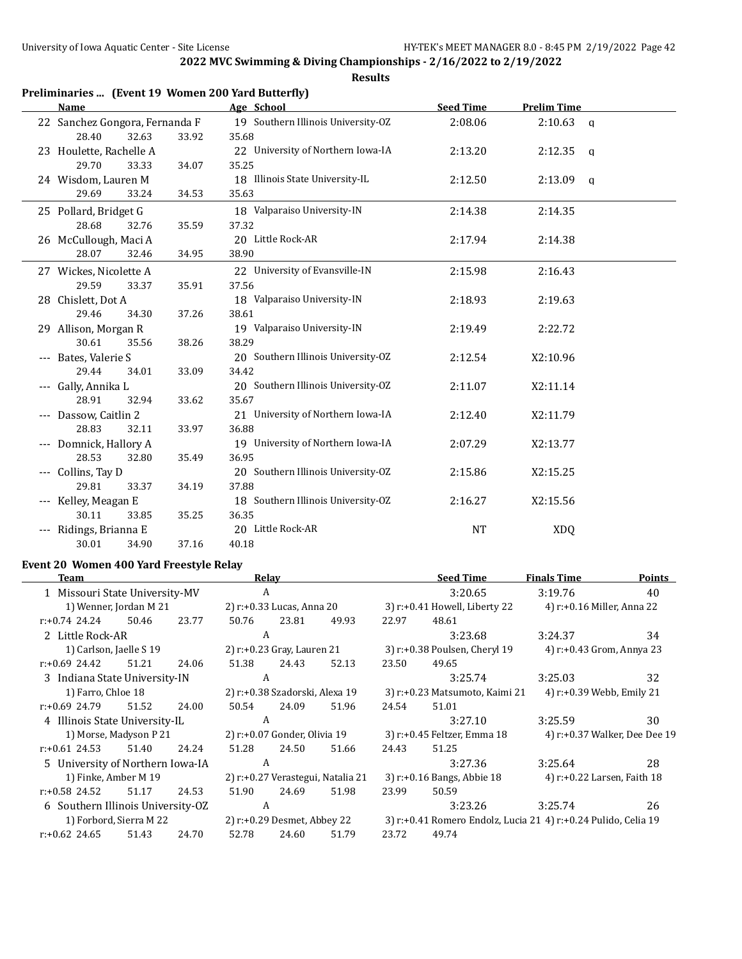**Results**

| Preliminaries  (Event 19 Women 200 Yard Butterfly) |       |                                    |                  |                         |  |
|----------------------------------------------------|-------|------------------------------------|------------------|-------------------------|--|
| <b>Name</b>                                        |       | Age School                         | <b>Seed Time</b> | <b>Prelim Time</b>      |  |
| 22 Sanchez Gongora, Fernanda F                     |       | 19 Southern Illinois University-OZ | 2:08.06          | 2:10.63<br>$\mathbf{q}$ |  |
| 28.40<br>32.63                                     | 33.92 | 35.68                              |                  |                         |  |
| 23 Houlette, Rachelle A                            |       | 22 University of Northern Iowa-IA  | 2:13.20          | 2:12.35<br>q            |  |
| 29.70<br>33.33                                     | 34.07 | 35.25                              |                  |                         |  |
| 24 Wisdom, Lauren M                                |       | 18 Illinois State University-IL    | 2:12.50          | $2:13.09$ q             |  |
| 29.69<br>33.24                                     | 34.53 | 35.63                              |                  |                         |  |
| 25 Pollard, Bridget G                              |       | 18 Valparaiso University-IN        | 2:14.38          | 2:14.35                 |  |
| 28.68<br>32.76                                     | 35.59 | 37.32                              |                  |                         |  |
| 26 McCullough, Maci A                              |       | 20 Little Rock-AR                  | 2:17.94          | 2:14.38                 |  |
| 28.07<br>32.46                                     | 34.95 | 38.90                              |                  |                         |  |
| 27 Wickes, Nicolette A                             |       | 22 University of Evansville-IN     | 2:15.98          | 2:16.43                 |  |
| 29.59<br>33.37                                     | 35.91 | 37.56                              |                  |                         |  |
| 28 Chislett, Dot A                                 |       | 18 Valparaiso University-IN        | 2:18.93          | 2:19.63                 |  |
| 29.46<br>34.30                                     | 37.26 | 38.61                              |                  |                         |  |
| 29 Allison, Morgan R                               |       | 19 Valparaiso University-IN        | 2:19.49          | 2:22.72                 |  |
| 30.61<br>35.56                                     | 38.26 | 38.29                              |                  |                         |  |
| --- Bates, Valerie S                               |       | 20 Southern Illinois University-OZ | 2:12.54          | X2:10.96                |  |
| 29.44<br>34.01                                     | 33.09 | 34.42                              |                  |                         |  |
| --- Gally, Annika L                                |       | 20 Southern Illinois University-OZ | 2:11.07          | X2:11.14                |  |
| 28.91<br>32.94                                     | 33.62 | 35.67                              |                  |                         |  |
| --- Dassow, Caitlin 2                              |       | 21 University of Northern Iowa-IA  | 2:12.40          | X2:11.79                |  |
| 28.83<br>32.11                                     | 33.97 | 36.88                              |                  |                         |  |
| --- Domnick, Hallory A                             |       | 19 University of Northern Iowa-IA  | 2:07.29          | X2:13.77                |  |
| 28.53<br>32.80                                     | 35.49 | 36.95                              |                  |                         |  |
| --- Collins, Tay D                                 |       | 20 Southern Illinois University-OZ | 2:15.86          | X2:15.25                |  |
| 29.81<br>33.37                                     | 34.19 | 37.88                              |                  |                         |  |
| --- Kelley, Meagan E                               |       | 18 Southern Illinois University-OZ | 2:16.27          | X2:15.56                |  |
| 30.11<br>33.85                                     | 35.25 | 36.35                              |                  |                         |  |
| --- Ridings, Brianna E                             |       | 20 Little Rock-AR                  | NT               | <b>XDQ</b>              |  |
| 30.01<br>34.90                                     | 37.16 | 40.18                              |                  |                         |  |

# **Event 20 Women 400 Yard Freestyle Relay**

| Team                              |                             |       |                                | Relay                        |                                                                |                                | <b>Seed Time</b>              | <b>Finals Time</b>          | <b>Points</b>                 |
|-----------------------------------|-----------------------------|-------|--------------------------------|------------------------------|----------------------------------------------------------------|--------------------------------|-------------------------------|-----------------------------|-------------------------------|
| 1 Missouri State University-MV    |                             |       | A                              |                              |                                                                |                                | 3:20.65                       | 3:19.76                     | 40                            |
|                                   | 1) Wenner, Jordan M 21      |       | 2) r:+0.33 Lucas, Anna 20      |                              |                                                                |                                | 3) r:+0.41 Howell, Liberty 22 | 4) r:+0.16 Miller, Anna 22  |                               |
| $r: +0.74$ 24.24                  | 50.46                       | 23.77 | 50.76                          | 23.81                        | 49.93                                                          | 22.97                          | 48.61                         |                             |                               |
| 2 Little Rock-AR                  |                             |       | A                              |                              |                                                                |                                | 3:23.68                       | 3:24.37                     | 34                            |
| 1) Carlson, Jaelle S 19           |                             |       |                                | 2) r:+0.23 Gray, Lauren 21   |                                                                |                                | 3) r:+0.38 Poulsen, Cheryl 19 | 4) r:+0.43 Grom, Annya 23   |                               |
| r:+0.69 24.42                     | 51.21                       | 24.06 | 51.38                          | 24.43                        | 52.13                                                          | 23.50                          | 49.65                         |                             |                               |
| 3 Indiana State University-IN     |                             |       | A                              |                              |                                                                |                                | 3:25.74                       | 3:25.03                     | 32                            |
| 1) Farro, Chloe 18                |                             |       | 2) r:+0.38 Szadorski, Alexa 19 |                              |                                                                | 3) r:+0.23 Matsumoto, Kaimi 21 |                               | 4) r:+0.39 Webb, Emily 21   |                               |
| r:+0.69 24.79                     | 51.52                       | 24.00 | 50.54                          | 24.09                        | 51.96                                                          | 24.54                          | 51.01                         |                             |                               |
| 4 Illinois State University-IL    |                             |       | A                              |                              |                                                                |                                | 3:27.10                       | 3:25.59                     | 30                            |
| 1) Morse, Madyson P 21            |                             |       |                                | 2) r:+0.07 Gonder, Olivia 19 |                                                                | 3) r:+0.45 Feltzer, Emma 18    |                               |                             | 4) r:+0.37 Walker, Dee Dee 19 |
| $r: +0.61$ 24.53                  | 51.40                       | 24.24 | 51.28                          | 24.50                        | 51.66                                                          | 24.43                          | 51.25                         |                             |                               |
| 5 University of Northern Iowa-IA  |                             |       | A                              |                              |                                                                |                                | 3:27.36                       | 3:25.64                     | 28                            |
|                                   | 1) Finke, Amber M 19        |       |                                |                              | 2) r:+0.27 Verastegui, Natalia 21                              |                                | 3) r:+0.16 Bangs, Abbie 18    | 4) r:+0.22 Larsen, Faith 18 |                               |
| $r: +0.58$ 24.52                  | 51.17                       | 24.53 | 51.90                          | 24.69                        | 51.98                                                          | 23.99                          | 50.59                         |                             |                               |
| 6 Southern Illinois University-OZ |                             |       | A                              |                              |                                                                |                                | 3:23.26                       | 3:25.74                     | 26                            |
| 1) Forbord, Sierra M 22           | 2) r:+0.29 Desmet, Abbey 22 |       |                                |                              | 3) r:+0.41 Romero Endolz, Lucia 21 4) r:+0.24 Pulido, Celia 19 |                                |                               |                             |                               |
| $r: +0.62$ 24.65                  | 51.43                       | 24.70 | 52.78                          | 24.60                        | 51.79                                                          | 23.72                          | 49.74                         |                             |                               |